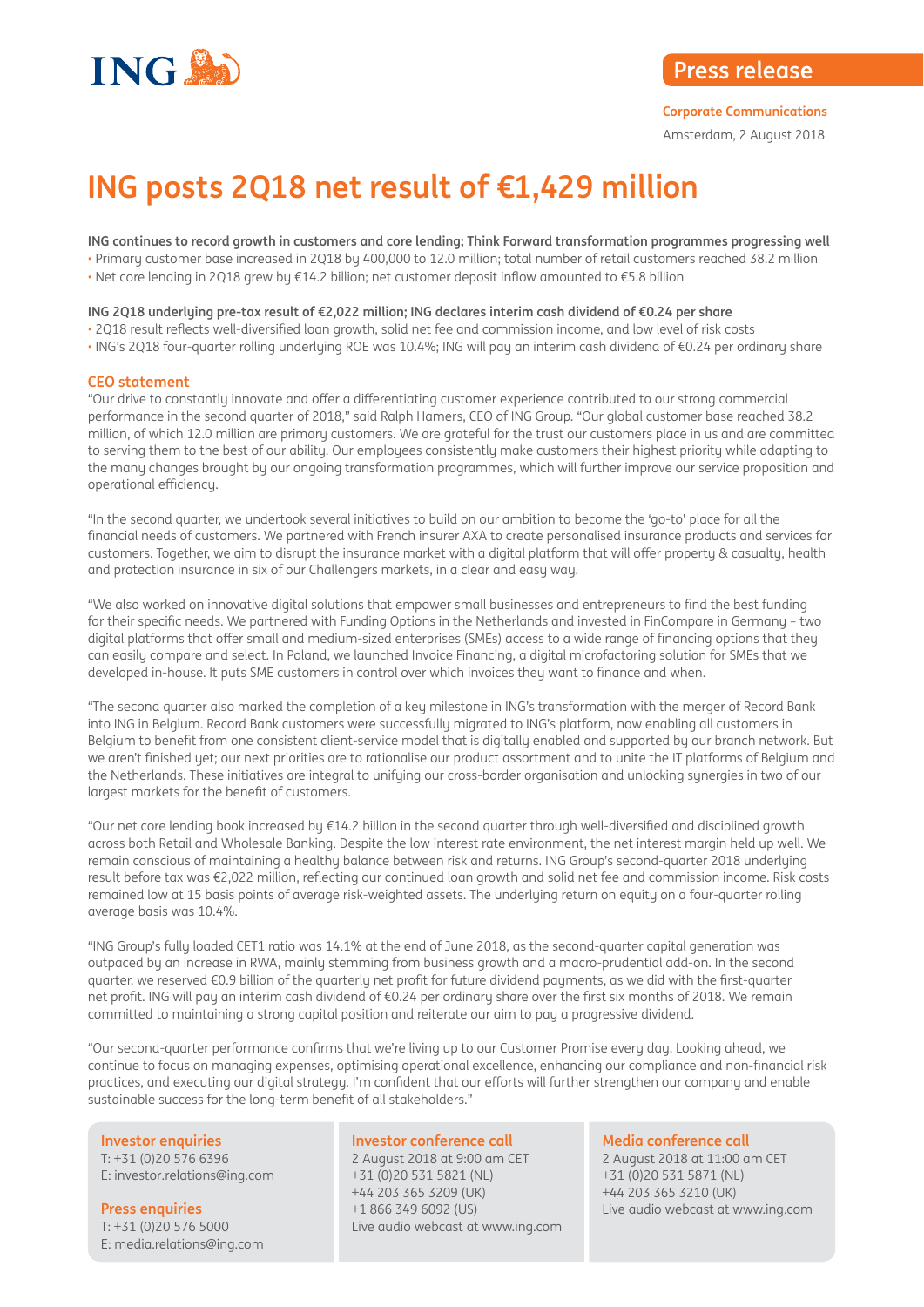

**Corporate Communications**

Amsterdam, 2 August 2018

# **ING posts 2Q18 net result of €1,429 million**

**ING continues to record growth in customers and core lending; Think Forward transformation programmes progressing well**

• Primary customer base increased in 2Q18 by 400,000 to 12.0 million; total number of retail customers reached 38.2 million • Net core lending in 2Q18 grew by €14.2 billion; net customer deposit inflow amounted to €5.8 billion

## **ING 2Q18 underlying pre-tax result of €2,022 million; ING declares interim cash dividend of €0.24 per share**

- 2Q18 result reflects well-diversified loan growth, solid net fee and commission income, and low level of risk costs
- ING's 2Q18 four-quarter rolling underlying ROE was 10.4%; ING will pay an interim cash dividend of €0.24 per ordinary share

## **CEO statement**

"Our drive to constantly innovate and offer a differentiating customer experience contributed to our strong commercial performance in the second quarter of 2018," said Ralph Hamers, CEO of ING Group. "Our global customer base reached 38.2 million, of which 12.0 million are primary customers. We are grateful for the trust our customers place in us and are committed to serving them to the best of our ability. Our employees consistently make customers their highest priority while adapting to the many changes brought by our ongoing transformation programmes, which will further improve our service proposition and operational efficiency.

"In the second quarter, we undertook several initiatives to build on our ambition to become the 'go-to' place for all the financial needs of customers. We partnered with French insurer AXA to create personalised insurance products and services for customers. Together, we aim to disrupt the insurance market with a digital platform that will offer property & casualty, health and protection insurance in six of our Challengers markets, in a clear and easy way.

"We also worked on innovative digital solutions that empower small businesses and entrepreneurs to find the best funding for their specific needs. We partnered with Funding Options in the Netherlands and invested in FinCompare in Germany - two digital platforms that offer small and medium-sized enterprises (SMEs) access to a wide range of financing options that they can easily compare and select. In Poland, we launched Invoice Financing, a digital microfactoring solution for SMEs that we developed in-house. It puts SME customers in control over which invoices they want to finance and when.

"The second quarter also marked the completion of a key milestone in ING's transformation with the merger of Record Bank into ING in Belgium. Record Bank customers were successfully migrated to ING's platform, now enabling all customers in Belgium to benefit from one consistent client-service model that is digitally enabled and supported by our branch network. But we aren't finished uet; our next priorities are to rationalise our product assortment and to unite the IT platforms of Belgium and the Netherlands. These initiatives are integral to unifying our cross-border organisation and unlocking synergies in two of our largest markets for the benefit of customers.

"Our net core lending book increased by €14.2 billion in the second quarter through well-diversified and disciplined growth across both Retail and Wholesale Banking. Despite the low interest rate environment, the net interest margin held up well. We remain conscious of maintaining a healthy balance between risk and returns. ING Group's second-quarter 2018 underlying result before tax was €2,022 million, reflecting our continued loan growth and solid net fee and commission income. Risk costs remained low at 15 basis points of average risk-weighted assets. The underlying return on equity on a four-quarter rolling average basis was 10.4%.

"ING Group's fully loaded CET1 ratio was 14.1% at the end of June 2018, as the second-quarter capital generation was outpaced by an increase in RWA, mainly stemming from business growth and a macro-prudential add-on. In the second quarter, we reserved €0.9 billion of the quarterly net profit for future dividend payments, as we did with the first-quarter net profit. ING will pay an interim cash dividend of €0.24 per ordinary share over the first six months of 2018. We remain committed to maintaining a strong capital position and reiterate our aim to pay a progressive dividend.

"Our second-quarter performance confirms that we're living up to our Customer Promise every day. Looking ahead, we continue to focus on managing expenses, optimising operational excellence, enhancing our compliance and non-financial risk practices, and executing our digital strategy. I'm confident that our efforts will further strengthen our company and enable sustainable success for the long-term benefit of all stakeholders."

**Investor enquiries** T: +31 (0)20 576 6396 E: investor.relations@ing.com

**Press enquiries** T: +31 (0)20 576 5000 E: media.relations@ing.com

## **Investor conference call**

2 August 2018 at 9:00 am CET +31 (0)20 531 5821 (NL) +44 203 365 3209 (UK) +1 866 349 6092 (US) Live audio webcast at www.ing.com

## **Media conference call**

2 August 2018 at 11:00 am CET +31 (0)20 531 5871 (NL) +44 203 365 3210 (UK) Live audio webcast at www.ing.com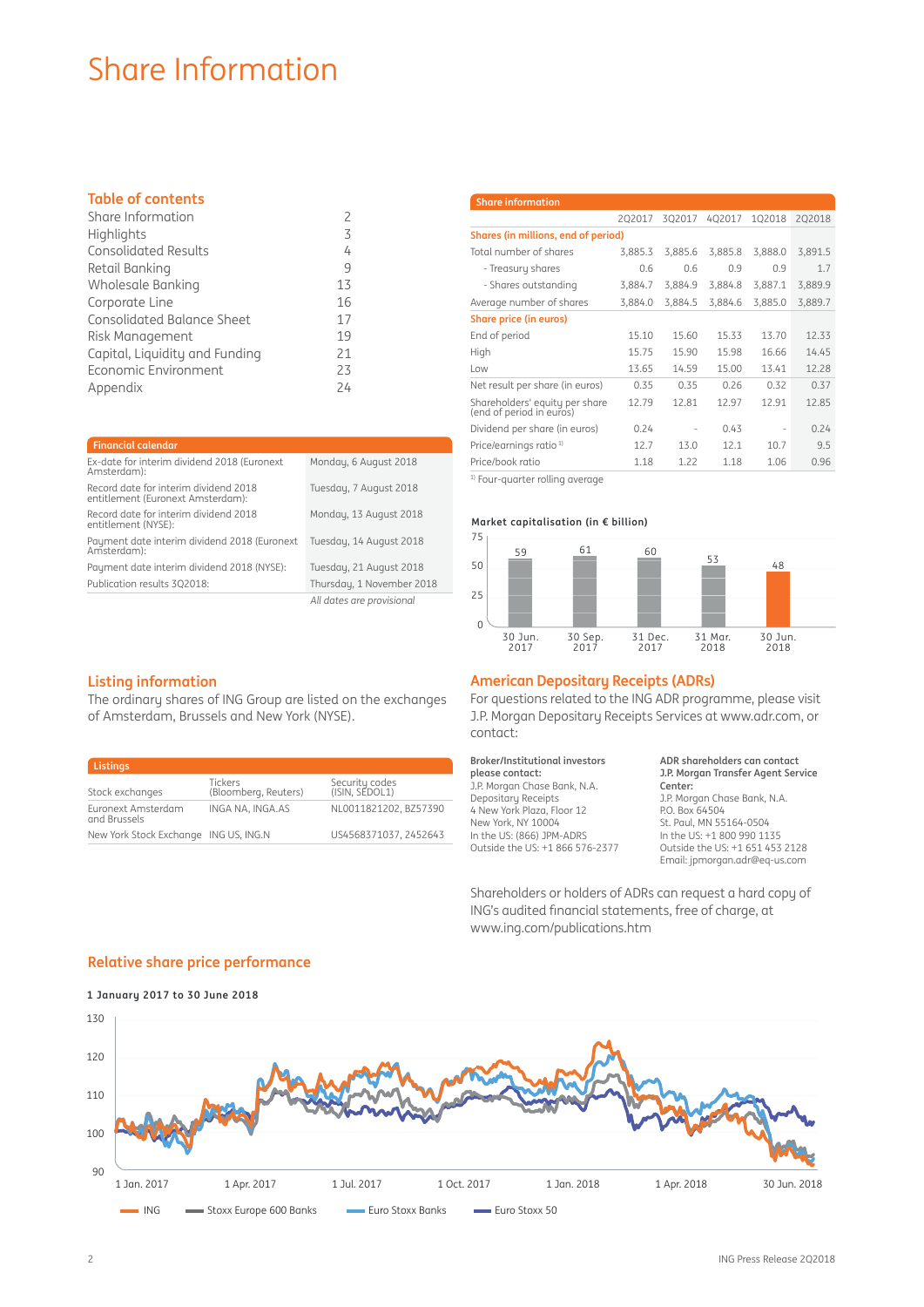## Share Information

## **Table of contents**

| Share Information                 |    |
|-----------------------------------|----|
| Highlights                        | 3  |
| <b>Consolidated Results</b>       | 4  |
| Retail Banking                    | 9  |
| Wholesale Banking                 | 13 |
| Corporate Line                    | 16 |
| <b>Consolidated Balance Sheet</b> | 17 |
| Risk Management                   | 19 |
| Capital, Liquidity and Funding    | 21 |
| Economic Environment              | 23 |
| Appendix                          | 74 |

| <b>Share information</b>                                   |         |                                   |         |                          |         |
|------------------------------------------------------------|---------|-----------------------------------|---------|--------------------------|---------|
|                                                            | 202017  | 302017                            | 402017  | 102018                   | 2Q2018  |
| Shares (in millions, end of period)                        |         |                                   |         |                          |         |
| Total number of shares                                     | 3.885.3 | 3.885.6                           | 3.885.8 | 3.888.0                  | 3,891.5 |
| - Treasury shares                                          | 0.6     | 0.6                               | 0.9     | 0.9                      | 1.7     |
| - Shares outstanding                                       | 3,884.7 | 3.884.9                           | 3,884.8 | 3,887.1                  | 3,889.9 |
| Average number of shares                                   | 3,884.0 | 3.884.5                           | 3.884.6 | 3.885.0                  | 3,889.7 |
| Share price (in euros)                                     |         |                                   |         |                          |         |
| End of period                                              | 15.10   | 15.60                             | 15.33   | 13.70                    | 12.33   |
| High                                                       | 15.75   | 15.90                             | 15.98   | 16.66                    | 14.45   |
| Low                                                        | 13.65   | 14.59                             | 15.00   | 13.41                    | 12.28   |
| Net result per share (in euros)                            | 0.35    | 0.35                              | 0.26    | 0.32                     | 0.37    |
| Shareholders' equity per share<br>(end of period in euros) | 12.79   | 12.81                             | 12.97   | 12.91                    | 12.85   |
| Dividend per share (in euros)                              | 0.24    | $\hspace{1.0cm} - \hspace{1.0cm}$ | 0.43    | $\overline{\phantom{a}}$ | 0.24    |
| Price/earnings ratio <sup>1)</sup>                         | 12.7    | 13.0                              | 12.1    | 10.7                     | 9.5     |
| Price/book ratio                                           | 1.18    | 1.22                              | 1.18    | 1.06                     | 0.96    |

| <b>Financial calendar</b>                                                  |                           |
|----------------------------------------------------------------------------|---------------------------|
| Ex-date for interim dividend 2018 (Euronext<br>Amsterdam):                 | Monday, 6 August 2018     |
| Record date for interim dividend 2018<br>entitlement (Euronext Amsterdam): | Tuesday, 7 August 2018    |
| Record date for interim dividend 2018<br>entitlement (NYSE):               | Monday, 13 August 2018    |
| Payment date interim dividend 2018 (Euronext<br>Amsterdam):                | Tuesday, 14 August 2018   |
| Payment date interim dividend 2018 (NYSE):                                 | Tuesday, 21 August 2018   |
| Publication results 3Q2018:                                                | Thursday, 1 November 2018 |
|                                                                            | All dates are provisional |

#### <sup>1)</sup> Four-quarter rolling average

#### **Market capitalisation (in × billion)**



## **Listing information**

The ordinary shares of ING Group are listed on the exchanges of Amsterdam, Brussels and New York (NYSE).

| <b>Listings</b>                       |                                        |                                  |
|---------------------------------------|----------------------------------------|----------------------------------|
| Stock exchanges                       | <b>Tickers</b><br>(Bloomberg, Reuters) | Security codes<br>(ISIN, SEDOL1) |
| Euronext Amsterdam<br>and Brussels    | INGA NA. INGA.AS                       | NL0011821202, BZ57390            |
| New York Stock Exchange ING US, ING.N |                                        | US4568371037.2452643             |

## **American Depositary Receipts (ADRs)**

For questions related to the ING ADR programme, please visit J.P. Morgan Depositary Receipts Services at www.adr.com, or contact:

### **Broker/Institutional investors**

**please contact:** J.P. Morgan Chase Bank, N.A. Depositary Receipts 4 New York Plaza, Floor 12 New York, NY 10004 In the US: (866) JPM-ADRS Outside the US: +1 866 576-2377

#### **ADR shareholders can contact J.P. Morgan Transfer Agent Service Center:** J.P. Morgan Chase Bank, N.A. P.O. Box 64504 St. Paul, MN 55164-0504

In the US: +1 800 990 1135 Outside the US: +1 651 453 2128 Email: jpmorgan.adr@eq-us.com

Shareholders or holders of ADRs can request a hard copy of ING's audited financial statements, free of charge, at www.ing.com/publications.htm



## **1 January 2017 to 30 June 2018**

**Relative share price performance**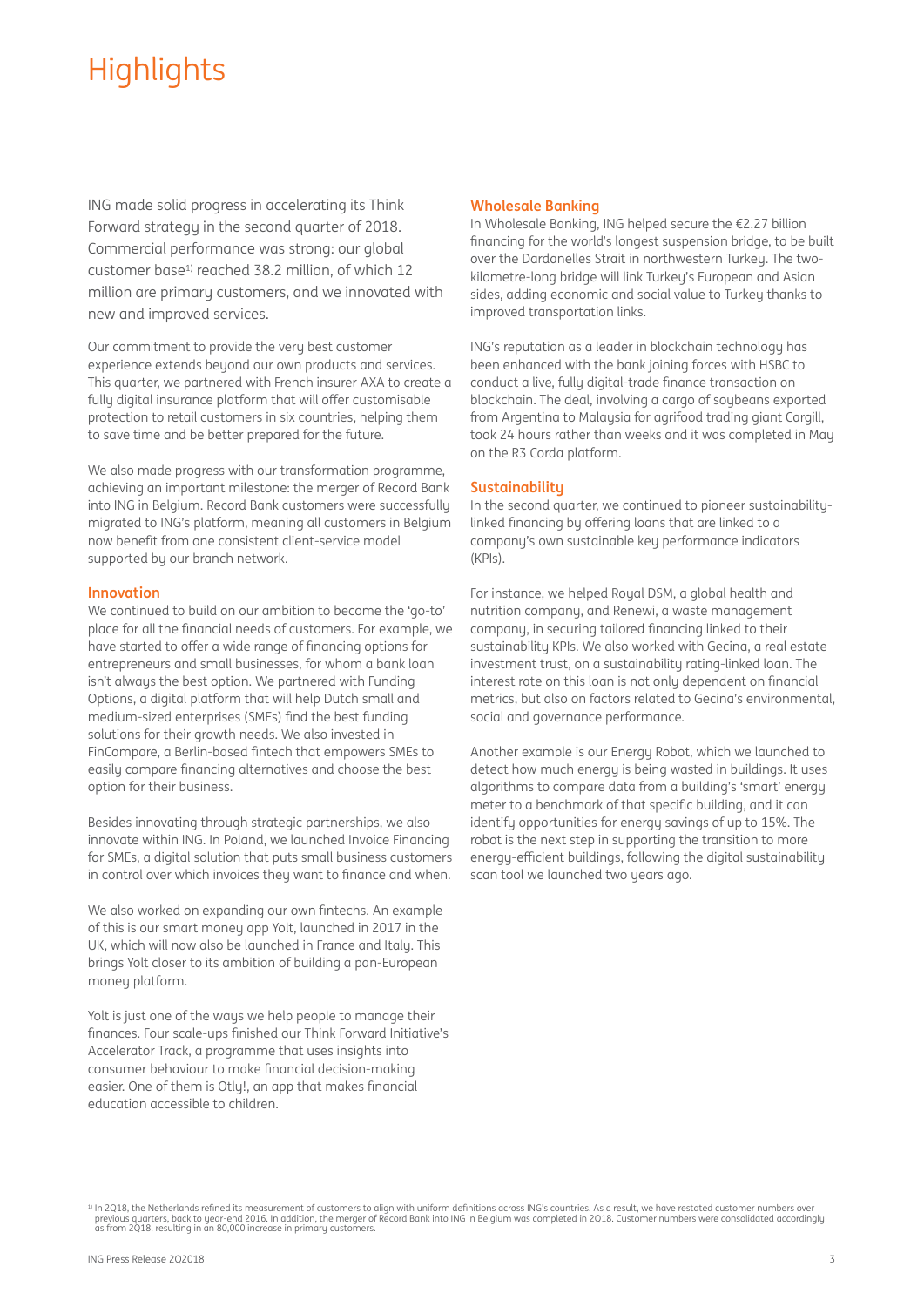# **Highlights**

ING made solid progress in accelerating its Think Forward strategy in the second quarter of 2018. Commercial performance was strong: our global customer base<sup>1)</sup> reached 38.2 million, of which 12 million are primary customers, and we innovated with new and improved services.

Our commitment to provide the very best customer experience extends beyond our own products and services. This quarter, we partnered with French insurer AXA to create a fully digital insurance platform that will offer customisable protection to retail customers in six countries, helping them to save time and be better prepared for the future.

We also made progress with our transformation programme, achieving an important milestone: the merger of Record Bank into ING in Belgium. Record Bank customers were successfully migrated to ING's platform, meaning all customers in Belgium now benefit from one consistent client-service model supported by our branch network.

### **Innovation**

We continued to build on our ambition to become the 'go-to' place for all the financial needs of customers. For example, we have started to offer a wide range of financing options for entrepreneurs and small businesses, for whom a bank loan isn't always the best option. We partnered with Funding Options, a digital platform that will help Dutch small and medium-sized enterprises (SMEs) find the best funding solutions for their growth needs. We also invested in FinCompare, a Berlin-based fintech that empowers SMEs to easily compare financing alternatives and choose the best option for their business.

Besides innovating through strategic partnerships, we also innovate within ING. In Poland, we launched Invoice Financing for SMEs, a digital solution that puts small business customers in control over which invoices they want to finance and when.

We also worked on expanding our own fintechs. An example of this is our smart money app Yolt, launched in 2017 in the UK, which will now also be launched in France and Italu. This brings Yolt closer to its ambition of building a pan-European money platform.

Yolt is just one of the ways we help people to manage their finances. Four scale-ups finished our Think Forward Initiative's Accelerator Track, a programme that uses insights into consumer behaviour to make financial decision-making easier. One of them is Otly!, an app that makes financial education accessible to children.

### **Wholesale Banking**

In Wholesale Banking, ING helped secure the €2.27 billion financing for the world's longest suspension bridge, to be built over the Dardanelles Strait in northwestern Turkey. The twokilometre-long bridge will link Turkey's European and Asian sides, adding economic and social value to Turkey thanks to improved transportation links.

ING's reputation as a leader in blockchain technology has been enhanced with the bank joining forces with HSBC to conduct a live, fully digital-trade finance transaction on blockchain. The deal, involving a cargo of soybeans exported from Argentina to Malaysia for agrifood trading giant Cargill, took 24 hours rather than weeks and it was completed in May on the R3 Corda platform.

### **Sustainability**

In the second quarter, we continued to pioneer sustainabilitylinked financing by offering loans that are linked to a company's own sustainable key performance indicators (KPIs).

For instance, we helped Royal DSM, a global health and nutrition company, and Renewi, a waste management company, in securing tailored financing linked to their sustainability KPIs. We also worked with Gecina, a real estate investment trust, on a sustainability rating-linked loan. The interest rate on this loan is not only dependent on financial metrics, but also on factors related to Gecina's environmental, social and governance performance.

Another example is our Energy Robot, which we launched to detect how much energy is being wasted in buildings. It uses algorithms to compare data from a building's 'smart' energy meter to a benchmark of that specific building, and it can identify opportunities for energy savings of up to 15%. The robot is the next step in supporting the transition to more energy-efficient buildings, following the digital sustainability scan tool we launched two years ago.

<sup>1)</sup> In 2Q18, the Netherlands refined its measurement of customers to alian with uniform definitions across ING's countries. As a result, we have restated customer numbers over previous quarters, back to year-end 2016. In addition, the merger of Record Bank into ING in Belgium was completed in 2Q18. Customer numbers were consolidated accordingly<br>as from 2Q18, resulting in an 80,000 increase in pr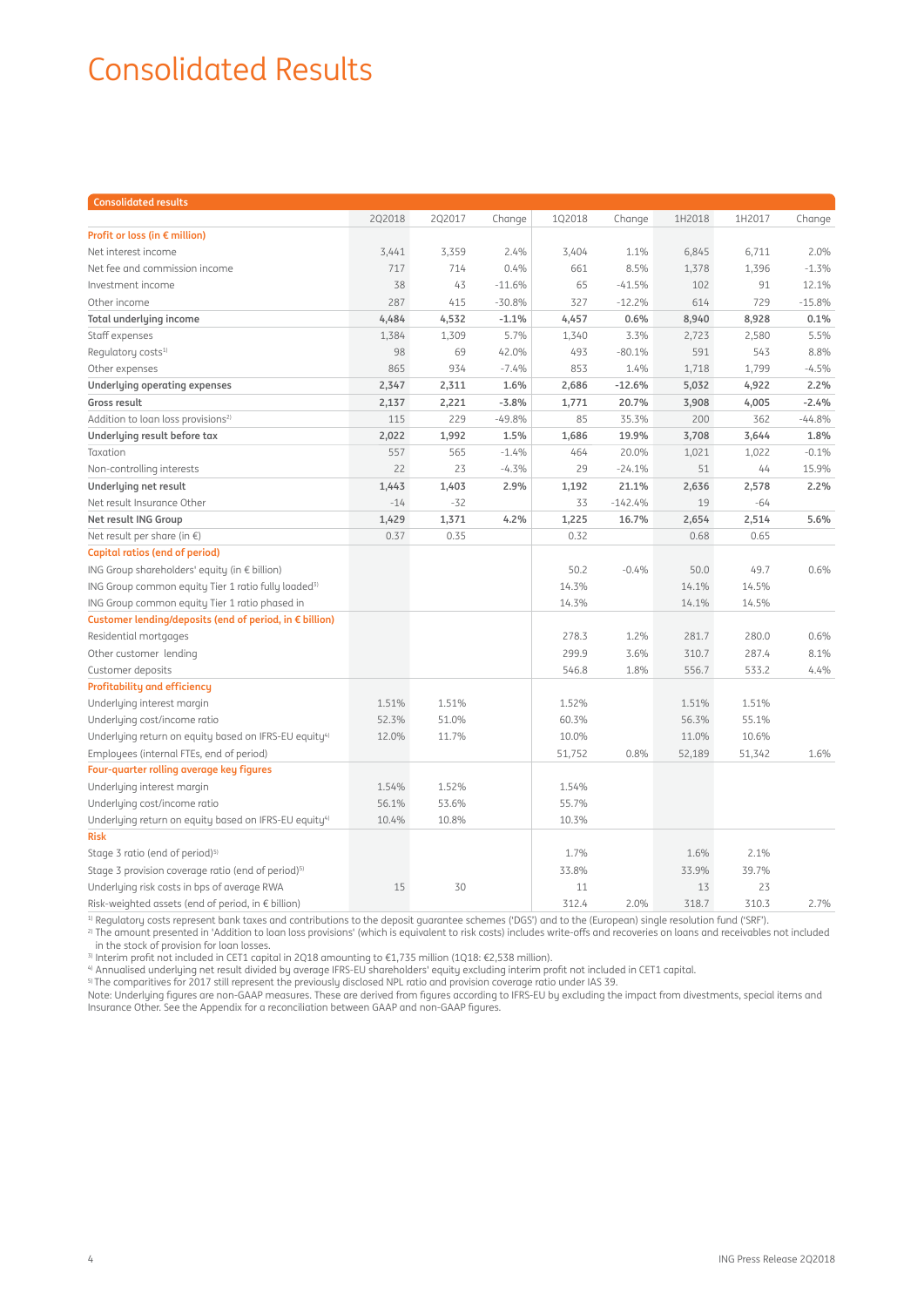| <b>Consolidated results</b>                                       |        |        |          |        |           |        |        |          |  |
|-------------------------------------------------------------------|--------|--------|----------|--------|-----------|--------|--------|----------|--|
|                                                                   | 2Q2018 | 2Q2017 | Change   | 1Q2018 | Change    | 1H2018 | 1H2017 | Change   |  |
| Profit or loss (in € million)                                     |        |        |          |        |           |        |        |          |  |
| Net interest income                                               | 3,441  | 3,359  | 2.4%     | 3,404  | 1.1%      | 6,845  | 6,711  | 2.0%     |  |
| Net fee and commission income                                     | 717    | 714    | 0.4%     | 661    | 8.5%      | 1,378  | 1,396  | $-1.3%$  |  |
| Investment income                                                 | 38     | 43     | $-11.6%$ | 65     | $-41.5%$  | 102    | 91     | 12.1%    |  |
| Other income                                                      | 287    | 415    | $-30.8%$ | 327    | $-12.2%$  | 614    | 729    | $-15.8%$ |  |
| Total underlying income                                           | 4,484  | 4,532  | $-1.1%$  | 4,457  | 0.6%      | 8,940  | 8,928  | 0.1%     |  |
| Staff expenses                                                    | 1,384  | 1,309  | 5.7%     | 1,340  | 3.3%      | 2,723  | 2,580  | 5.5%     |  |
| Regulatory costs <sup>1)</sup>                                    | 98     | 69     | 42.0%    | 493    | $-80.1%$  | 591    | 543    | 8.8%     |  |
| Other expenses                                                    | 865    | 934    | $-7.4%$  | 853    | 1.4%      | 1,718  | 1,799  | $-4.5%$  |  |
| Underlying operating expenses                                     | 2,347  | 2,311  | 1.6%     | 2,686  | $-12.6%$  | 5,032  | 4,922  | 2.2%     |  |
| Gross result                                                      | 2,137  | 2,221  | $-3.8%$  | 1,771  | 20.7%     | 3,908  | 4,005  | $-2.4%$  |  |
| Addition to loan loss provisions <sup>2)</sup>                    | 115    | 229    | $-49.8%$ | 85     | 35.3%     | 200    | 362    | $-44.8%$ |  |
| Underlying result before tax                                      | 2,022  | 1,992  | 1.5%     | 1,686  | 19.9%     | 3,708  | 3,644  | 1.8%     |  |
| Taxation                                                          | 557    | 565    | $-1.4%$  | 464    | 20.0%     | 1,021  | 1,022  | $-0.1%$  |  |
| Non-controlling interests                                         | 22     | 23     | $-4.3%$  | 29     | $-24.1%$  | 51     | 44     | 15.9%    |  |
| Underlying net result                                             | 1,443  | 1,403  | 2.9%     | 1,192  | 21.1%     | 2,636  | 2,578  | 2.2%     |  |
| Net result Insurance Other                                        | $-14$  | $-32$  |          | 33     | $-142.4%$ | 19     | $-64$  |          |  |
| Net result ING Group                                              | 1,429  | 1,371  | 4.2%     | 1,225  | 16.7%     | 2,654  | 2,514  | 5.6%     |  |
| Net result per share (in $\epsilon$ )                             | 0.37   | 0.35   |          | 0.32   |           | 0.68   | 0.65   |          |  |
| <b>Capital ratios (end of period)</b>                             |        |        |          |        |           |        |        |          |  |
| ING Group shareholders' equity (in € billion)                     |        |        |          | 50.2   | $-0.4%$   | 50.0   | 49.7   | 0.6%     |  |
| ING Group common equity Tier 1 ratio fully loaded <sup>3)</sup>   |        |        |          | 14.3%  |           | 14.1%  | 14.5%  |          |  |
| ING Group common equity Tier 1 ratio phased in                    |        |        |          | 14.3%  |           | 14.1%  | 14.5%  |          |  |
| Customer lending/deposits (end of period, in € billion)           |        |        |          |        |           |        |        |          |  |
| Residential mortgages                                             |        |        |          | 278.3  | 1.2%      | 281.7  | 280.0  | 0.6%     |  |
| Other customer lending                                            |        |        |          | 299.9  | 3.6%      | 310.7  | 287.4  | 8.1%     |  |
| Customer deposits                                                 |        |        |          | 546.8  | 1.8%      | 556.7  | 533.2  | 4.4%     |  |
| <b>Profitability and efficiency</b>                               |        |        |          |        |           |        |        |          |  |
| Underlying interest margin                                        | 1.51%  | 1.51%  |          | 1.52%  |           | 1.51%  | 1.51%  |          |  |
| Underlying cost/income ratio                                      | 52.3%  | 51.0%  |          | 60.3%  |           | 56.3%  | 55.1%  |          |  |
| Underlying return on equity based on IFRS-EU equity <sup>4)</sup> | 12.0%  | 11.7%  |          | 10.0%  |           | 11.0%  | 10.6%  |          |  |
| Employees (internal FTEs, end of period)                          |        |        |          | 51,752 | 0.8%      | 52,189 | 51,342 | 1.6%     |  |
| Four-quarter rolling average key figures                          |        |        |          |        |           |        |        |          |  |
| Underlying interest margin                                        | 1.54%  | 1.52%  |          | 1.54%  |           |        |        |          |  |
| Underlying cost/income ratio                                      | 56.1%  | 53.6%  |          | 55.7%  |           |        |        |          |  |
| Underlying return on equity based on IFRS-EU equity <sup>4)</sup> | 10.4%  | 10.8%  |          | 10.3%  |           |        |        |          |  |
| <b>Risk</b>                                                       |        |        |          |        |           |        |        |          |  |
| Stage 3 ratio (end of period) <sup>5)</sup>                       |        |        |          | 1.7%   |           | 1.6%   | 2.1%   |          |  |
| Stage 3 provision coverage ratio (end of period) <sup>5)</sup>    |        |        |          | 33.8%  |           | 33.9%  | 39.7%  |          |  |
| Underlying risk costs in bps of average RWA                       | 15     | 30     |          | 11     |           | 13     | 23     |          |  |
| Risk-weighted assets (end of period, in € billion)                |        |        |          | 312.4  | 2.0%      | 318.7  | 310.3  | 2.7%     |  |

 $^{\rm 1)}$  Regulatory costs represent bank taxes and contributions to the deposit guarantee schemes ('DGS') and to the (European) single resolution fund ('SRF').

 $^{2)}$  The amount presented in 'Addition to loan loss provisions' (which is equivalent to risk costs) includes write-offs and recoveries on loans and receivables not included in the stock of provision for loan losses.

3) Interim profi t not included in CET1 capital in 2Q18 amounting to €1,735 million (1Q18: €2,538 million).

4) Annualised underlying net result divided by average IFRS-EU shareholders' equity excluding interim profit not included in CET1 capital.

 $^{\rm 5)}$ The comparitives for 2017 still represent the previously disclosed NPL ratio and provision coverage ratio under IAS 39.

Note: Underlying figures are non-GAAP measures. These are derived from figures according to IFRS-EU by excluding the impact from divestments, special items and Insurance Other. See the Appendix for a reconciliation between GAAP and non-GAAP figures.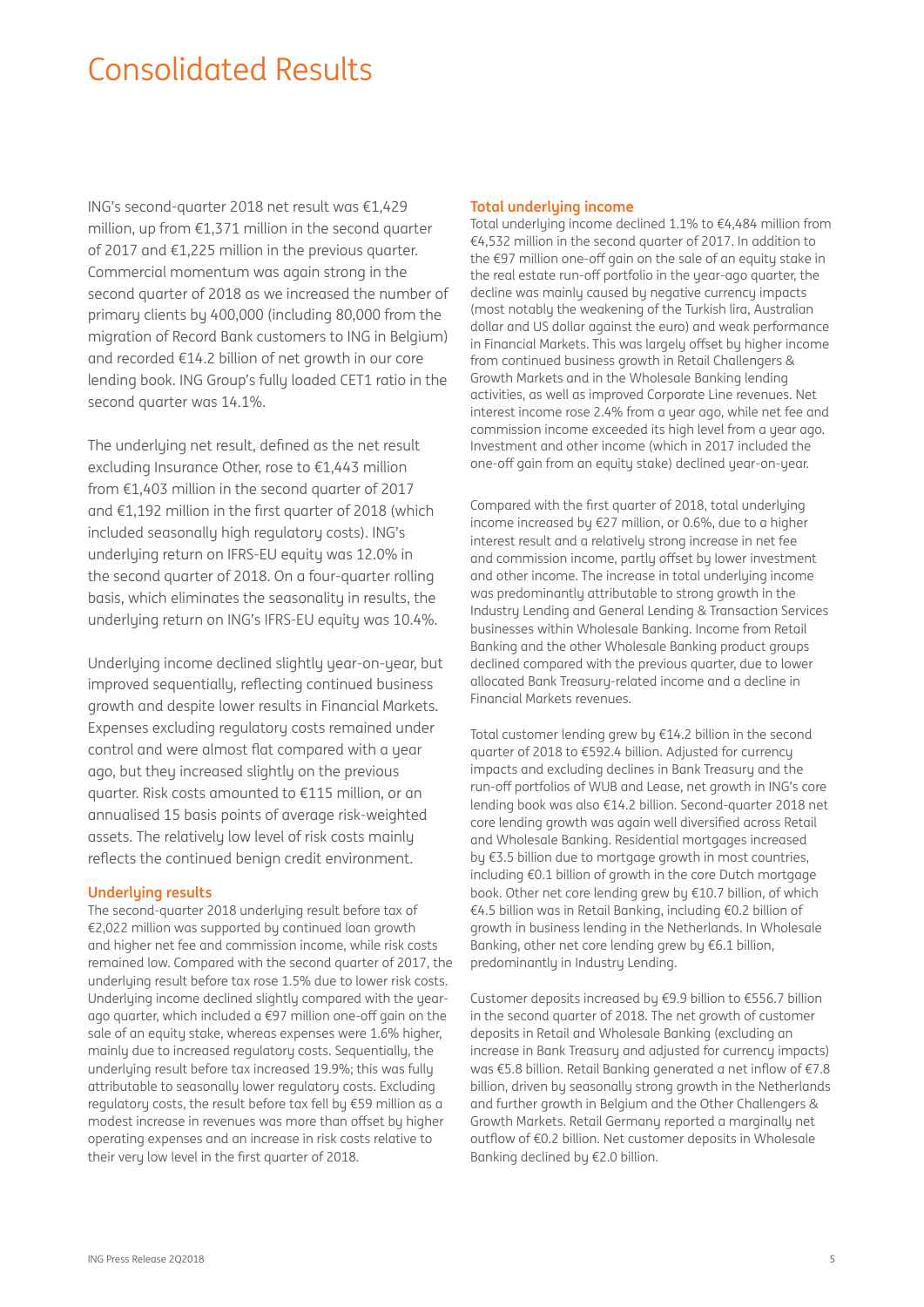ING's second-quarter 2018 net result was €1,429 million, up from €1,371 million in the second quarter of 2017 and €1,225 million in the previous quarter. Commercial momentum was again strong in the second quarter of 2018 as we increased the number of primary clients by 400,000 (including 80,000 from the migration of Record Bank customers to ING in Belgium) and recorded €14.2 billion of net growth in our core lending book. ING Group's fully loaded CET1 ratio in the second quarter was 14.1%.

The underlying net result, defined as the net result excluding Insurance Other, rose to €1,443 million from €1,403 million in the second quarter of 2017 and €1,192 million in the first quarter of 2018 (which included seasonally high regulatory costs). ING's underlying return on IFRS-EU equity was 12.0% in the second quarter of 2018. On a four-quarter rolling basis, which eliminates the seasonality in results, the underlying return on ING's IFRS-EU equity was 10.4%.

Underlying income declined slightly year-on-year, but improved sequentially, reflecting continued business growth and despite lower results in Financial Markets. Expenses excluding regulatory costs remained under control and were almost flat compared with a year ago, but they increased slightly on the previous quarter. Risk costs amounted to €115 million, or an annualised 15 basis points of average risk-weighted assets. The relatively low level of risk costs mainly reflects the continued benign credit environment.

## **Underlying results**

The second-quarter 2018 underluing result before tax of €2,022 million was supported by continued loan growth and higher net fee and commission income, while risk costs remained low. Compared with the second quarter of 2017, the underlying result before tax rose 1.5% due to lower risk costs. Underlying income declined slightly compared with the yearago quarter, which included a €97 million one-off gain on the sale of an equity stake, whereas expenses were 1.6% higher, mainly due to increased regulatory costs. Sequentially, the underlying result before tax increased 19.9%; this was fully attributable to seasonally lower regulatory costs. Excluding regulatory costs, the result before tax fell by €59 million as a modest increase in revenues was more than offset by higher operating expenses and an increase in risk costs relative to their very low level in the first quarter of 2018.

### **Total underlying income**

Total underlying income declined 1.1% to €4,484 million from €4,532 million in the second quarter of 2017. In addition to the €97 million one-off gain on the sale of an equity stake in the real estate run-off portfolio in the year-ago quarter, the decline was mainly caused by negative currency impacts (most notably the weakening of the Turkish lira, Australian dollar and US dollar against the euro) and weak performance in Financial Markets. This was largely offset by higher income from continued business growth in Retail Challengers & Growth Markets and in the Wholesale Banking lending activities, as well as improved Corporate Line revenues. Net interest income rose 2.4% from a year ago, while net fee and commission income exceeded its high level from a year ago. Investment and other income (which in 2017 included the one-off gain from an equity stake) declined year-on-year.

Compared with the first quarter of 2018, total underlying income increased by €27 million, or 0.6%, due to a higher interest result and a relatively strong increase in net fee and commission income, partly offset by lower investment and other income. The increase in total underlying income was predominantly attributable to strong growth in the Industry Lending and General Lending & Transaction Services businesses within Wholesale Banking. Income from Retail Banking and the other Wholesale Banking product groups declined compared with the previous quarter, due to lower allocated Bank Treasury-related income and a decline in Financial Markets revenues.

Total customer lending grew by €14.2 billion in the second quarter of 2018 to €592.4 billion. Adjusted for currency impacts and excluding declines in Bank Treasury and the run-off portfolios of WUB and Lease, net growth in ING's core lending book was also €14.2 billion. Second-quarter 2018 net core lending growth was again well diversified across Retail and Wholesale Banking. Residential mortgages increased by €3.5 billion due to mortgage growth in most countries, including €0.1 billion of growth in the core Dutch mortgage book. Other net core lending grew by €10.7 billion, of which €4.5 billion was in Retail Banking, including €0.2 billion of growth in business lending in the Netherlands. In Wholesale Banking, other net core lending grew by €6.1 billion, predominantly in Industry Lending.

Customer deposits increased by €9.9 billion to €556.7 billion in the second quarter of 2018. The net growth of customer deposits in Retail and Wholesale Banking (excluding an increase in Bank Treasury and adjusted for currency impacts) was €5.8 billion. Retail Banking generated a net inflow of €7.8 billion, driven by seasonally strong growth in the Netherlands and further growth in Belgium and the Other Challengers & Growth Markets. Retail Germany reported a marginally net outflow of €0.2 billion. Net customer deposits in Wholesale Banking declined by €2.0 billion.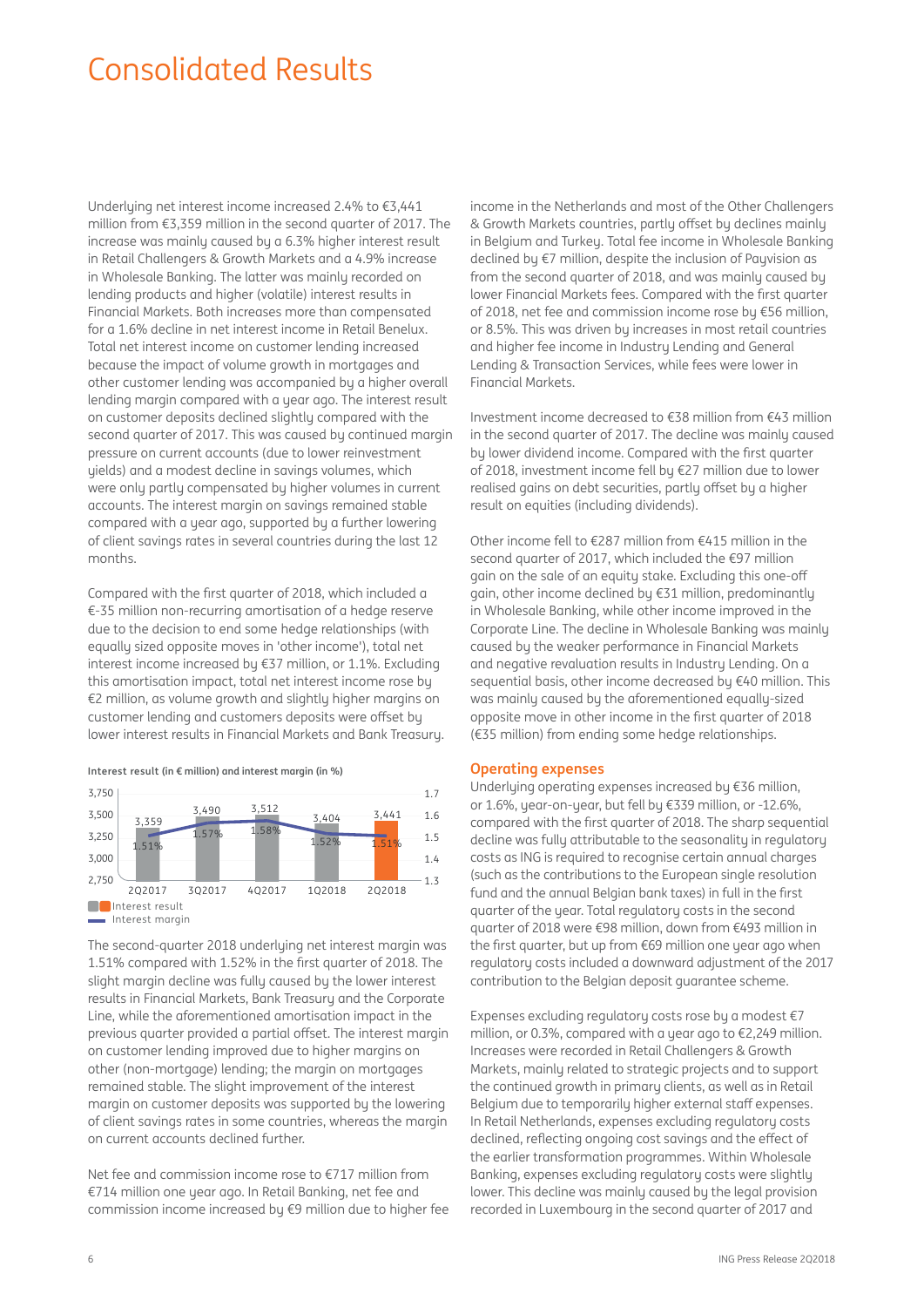Underlying net interest income increased 2.4% to €3,441 million from €3,359 million in the second quarter of 2017. The increase was mainly caused by a 6.3% higher interest result in Retail Challengers & Growth Markets and a 4.9% increase in Wholesale Banking. The latter was mainly recorded on lending products and higher (volatile) interest results in Financial Markets. Both increases more than compensated for a 1.6% decline in net interest income in Retail Benelux. Total net interest income on customer lending increased because the impact of volume growth in mortgages and other customer lending was accompanied by a higher overall lending margin compared with a year ago. The interest result on customer deposits declined slightly compared with the second quarter of 2017. This was caused by continued margin pressure on current accounts (due to lower reinvestment uields) and a modest decline in savinas volumes, which were only partly compensated by higher volumes in current accounts. The interest margin on savings remained stable compared with a year ago, supported by a further lowering of client savings rates in several countries during the last 12 months.

Compared with the first quarter of 2018, which included a €-35 million non-recurring amortisation of a hedge reserve due to the decision to end some hedge relationships (with equally sized opposite moves in 'other income'), total net interest income increased by €37 million, or 1.1%. Excluding this amortisation impact, total net interest income rose by €2 million, as volume growth and slightly higher margins on customer lending and customers deposits were offset by lower interest results in Financial Markets and Bank Treasury.

**Interest result (in € million) and interest margin (in %)**



The second-quarter 2018 underlying net interest margin was 1.51% compared with 1.52% in the first quarter of 2018. The slight margin decline was fully caused by the lower interest results in Financial Markets, Bank Treasury and the Corporate Line, while the aforementioned amortisation impact in the previous quarter provided a partial offset. The interest margin on customer lending improved due to higher margins on other (non-mortgage) lending; the margin on mortgages remained stable. The slight improvement of the interest margin on customer deposits was supported by the lowering of client savings rates in some countries, whereas the margin on current accounts declined further.

Net fee and commission income rose to €717 million from €714 million one year ago. In Retail Banking, net fee and commission income increased by €9 million due to higher fee income in the Netherlands and most of the Other Challengers & Growth Markets countries, partly offset by declines mainly in Belgium and Turkey. Total fee income in Wholesale Banking declined by €7 million, despite the inclusion of Payvision as from the second quarter of 2018, and was mainly caused by lower Financial Markets fees. Compared with the first quarter of 2018, net fee and commission income rose by €56 million, or 8.5%. This was driven by increases in most retail countries and higher fee income in Industry Lending and General Lending & Transaction Services, while fees were lower in Financial Markets.

Investment income decreased to €38 million from €43 million in the second quarter of 2017. The decline was mainly caused by lower dividend income. Compared with the first quarter of 2018, investment income fell by €27 million due to lower realised gains on debt securities, partly offset by a higher result on equities (including dividends).

Other income fell to €287 million from €415 million in the second quarter of 2017, which included the €97 million gain on the sale of an equity stake. Excluding this one-off gain, other income declined by €31 million, predominantly in Wholesale Banking, while other income improved in the Corporate Line. The decline in Wholesale Banking was mainly caused by the weaker performance in Financial Markets and negative revaluation results in Industry Lending. On a sequential basis, other income decreased by €40 million. This was mainly caused by the aforementioned equally-sized opposite move in other income in the first quarter of 2018 (€35 million) from ending some hedge relationships.

#### **Operating expenses**

Underlying operating expenses increased by €36 million, or 1.6%, year-on-year, but fell by €339 million, or -12.6%, compared with the first quarter of 2018. The sharp sequential decline was fully attributable to the seasonality in regulatory costs as ING is required to recognise certain annual charges (such as the contributions to the European single resolution fund and the annual Belgian bank taxes) in full in the first quarter of the year. Total regulatory costs in the second quarter of 2018 were €98 million, down from €493 million in the first quarter, but up from  $€69$  million one year ago when regulatory costs included a downward adjustment of the 2017 contribution to the Belgian deposit guarantee scheme.

Expenses excluding regulatory costs rose by a modest €7 million, or 0.3%, compared with a year ago to €2,249 million. Increases were recorded in Retail Challengers & Growth Markets, mainly related to strategic projects and to support the continued growth in primary clients, as well as in Retail Belgium due to temporarily higher external staff expenses. In Retail Netherlands, expenses excluding regulatory costs declined, reflecting ongoing cost savings and the effect of the earlier transformation programmes. Within Wholesale Banking, expenses excluding regulatory costs were slightly lower. This decline was mainly caused by the legal provision recorded in Luxembourg in the second quarter of 2017 and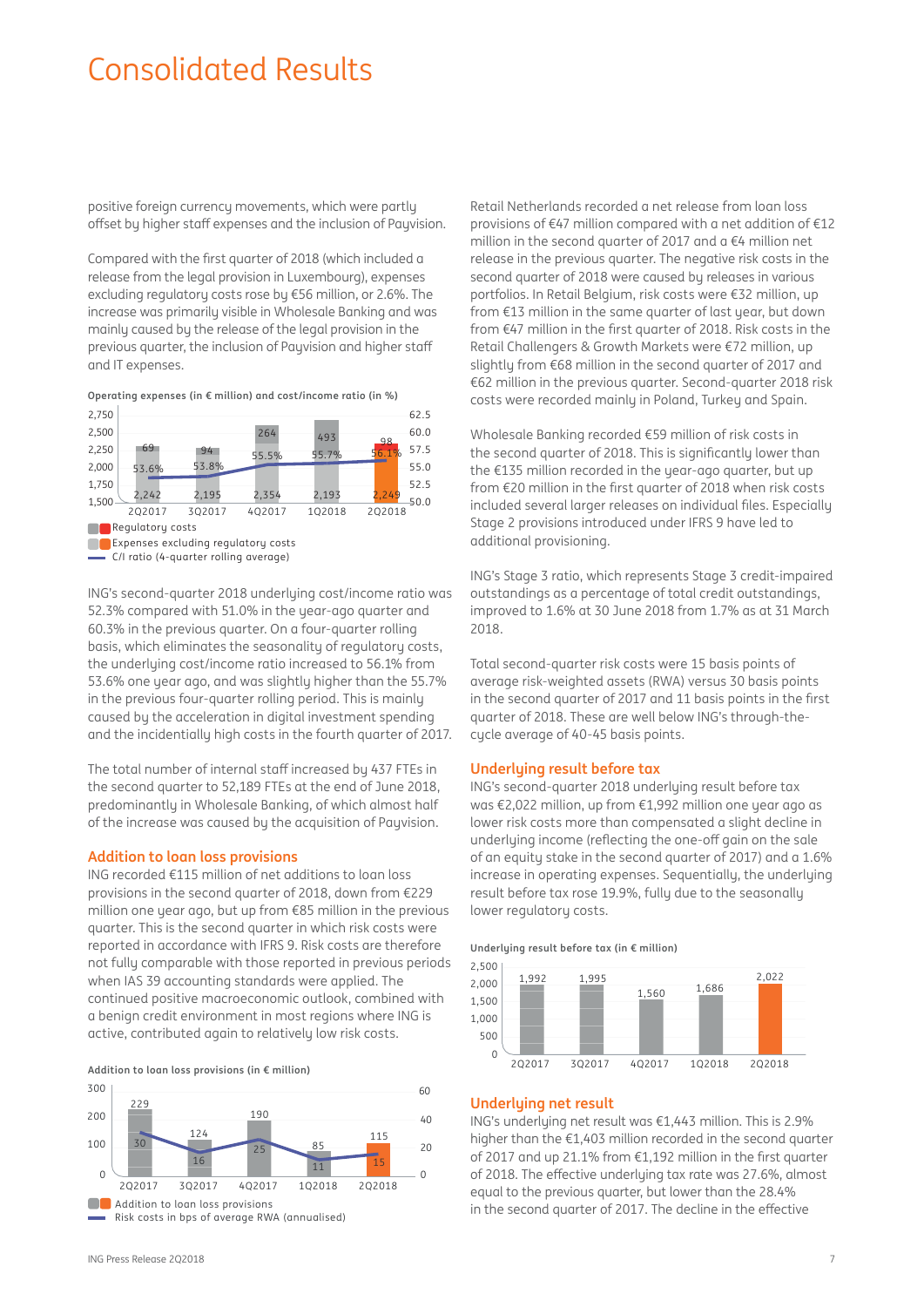positive foreign currency movements, which were partly offset by higher staff expenses and the inclusion of Payvision.

Compared with the first quarter of 2018 (which included a release from the legal provision in Luxembourg), expenses excluding regulatory costs rose by €56 million, or 2.6%. The increase was primarily visible in Wholesale Banking and was mainly caused by the release of the legal provision in the previous quarter, the inclusion of Payvision and higher staff and IT expenses.

**Operating expenses (in € million) and cost/income ratio (in %)**



ING's second-quarter 2018 underlying cost/income ratio was 52.3% compared with 51.0% in the year-ago quarter and 60.3% in the previous quarter. On a four-quarter rolling basis, which eliminates the seasonality of regulatory costs, the underlying cost/income ratio increased to 56.1% from 53.6% one year ago, and was slightly higher than the 55.7% in the previous four-quarter rolling period. This is mainly caused by the acceleration in digital investment spending and the incidentially high costs in the fourth quarter of 2017.

The total number of internal staff increased by 437 FTEs in the second quarter to 52,189 FTEs at the end of June 2018, predominantly in Wholesale Banking, of which almost half of the increase was caused by the acquisition of Payvision.

#### **Addition to loan loss provisions**

ING recorded €115 million of net additions to loan loss provisions in the second quarter of 2018, down from €229 million one year ago, but up from €85 million in the previous quarter. This is the second quarter in which risk costs were reported in accordance with IFRS 9. Risk costs are therefore not fully comparable with those reported in previous periods when IAS 39 accounting standards were applied. The continued positive macroeconomic outlook, combined with a benign credit environment in most regions where ING is active, contributed again to relatively low risk costs.



**Addition to loan loss provisions (in € million)**

Retail Netherlands recorded a net release from loan loss provisions of €47 million compared with a net addition of €12 million in the second quarter of 2017 and a €4 million net release in the previous quarter. The negative risk costs in the second quarter of 2018 were caused by releases in various portfolios. In Retail Belgium, risk costs were €32 million, up from €13 million in the same quarter of last year, but down from  $E$ 47 million in the first quarter of 2018. Risk costs in the Retail Challengers & Growth Markets were €72 million, up slightly from €68 million in the second quarter of 2017 and €62 million in the previous quarter. Second-quarter 2018 risk costs were recorded mainly in Poland, Turkey and Spain.

Wholesale Banking recorded €59 million of risk costs in the second quarter of 2018. This is significantly lower than the €135 million recorded in the year-ago quarter, but up from  $E20$  million in the first quarter of 2018 when risk costs included several larger releases on individual files. Especially Stage 2 provisions introduced under IFRS 9 have led to additional provisioning.

ING's Stage 3 ratio, which represents Stage 3 credit-impaired outstandings as a percentage of total credit outstandings, improved to 1.6% at 30 June 2018 from 1.7% as at 31 March 2018.

Total second-quarter risk costs were 15 basis points of average risk-weighted assets (RWA) versus 30 basis points in the second quarter of 2017 and 11 basis points in the first quarter of 2018. These are well below ING's through-thecycle average of 40-45 basis points.

#### **Underlying result before tax**

ING's second-quarter 2018 underlying result before tax was €2,022 million, up from €1,992 million one year ago as lower risk costs more than compensated a slight decline in underlying income (reflecting the one-off gain on the sale of an equity stake in the second quarter of 2017) and a 1.6% increase in operating expenses. Sequentially, the underlying result before tax rose 19.9%, fully due to the seasonally lower regulatory costs.

**Underlying result before tax (in € million)**



#### **Underlying net result**

ING's underlying net result was €1,443 million. This is 2.9% higher than the €1,403 million recorded in the second quarter of 2017 and up 21.1% from  $£1,192$  million in the first quarter of 2018. The effective underlying tax rate was 27.6%, almost equal to the previous quarter, but lower than the 28.4% in the second quarter of 2017. The decline in the effective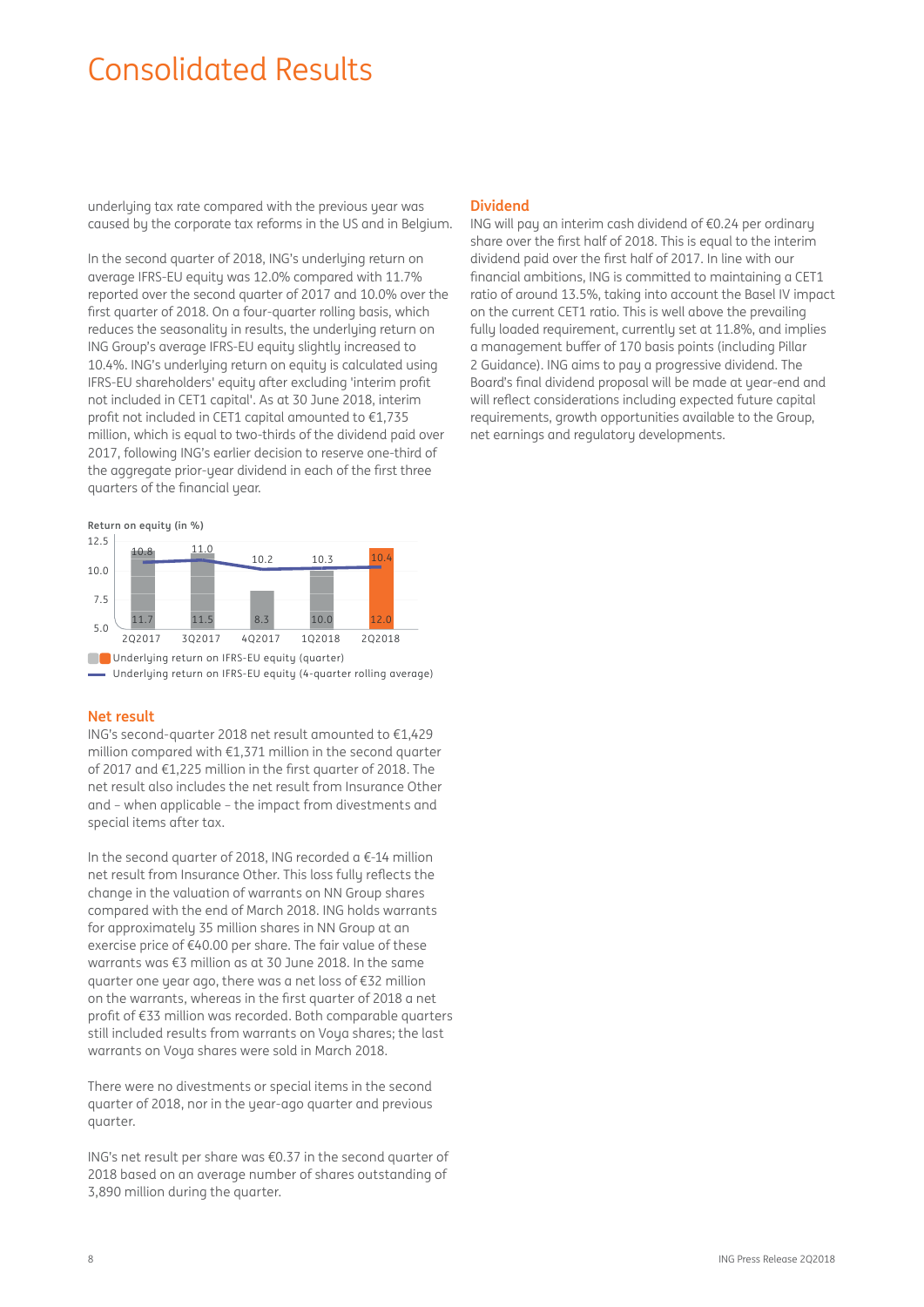underlying tax rate compared with the previous year was caused by the corporate tax reforms in the US and in Belgium.

In the second quarter of 2018, ING's underlying return on average IFRS-EU equity was 12.0% compared with 11.7% reported over the second quarter of 2017 and 10.0% over the first quarter of 2018. On a four-quarter rolling basis, which reduces the seasonality in results, the underlying return on ING Group's average IFRS-EU equity slightly increased to 10.4%. ING's underlying return on equity is calculated using IFRS-EU shareholders' equity after excluding 'interim profit not included in CET1 capital'. As at 30 June 2018, interim profit not included in CET1 capital amounted to  $£1,735$ million, which is equal to two-thirds of the dividend paid over 2017, following ING's earlier decision to reserve one-third of the aggregate prior-year dividend in each of the first three quarters of the financial year.

#### **Return on equity (in %)**



#### **Net result**

ING's second-quarter 2018 net result amounted to €1,429 million compared with €1,371 million in the second quarter of 2017 and  $E1$ , 225 million in the first quarter of 2018. The net result also includes the net result from Insurance Other and – when applicable – the impact from divestments and special items after tax.

In the second quarter of 2018, ING recorded a  $\epsilon$ -14 million net result from Insurance Other. This loss fully reflects the change in the valuation of warrants on NN Group shares compared with the end of March 2018. ING holds warrants for approximately 35 million shares in NN Group at an exercise price of €40.00 per share. The fair value of these warrants was €3 million as at 30 June 2018. In the same quarter one year ago, there was a net loss of €32 million on the warrants, whereas in the first quarter of 2018 a net profit of €33 million was recorded. Both comparable quarters still included results from warrants on Voya shares; the last warrants on Voya shares were sold in March 2018.

There were no divestments or special items in the second quarter of 2018, nor in the year-ago quarter and previous quarter.

ING's net result per share was €0.37 in the second quarter of 2018 based on an average number of shares outstanding of 3,890 million during the quarter.

#### **Dividend**

ING will pay an interim cash dividend of €0.24 per ordinary share over the first half of 2018. This is equal to the interim dividend paid over the first half of 2017. In line with our financial ambitions, ING is committed to maintaining a CET1 ratio of around 13.5%, taking into account the Basel IV impact on the current CET1 ratio. This is well above the prevailing fully loaded requirement, currently set at 11.8%, and implies a management buffer of 170 basis points (including Pillar 2 Guidance). ING aims to pay a progressive dividend. The Board's final dividend proposal will be made at year-end and will reflect considerations including expected future capital requirements, growth opportunities available to the Group, net earnings and regulatory developments.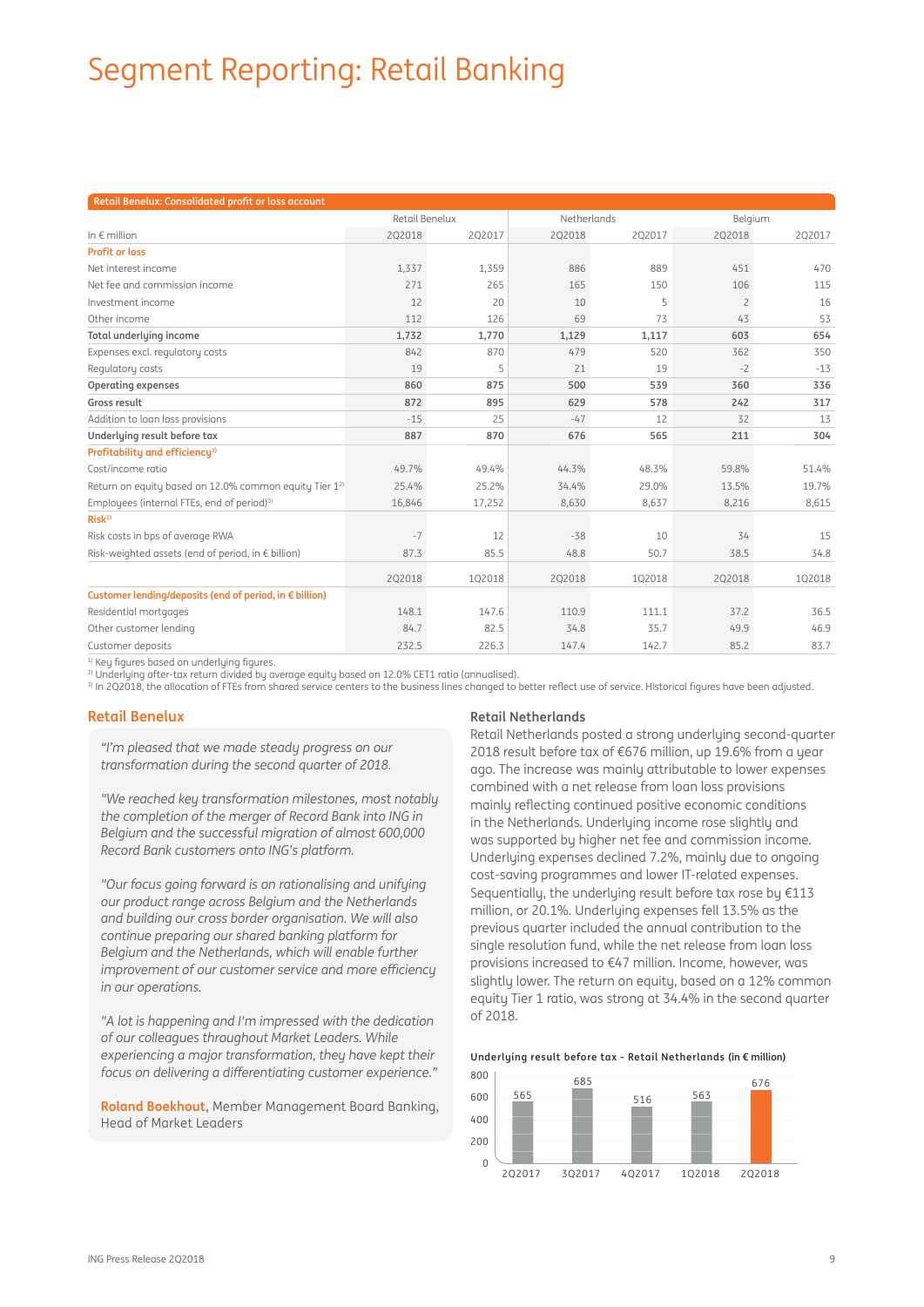| Retail Benelux: Consolidated profit or loss account                |                |        |             |        |                |        |
|--------------------------------------------------------------------|----------------|--------|-------------|--------|----------------|--------|
|                                                                    | Retail Benelux |        | Netherlands |        | Belgium        |        |
| In $\epsilon$ million                                              | 202018         | 202017 | 202018      | 202017 | 2Q2018         | 202017 |
| <b>Profit or loss</b>                                              |                |        |             |        |                |        |
| Net interest income                                                | 1,337          | 1,359  | 886         | 889    | 451            | 470    |
| Net fee and commission income                                      | 271            | 265    | 165         | 150    | 106            | 115    |
| Investment income                                                  | 12             | 20     | 10          | 5      | $\overline{2}$ | 16     |
| Other income                                                       | 112            | 126    | 69          | 73     | 43             | 53     |
| Total underlying income                                            | 1,732          | 1,770  | 1,129       | 1,117  | 603            | 654    |
| Expenses excl. regulatory costs                                    | 842            | 870    | 479         | 520    | 362            | 350    |
| Regulatory costs                                                   | 19             | 5      | 21          | 19     | $-2$           | $-13$  |
| <b>Operating expenses</b>                                          | 860            | 875    | 500         | 539    | 360            | 336    |
| Gross result                                                       | 872            | 895    | 629         | 578    | 242            | 317    |
| Addition to loan loss provisions                                   | $-15$          | 25     | $-47$       | 12     | 32             | 13     |
| Underlying result before tax                                       | 887            | 870    | 676         | 565    | 211            | 304    |
| Profitability and efficiency <sup>1)</sup>                         |                |        |             |        |                |        |
| Cost/income ratio                                                  | 49.7%          | 49.4%  | 44.3%       | 48.3%  | 59.8%          | 51.4%  |
| Return on equity based on 12.0% common equity Tier 1 <sup>2)</sup> | 25.4%          | 25.2%  | 34.4%       | 29.0%  | 13.5%          | 19.7%  |
| Employees (internal FTEs, end of period) <sup>3)</sup>             | 16,846         | 17,252 | 8,630       | 8,637  | 8,216          | 8,615  |
| Risk <sup>1</sup>                                                  |                |        |             |        |                |        |
| Risk costs in bps of average RWA                                   | $-7$           | 12     | $-38$       | 10     | 34             | 15     |
| Risk-weighted assets (end of period, in $\epsilon$ billion)        | 87.3           | 85.5   | 48.8        | 50.7   | 38.5           | 34.8   |
|                                                                    | 2Q2018         | 102018 | 2Q2018      | 102018 | 202018         | 102018 |
| Customer lending/deposits (end of period, in € billion)            |                |        |             |        |                |        |
| Residential mortgages                                              | 148.1          | 147.6  | 110.9       | 111.1  | 37.2           | 36.5   |
| Other customer lending                                             | 84.7           | 82.5   | 34.8        | 35.7   | 49.9           | 46.9   |
| Customer deposits                                                  | 232.5          | 226.3  | 147.4       | 142.7  | 85.2           | 83.7   |

<sup>1)</sup> Key figures based on underlying figures.

2) Underlying after-tax return divided by average equity based on 12.0% CET1 ratio (annualised).

<sup>3)</sup> In 2Q2018, the allocation of FTEs from shared service centers to the business lines changed to better reflect use of service. Historical figures have been adjusted.

#### **Retail Benelux**

*"I'm pleased that we made steady progress on our transformation during the second quarter of 2018.* 

*"We reached key transformation milestones, most notably the completion of the merger of Record Bank into ING in Belgium and the successful migration of almost 600,000 Record Bank customers onto ING's platform.*

*"Our focus going forward is on rationalising and unifying our product range across Belgium and the Netherlands and building our cross border organisation. We will also continue preparing our shared banking platform for Belgium and the Netherlands, which will enable further improvement of our customer service and more efficiency in our operations.* 

*"A lot is happening and I'm impressed with the dedication of our colleagues throughout Market Leaders. While experiencing a major transformation, they have kept their*  focus on delivering a differentiating customer experience."

**Roland Boekhout**, Member Management Board Banking, Head of Market Leaders

#### **Retail Netherlands**

Retail Netherlands posted a strong underlying second-quarter 2018 result before tax of €676 million, up 19.6% from a year ago. The increase was mainly attributable to lower expenses combined with a net release from loan loss provisions mainly reflecting continued positive economic conditions in the Netherlands. Underlying income rose slightly and was supported by higher net fee and commission income. Underlying expenses declined 7.2%, mainly due to ongoing cost-saving programmes and lower IT-related expenses. Sequentially, the underlying result before tax rose by €113 million, or 20.1%. Underluing expenses fell 13.5% as the previous quarter included the annual contribution to the single resolution fund, while the net release from loan loss provisions increased to €47 million. Income, however, was slightly lower. The return on equity, based on a 12% common equity Tier 1 ratio, was strong at 34.4% in the second quarter of 2018.

#### **Underlying result before tax - Retail Netherlands (in € million)**

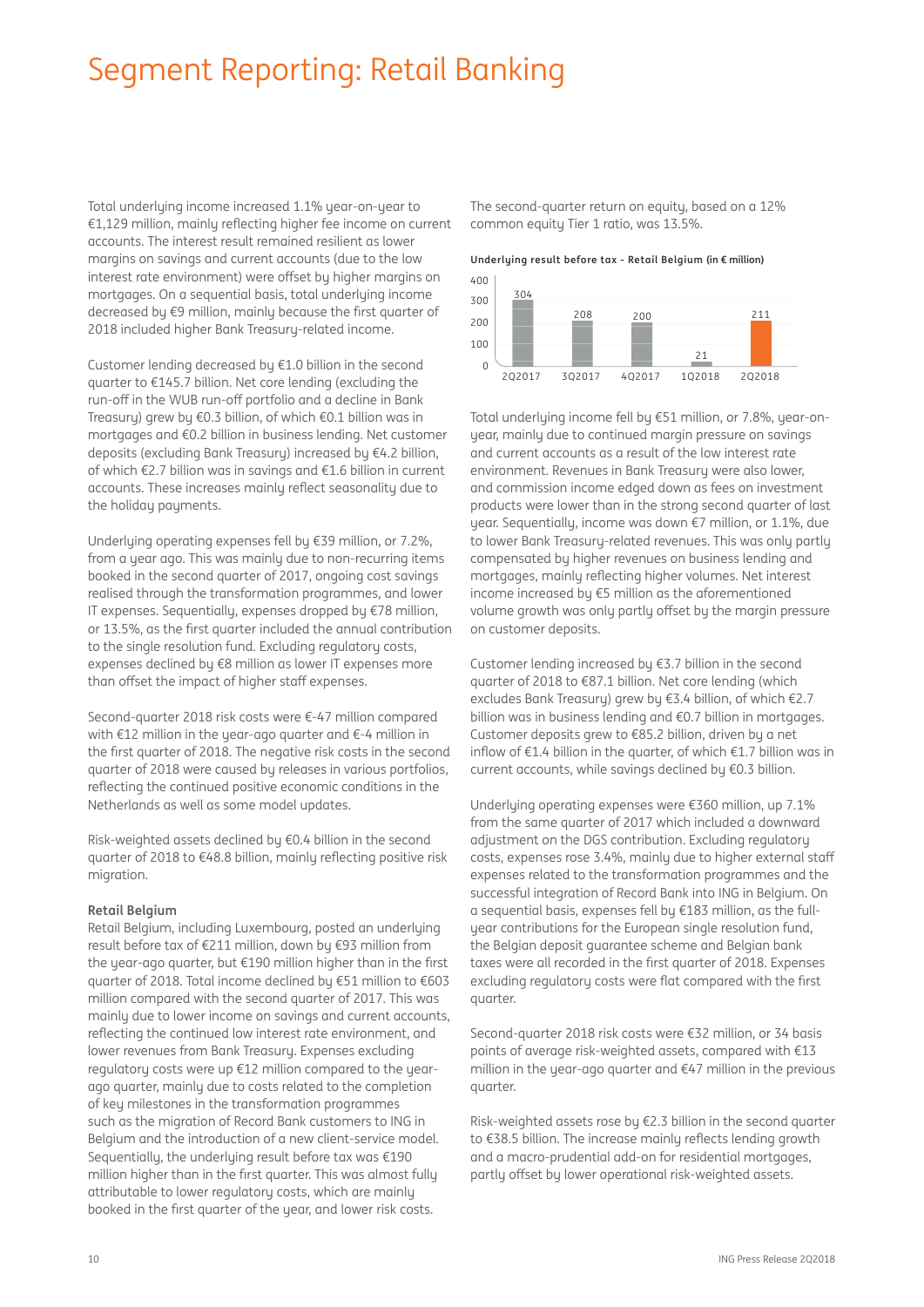Total underlying income increased 1.1% year-on-year to €1,129 million, mainly reflecting higher fee income on current accounts. The interest result remained resilient as lower margins on savings and current accounts (due to the low interest rate environment) were offset by higher margins on mortgages. On a sequential basis, total underlying income decreased by  $€9$  million, mainly because the first quarter of 2018 included higher Bank Treasury-related income.

Customer lending decreased by €1.0 billion in the second quarter to €145.7 billion. Net core lending (excluding the run-off in the WUB run-off portfolio and a decline in Bank Treasury) grew by €0.3 billion, of which €0.1 billion was in mortgages and €0.2 billion in business lending. Net customer deposits (excluding Bank Treasury) increased by €4.2 billion, of which €2.7 billion was in savings and €1.6 billion in current accounts. These increases mainly reflect seasonality due to the holiday payments.

Underlying operating expenses fell by €39 million, or 7.2%, from a year ago. This was mainly due to non-recurring items booked in the second quarter of 2017, ongoing cost savings realised through the transformation programmes, and lower IT expenses. Sequentially, expenses dropped by €78 million, or 13.5%, as the first quarter included the annual contribution to the single resolution fund. Excluding regulatory costs, expenses declined by €8 million as lower IT expenses more than offset the impact of higher staff expenses.

Second-quarter 2018 risk costs were €-47 million compared with €12 million in the year-ago quarter and €-4 million in the first quarter of 2018. The negative risk costs in the second quarter of 2018 were caused by releases in various portfolios, reflecting the continued positive economic conditions in the Netherlands as well as some model updates.

Risk-weighted assets declined by €0.4 billion in the second quarter of 2018 to €48.8 billion, mainly reflecting positive risk migration.

### **Retail Belgium**

Retail Belgium, including Luxembourg, posted an underluing result before tax of €211 million, down by €93 million from the year-ago quarter, but  $E$ 190 million higher than in the first quarter of 2018. Total income declined by €51 million to €603 million compared with the second quarter of 2017. This was mainly due to lower income on savings and current accounts, reflecting the continued low interest rate environment, and lower revenues from Bank Treasury. Expenses excluding regulatory costs were up €12 million compared to the yearago quarter, mainly due to costs related to the completion of key milestones in the transformation programmes such as the migration of Record Bank customers to ING in Belgium and the introduction of a new client-service model. Sequentially, the underlying result before tax was €190 million higher than in the first quarter. This was almost fully attributable to lower regulatory costs, which are mainly booked in the first quarter of the year, and lower risk costs.

The second-quarter return on equity, based on a 12% common equity Tier 1 ratio, was 13.5%.

**Underlying result before tax - Retail Belgium (in € million)** 



Total underlying income fell by €51 million, or 7.8%, year-onyear, mainly due to continued margin pressure on savings and current accounts as a result of the low interest rate environment. Revenues in Bank Treasury were also lower, and commission income edged down as fees on investment products were lower than in the strong second quarter of last year. Sequentially, income was down €7 million, or 1.1%, due to lower Bank Treasury-related revenues. This was only partly compensated by higher revenues on business lending and mortgages, mainly reflecting higher volumes. Net interest income increased by €5 million as the aforementioned volume growth was only partly offset by the margin pressure on customer deposits.

Customer lending increased by €3.7 billion in the second quarter of 2018 to €87.1 billion. Net core lending (which excludes Bank Treasury) grew by €3.4 billion, of which €2.7 billion was in business lending and €0.7 billion in mortgages. Customer deposits grew to €85.2 billion, driven by a net inflow of €1.4 billion in the quarter, of which €1.7 billion was in current accounts, while savings declined by €0.3 billion.

Underlying operating expenses were €360 million, up 7.1% from the same quarter of 2017 which included a downward adjustment on the DGS contribution. Excluding regulatory costs, expenses rose 3.4%, mainly due to higher external staff expenses related to the transformation programmes and the successful integration of Record Bank into ING in Belgium. On a sequential basis, expenses fell by €183 million, as the fulluear contributions for the European single resolution fund. the Belgian deposit guarantee scheme and Belgian bank taxes were all recorded in the first quarter of 2018. Expenses excluding regulatory costs were flat compared with the first quarter.

Second-quarter 2018 risk costs were €32 million, or 34 basis points of average risk-weighted assets, compared with €13 million in the year-ago quarter and €47 million in the previous quarter.

Risk-weighted assets rose by €2.3 billion in the second quarter to €38.5 billion. The increase mainly reflects lending growth and a macro-prudential add-on for residential mortgages, partly offset by lower operational risk-weighted assets.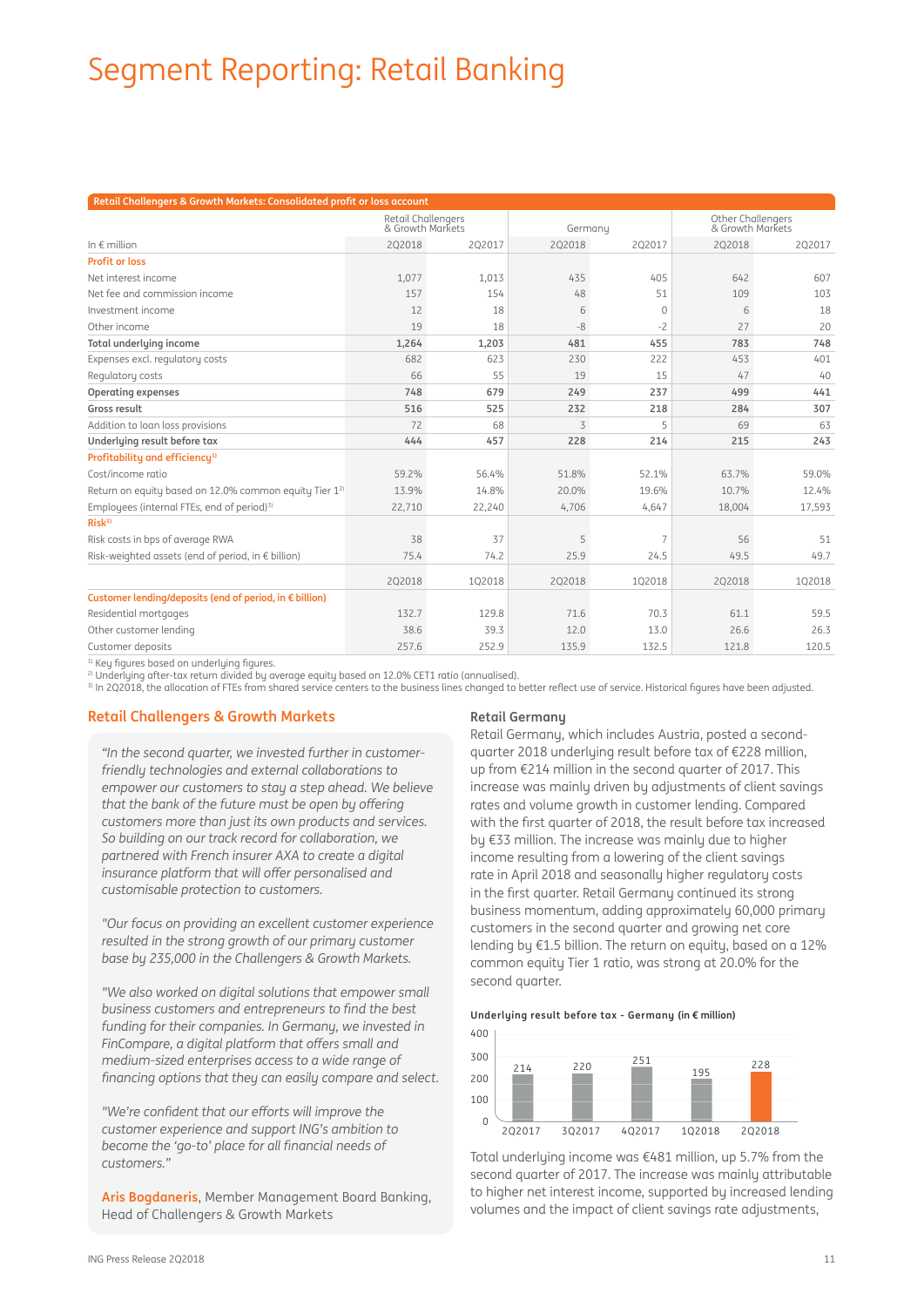| Retail Challengers & Growth Markets: Consolidated profit or loss account |                                        |        |        |                |        |                                       |  |  |  |
|--------------------------------------------------------------------------|----------------------------------------|--------|--------|----------------|--------|---------------------------------------|--|--|--|
|                                                                          | Retail Challengers<br>& Growth Markets |        |        | Germany        |        | Other Challengers<br>& Growth Markets |  |  |  |
| In $\notin$ million                                                      | 202018                                 | 202017 | 2Q2018 | 202017         | 2Q2018 | 202017                                |  |  |  |
| <b>Profit or loss</b>                                                    |                                        |        |        |                |        |                                       |  |  |  |
| Net interest income                                                      | 1,077                                  | 1,013  | 435    | 405            | 642    | 607                                   |  |  |  |
| Net fee and commission income                                            | 157                                    | 154    | 48     | 51             | 109    | 103                                   |  |  |  |
| Investment income                                                        | 12                                     | 18     | 6      | $\Omega$       | 6      | 18                                    |  |  |  |
| Other income                                                             | 19                                     | 18     | $-8$   | $-2$           | 27     | 20                                    |  |  |  |
| Total underlying income                                                  | 1,264                                  | 1,203  | 481    | 455            | 783    | 748                                   |  |  |  |
| Expenses excl. regulatory costs                                          | 682                                    | 623    | 230    | 222            | 453    | 401                                   |  |  |  |
| Regulatory costs                                                         | 66                                     | 55     | 19     | 15             | 47     | 40                                    |  |  |  |
| Operating expenses                                                       | 748                                    | 679    | 249    | 237            | 499    | 441                                   |  |  |  |
| Gross result                                                             | 516                                    | 525    | 232    | 218            | 284    | 307                                   |  |  |  |
| Addition to loan loss provisions                                         | 72                                     | 68     | 3      | 5              | 69     | 63                                    |  |  |  |
| Underlying result before tax                                             | 444                                    | 457    | 228    | 214            | 215    | 243                                   |  |  |  |
| Profitability and efficiency <sup>1)</sup>                               |                                        |        |        |                |        |                                       |  |  |  |
| Cost/income ratio                                                        | 59.2%                                  | 56.4%  | 51.8%  | 52.1%          | 63.7%  | 59.0%                                 |  |  |  |
| Return on equity based on 12.0% common equity Tier 1 <sup>2)</sup>       | 13.9%                                  | 14.8%  | 20.0%  | 19.6%          | 10.7%  | 12.4%                                 |  |  |  |
| Employees (internal FTEs, end of period) <sup>3)</sup>                   | 22,710                                 | 22,240 | 4,706  | 4,647          | 18,004 | 17,593                                |  |  |  |
| Risk <sup>1</sup>                                                        |                                        |        |        |                |        |                                       |  |  |  |
| Risk costs in bps of average RWA                                         | 38                                     | 37     | 5      | $\overline{7}$ | 56     | 51                                    |  |  |  |
| Risk-weighted assets (end of period, in € billion)                       | 75.4                                   | 74.2   | 25.9   | 24.5           | 49.5   | 49.7                                  |  |  |  |
|                                                                          | 202018                                 | 102018 | 202018 | 102018         | 2Q2018 | 102018                                |  |  |  |
| Customer lending/deposits (end of period, in € billion)                  |                                        |        |        |                |        |                                       |  |  |  |
| Residential mortgages                                                    | 132.7                                  | 129.8  | 71.6   | 70.3           | 61.1   | 59.5                                  |  |  |  |
| Other customer lending                                                   | 38.6                                   | 39.3   | 12.0   | 13.0           | 26.6   | 26.3                                  |  |  |  |
| Customer deposits                                                        | 257.6                                  | 252.9  | 135.9  | 132.5          | 121.8  | 120.5                                 |  |  |  |

<sup>1)</sup> Key figures based on underlying figures.

<sup>2)</sup> Underlying after-tax return divided by average equity based on 12.0% CET1 ratio (annualised).

3) In 2Q2018, the allocation of FTEs from shared service centers to the business lines changed to better reflect use of service. Historical figures have been adjusted.

#### **Retail Challengers & Growth Markets**

*"In the second quarter, we invested further in customerfriendly technologies and external collaborations to empower our customers to stay a step ahead. We believe that the bank of the future must be open by offering customers more than just its own products and services. So building on our track record for collaboration, we partnered with French insurer AXA to create a digital insurance platform that will offer personalised and customisable protection to customers.*

*"Our focus on providing an excellent customer experience resulted in the strong growth of our primary customer base by 235,000 in the Challengers & Growth Markets.*

*"We also worked on digital solutions that empower small*  business customers and entrepreneurs to find the best *funding for their companies. In Germany, we invested in FinCompare, a digital platform that offers small and medium-sized enterprises access to a wide range of*  financing options that they can easily compare and select.

*"We're confident that our efforts will improve the customer experience and support ING's ambition to*  become the 'go-to' place for all financial needs of *customers."*

**Aris Bogdaneris**, Member Management Board Banking, Head of Challengers & Growth Markets

#### **Retail Germany**

Retail Germany, which includes Austria, posted a secondquarter 2018 underlying result before tax of €228 million, up from €214 million in the second quarter of 2017. This increase was mainly driven by adjustments of client savings rates and volume growth in customer lending. Compared with the first quarter of 2018, the result before tax increased by €33 million. The increase was mainly due to higher income resulting from a lowering of the client savings rate in April 2018 and seasonally higher regulatory costs in the first quarter. Retail Germany continued its strong business momentum, adding approximately 60,000 primary customers in the second quarter and growing net core lending by €1.5 billion. The return on equity, based on a 12% common equity Tier 1 ratio, was strong at 20.0% for the second quarter.

#### **Underlying result before tax - Germany (in × million)**



Total underlying income was €481 million, up 5.7% from the second quarter of 2017. The increase was mainly attributable to higher net interest income, supported by increased lending volumes and the impact of client savings rate adjustments,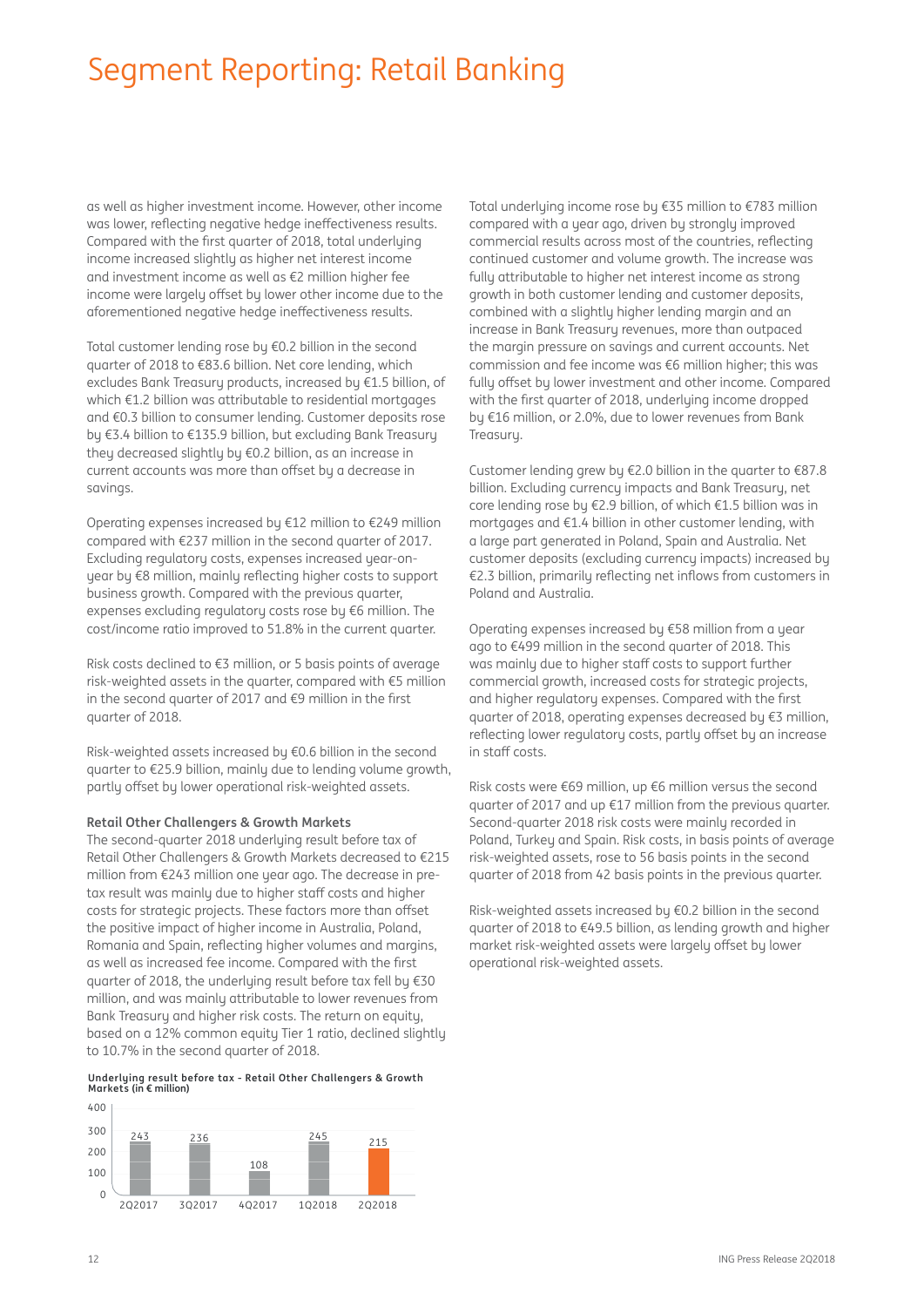as well as higher investment income. However, other income was lower, reflecting negative hedge ineffectiveness results. Compared with the first quarter of 2018, total underlying income increased slightly as higher net interest income and investment income as well as €2 million higher fee income were largely offset by lower other income due to the aforementioned negative hedge ineffectiveness results.

Total customer lending rose by €0.2 billion in the second quarter of 2018 to €83.6 billion. Net core lending, which excludes Bank Treasury products, increased by €1.5 billion, of which €1.2 billion was attributable to residential mortgages and €0.3 billion to consumer lending. Customer deposits rose by €3.4 billion to €135.9 billion, but excluding Bank Treasury they decreased slightly by €0.2 billion, as an increase in current accounts was more than offset bu a decrease in savings.

Operating expenses increased by €12 million to €249 million compared with €237 million in the second quarter of 2017. Excluding regulatory costs, expenses increased year-onyear by €8 million, mainly reflecting higher costs to support business growth. Compared with the previous quarter, expenses excluding regulatory costs rose by €6 million. The cost/income ratio improved to 51.8% in the current quarter.

Risk costs declined to €3 million, or 5 basis points of average risk-weighted assets in the quarter, compared with €5 million in the second quarter of 2017 and  $€9$  million in the first quarter of 2018.

Risk-weighted assets increased by €0.6 billion in the second quarter to €25.9 billion, mainly due to lending volume growth, partly offset by lower operational risk-weighted assets.

### **Retail Other Challengers & Growth Markets**

The second-quarter 2018 underlying result before tax of Retail Other Challengers & Growth Markets decreased to €215 million from €243 million one year ago. The decrease in pretax result was mainly due to higher staff costs and higher costs for strategic projects. These factors more than offset the positive impact of higher income in Australia, Poland, Romania and Spain, reflecting higher volumes and margins, as well as increased fee income. Compared with the first quarter of 2018, the underlying result before tax fell by €30 million, and was mainly attributable to lower revenues from Bank Treasury and higher risk costs. The return on equity, based on a 12% common equity Tier 1 ratio, declined slightly to 10.7% in the second quarter of 2018.

## **Underlying result before tax - Retail Other Challengers & Growth Markets (in × million)**



Total underlying income rose by €35 million to €783 million compared with a year ago, driven by strongly improved commercial results across most of the countries, reflecting continued customer and volume growth. The increase was fully attributable to higher net interest income as strong growth in both customer lending and customer deposits, combined with a slightly higher lending margin and an increase in Bank Treasury revenues, more than outpaced the margin pressure on savings and current accounts. Net commission and fee income was €6 million higher; this was fully offset by lower investment and other income. Compared with the first quarter of 2018, underlying income dropped by €16 million, or 2.0%, due to lower revenues from Bank Treasury.

Customer lending grew by €2.0 billion in the quarter to €87.8 billion. Excluding currency impacts and Bank Treasury, net core lending rose by €2.9 billion, of which €1.5 billion was in mortgages and €1.4 billion in other customer lending, with a large part generated in Poland, Spain and Australia. Net customer deposits (excluding currency impacts) increased by €2.3 billion, primarily reflecting net inflows from customers in Poland and Australia.

Operating expenses increased by €58 million from a year ago to €499 million in the second quarter of 2018. This was mainly due to higher staff costs to support further commercial growth, increased costs for strategic projects, and higher regulatory expenses. Compared with the first quarter of 2018, operating expenses decreased by €3 million, reflecting lower regulatory costs, partly offset by an increase in staff costs.

Risk costs were €69 million, up €6 million versus the second quarter of 2017 and up €17 million from the previous quarter. Second-quarter 2018 risk costs were mainly recorded in Poland, Turkey and Spain. Risk costs, in basis points of average risk-weighted assets, rose to 56 basis points in the second quarter of 2018 from 42 basis points in the previous quarter.

Risk-weighted assets increased by €0.2 billion in the second quarter of 2018 to €49.5 billion, as lending growth and higher market risk-weighted assets were largely offset by lower operational risk-weighted assets.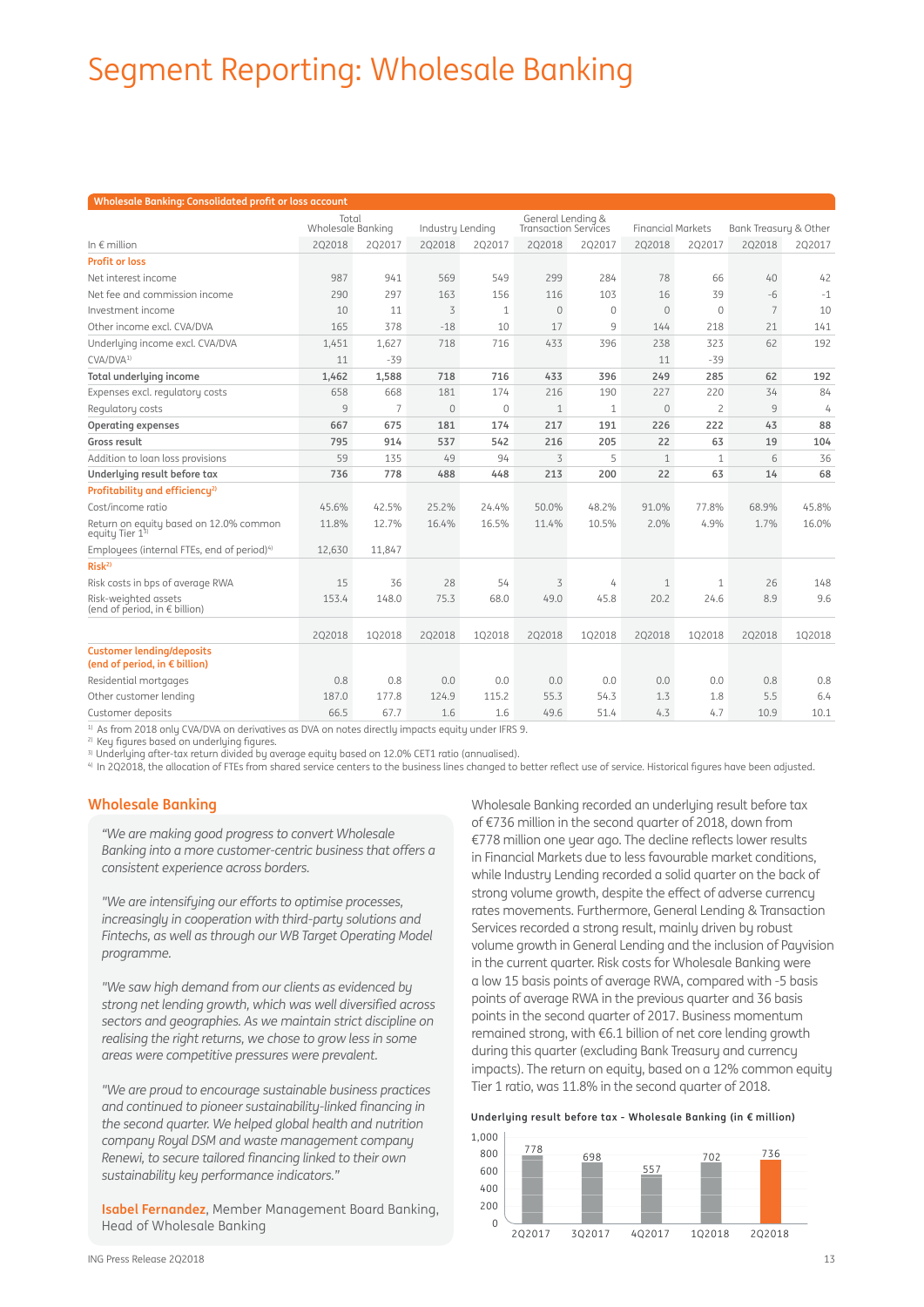## Segment Reporting: Wholesale Banking

| Wholesale Banking: Consolidated profit or loss account            |                            |                |                  |              |                                                  |              |                          |                |                       |        |
|-------------------------------------------------------------------|----------------------------|----------------|------------------|--------------|--------------------------------------------------|--------------|--------------------------|----------------|-----------------------|--------|
|                                                                   | Total<br>Wholesale Banking |                | Industry Lending |              | General Lending &<br><b>Transaction Services</b> |              | <b>Financial Markets</b> |                | Bank Treasury & Other |        |
| In $\notin$ million                                               | <b>2Q2018</b>              | 202017         | 2Q2018           | 202017       | 2Q2018                                           | 2Q2017       | 202018                   | 2Q2017         | 202018                | 202017 |
| <b>Profit or loss</b>                                             |                            |                |                  |              |                                                  |              |                          |                |                       |        |
| Net interest income                                               | 987                        | 941            | 569              | 549          | 299                                              | 284          | 78                       | 66             | 40                    | 42     |
| Net fee and commission income                                     | 290                        | 297            | 163              | 156          | 116                                              | 103          | 16                       | 39             | $-6$                  | $-1$   |
| Investment income                                                 | 10                         | 11             | 3                | $\mathbf{1}$ | $\mathbf{0}$                                     | $\mathbf{0}$ | $\Omega$                 | $\mathbf{0}$   | 7                     | 10     |
| Other income excl. CVA/DVA                                        | 165                        | 378            | $-18$            | 10           | 17                                               | 9            | 144                      | 218            | 21                    | 141    |
| Underlying income excl. CVA/DVA                                   | 1,451                      | 1.627          | 718              | 716          | 433                                              | 396          | 238                      | 323            | 62                    | 192    |
| CVA/DVA <sup>1)</sup>                                             | 11                         | $-39$          |                  |              |                                                  |              | 11                       | $-39$          |                       |        |
| Total underlying income                                           | 1,462                      | 1,588          | 718              | 716          | 433                                              | 396          | 249                      | 285            | 62                    | 192    |
| Expenses excl. regulatory costs                                   | 658                        | 668            | 181              | 174          | 216                                              | 190          | 227                      | 220            | 34                    | 84     |
| Regulatory costs                                                  | 9                          | $\overline{7}$ | $\mathbf{0}$     | $\Omega$     | $\mathbf{1}$                                     | $\mathbf{1}$ | $\mathbf{0}$             | $\overline{c}$ | 9                     | 4      |
| Operating expenses                                                | 667                        | 675            | 181              | 174          | 217                                              | 191          | 226                      | 222            | 43                    | 88     |
| Gross result                                                      | 795                        | 914            | 537              | 542          | 216                                              | 205          | 22                       | 63             | 19                    | 104    |
| Addition to loan loss provisions                                  | 59                         | 135            | 49               | 94           | 3                                                | 5            | $\mathbf{1}$             | $\mathbf{1}$   | 6                     | 36     |
| Underlying result before tax                                      | 736                        | 778            | 488              | 448          | 213                                              | 200          | 22                       | 63             | 14                    | 68     |
| Profitability and efficiency <sup>2)</sup>                        |                            |                |                  |              |                                                  |              |                          |                |                       |        |
| Cost/income ratio                                                 | 45.6%                      | 42.5%          | 25.2%            | 24.4%        | 50.0%                                            | 48.2%        | 91.0%                    | 77.8%          | 68.9%                 | 45.8%  |
| Return on equity based on 12.0% common<br>equity Tier 13)         | 11.8%                      | 12.7%          | 16.4%            | 16.5%        | 11.4%                                            | 10.5%        | 2.0%                     | 4.9%           | 1.7%                  | 16.0%  |
| Employees (internal FTEs, end of period) <sup>4)</sup>            | 12,630                     | 11,847         |                  |              |                                                  |              |                          |                |                       |        |
| Risk <sup>2</sup>                                                 |                            |                |                  |              |                                                  |              |                          |                |                       |        |
| Risk costs in bps of average RWA                                  | 15                         | 36             | 28               | 54           | 3                                                | 4            | $\mathbf{1}$             | 1              | 26                    | 148    |
| Risk-weighted assets<br>(end of period, in $\epsilon$ billion)    | 153.4                      | 148.0          | 75.3             | 68.0         | 49.0                                             | 45.8         | 20.2                     | 24.6           | 8.9                   | 9.6    |
|                                                                   | 202018                     | 102018         | 2Q2018           | 1Q2018       | 2Q2018                                           | 102018       | 202018                   | 102018         | 202018                | 102018 |
| <b>Customer lending/deposits</b><br>(end of period, in € billion) |                            |                |                  |              |                                                  |              |                          |                |                       |        |
| Residential mortgages                                             | 0.8                        | 0.8            | 0.0              | 0.0          | 0.0                                              | 0.0          | 0.0                      | 0.0            | 0.8                   | 0.8    |
| Other customer lending                                            | 187.0                      | 177.8          | 124.9            | 115.2        | 55.3                                             | 54.3         | 1.3                      | 1.8            | 5.5                   | 6.4    |
| Customer deposits                                                 | 66.5                       | 67.7           | 1.6              | 1.6          | 49.6                                             | 51.4         | 4.3                      | 4.7            | 10.9                  | 10.1   |

<sup>1)</sup> As from 2018 only CVA/DVA on derivatives as DVA on notes directly impacts equity under IFRS 9.

<sup>2)</sup> Key figures based on underlying figures.

3) Underlying after-tax return divided by average equity based on 12.0% CET1 ratio (annualised).

4) In 2Q2018, the allocation of FTEs from shared service centers to the business lines changed to better reflect use of service. Historical figures have been adjusted.

#### **Wholesale Banking**

*"We are making good progress to convert Wholesale Banking into a more customer-centric business that offers a consistent experience across borders.*

*"We are intensifying our efforts to optimise processes, increasingly in cooperation with third-party solutions and Fintechs, as well as through our WB Target Operating Model programme.*

*"We saw high demand from our clients as evidenced by strong net lending growth, which was well diversified across sectors and geographies. As we maintain strict discipline on realising the right returns, we chose to grow less in some areas were competitive pressures were prevalent.*

*"We are proud to encourage sustainable business practices and continued to pioneer sustainability-linked financing in the second quarter. We helped global health and nutrition company Royal DSM and waste management company Renewi, to secure tailored financing linked to their own sustainability key performance indicators."* 

**Isabel Fernandez**, Member Management Board Banking, Head of Wholesale Banking

Wholesale Banking recorded an underlying result before tax of €736 million in the second quarter of 2018, down from €778 million one year ago. The decline reflects lower results in Financial Markets due to less favourable market conditions, while Industry Lending recorded a solid quarter on the back of strong volume growth, despite the effect of adverse currency rates movements. Furthermore, General Lending & Transaction Services recorded a strong result, mainly driven by robust volume growth in General Lending and the inclusion of Pauvision in the current quarter. Risk costs for Wholesale Banking were a low 15 basis points of average RWA, compared with -5 basis points of average RWA in the previous quarter and 36 basis points in the second quarter of 2017. Business momentum remained strong, with €6.1 billion of net core lending growth during this quarter (excluding Bank Treasury and currency impacts). The return on equity, based on a 12% common equity Tier 1 ratio, was 11.8% in the second quarter of 2018.

## **Underlying result before tax - Wholesale Banking (in × million)**

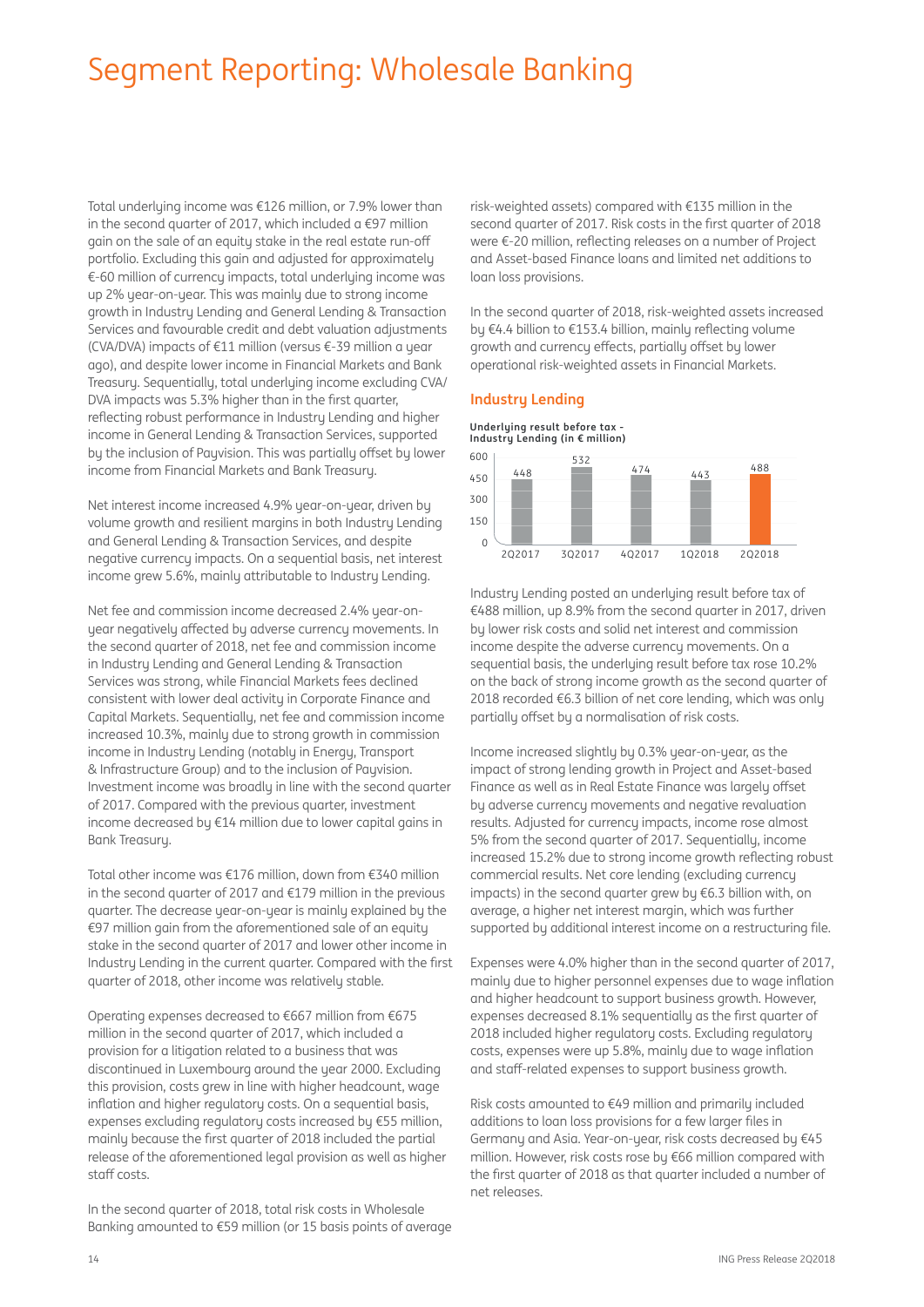## Segment Reporting: Wholesale Banking

Total underlying income was €126 million, or 7.9% lower than in the second quarter of 2017, which included a  $\epsilon$ 97 million gain on the sale of an equity stake in the real estate run-off portfolio. Excluding this gain and adjusted for approximately €-60 million of currency impacts, total underlying income was up 2% year-on-year. This was mainly due to strong income growth in Industry Lending and General Lending & Transaction Services and favourable credit and debt valuation adjustments (CVA/DVA) impacts of €11 million (versus €-39 million a year ago), and despite lower income in Financial Markets and Bank Treasury. Sequentially, total underlying income excluding CVA/ DVA impacts was 5.3% higher than in the first quarter, reflecting robust performance in Industry Lending and higher income in General Lending & Transaction Services, supported by the inclusion of Payvision. This was partially offset by lower income from Financial Markets and Bank Treasury.

Net interest income increased 4.9% year-on-year, driven by volume growth and resilient margins in both Industry Lending and General Lending & Transaction Services, and despite negative currency impacts. On a sequential basis, net interest income grew 5.6%, mainly attributable to Industry Lending.

Net fee and commission income decreased 2.4% year-onyear negatively affected by adverse currency movements. In the second quarter of 2018, net fee and commission income in Industry Lending and General Lending & Transaction Services was strong, while Financial Markets fees declined consistent with lower deal activity in Corporate Finance and Capital Markets. Sequentially, net fee and commission income increased 10.3%, mainly due to strong growth in commission income in Industry Lending (notably in Energy, Transport & Infrastructure Group) and to the inclusion of Payvision. Investment income was broadly in line with the second quarter of 2017. Compared with the previous quarter, investment income decreased by €14 million due to lower capital gains in Bank Treasury.

Total other income was €176 million, down from €340 million in the second quarter of 2017 and €179 million in the previous quarter. The decrease year-on-year is mainly explained by the €97 million gain from the aforementioned sale of an equity stake in the second quarter of 2017 and lower other income in Industry Lending in the current quarter. Compared with the first quarter of 2018, other income was relatively stable.

Operating expenses decreased to €667 million from €675 million in the second quarter of 2017, which included a provision for a litigation related to a business that was discontinued in Luxembourg around the year 2000. Excluding this provision, costs grew in line with higher headcount, wage inflation and higher regulatory costs. On a sequential basis, expenses excluding regulatory costs increased by €55 million, mainly because the first quarter of 2018 included the partial release of the aforementioned legal provision as well as higher staff costs.

In the second quarter of 2018, total risk costs in Wholesale Banking amounted to €59 million (or 15 basis points of average

risk-weighted assets) compared with €135 million in the second quarter of 2017. Risk costs in the first quarter of 2018 were €-20 million, reflecting releases on a number of Project and Asset-based Finance loans and limited net additions to loan loss provisions.

In the second quarter of 2018, risk-weighted assets increased by €4.4 billion to €153.4 billion, mainly reflecting volume growth and currency effects, partially offset by lower operational risk-weighted assets in Financial Markets.

## **Industry Lending**

**Underlying result before tax - Industry Lending (in × million)**



Industry Lending posted an underlying result before tax of €488 million, up 8.9% from the second quarter in 2017, driven by lower risk costs and solid net interest and commission income despite the adverse currency movements. On a sequential basis, the underlying result before tax rose 10.2% on the back of strong income growth as the second quarter of 2018 recorded €6.3 billion of net core lending, which was only partially offset by a normalisation of risk costs.

Income increased slightly by 0.3% year-on-year, as the impact of strong lending growth in Project and Asset-based Finance as well as in Real Estate Finance was largely offset by adverse currency movements and negative revaluation results. Adjusted for currency impacts, income rose almost 5% from the second quarter of 2017. Sequentially, income increased 15.2% due to strong income growth reflecting robust commercial results. Net core lending (excluding currency impacts) in the second quarter grew by €6.3 billion with, on average, a higher net interest margin, which was further supported by additional interest income on a restructuring file.

Expenses were 4.0% higher than in the second quarter of 2017, mainly due to higher personnel expenses due to wage inflation and higher headcount to support business growth. However, expenses decreased 8.1% sequentially as the first quarter of 2018 included higher regulatory costs. Excluding regulatory costs, expenses were up 5.8%, mainly due to wage inflation and staff -related expenses to support business growth.

Risk costs amounted to €49 million and primarily included additions to loan loss provisions for a few larger files in Germany and Asia. Year-on-year, risk costs decreased by €45 million. However, risk costs rose by €66 million compared with the first quarter of 2018 as that quarter included a number of net releases.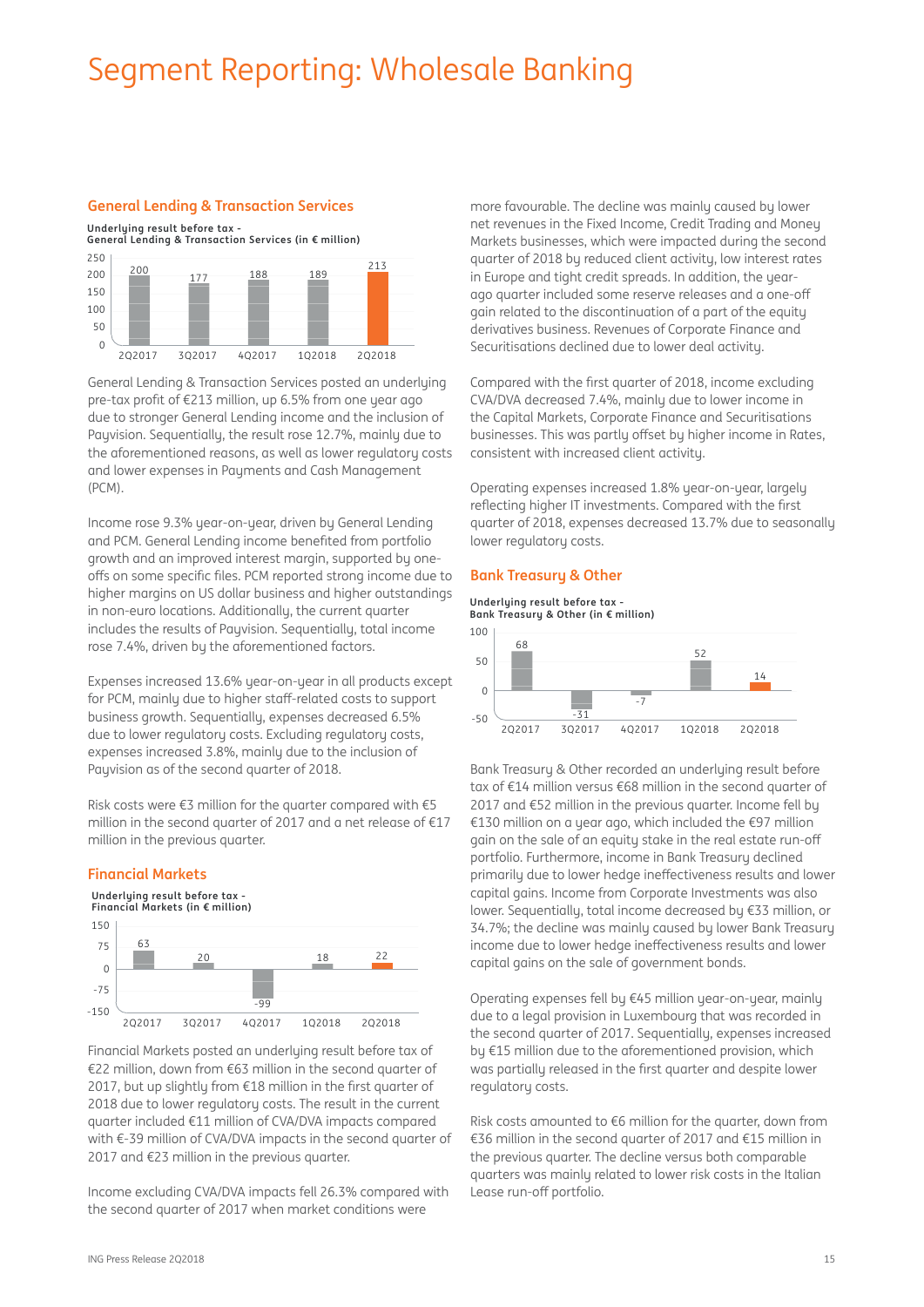## Segment Reporting: Wholesale Banking

### **General Lending & Transaction Services**

**Underlying result before tax -** 

**General Lending & Transaction Services (in × million)** 250



General Lending & Transaction Services posted an underlying pre-tax profit of  $E$ 213 million, up 6.5% from one year ago due to stronger General Lending income and the inclusion of Payvision. Sequentially, the result rose 12.7%, mainly due to the aforementioned reasons, as well as lower regulatory costs and lower expenses in Pauments and Cash Management (PCM).

Income rose 9.3% year-on-year, driven by General Lending and PCM. General Lending income benefited from portfolio growth and an improved interest margin, supported by oneoffs on some specific files. PCM reported strong income due to higher margins on US dollar business and higher outstandings in non-euro locations. Additionally, the current quarter includes the results of Payvision. Sequentially, total income rose 7.4%, driven by the aforementioned factors.

Expenses increased 13.6% year-on-year in all products except for PCM, mainly due to higher staff-related costs to support business growth. Sequentially, expenses decreased 6.5% due to lower regulatory costs. Excluding regulatory costs, expenses increased 3.8%, mainly due to the inclusion of Payvision as of the second quarter of 2018.

Risk costs were €3 million for the quarter compared with €5 million in the second quarter of 2017 and a net release of €17 million in the previous quarter.

### **Financial Markets**

#### **Underlying result before tax - Financial Markets (in × million)**



Financial Markets posted an underlying result before tax of €22 million, down from €63 million in the second quarter of 2017, but up slightly from €18 million in the first quarter of 2018 due to lower regulatory costs. The result in the current quarter included €11 million of CVA/DVA impacts compared with €-39 million of CVA/DVA impacts in the second quarter of 2017 and €23 million in the previous quarter.

Income excluding CVA/DVA impacts fell 26.3% compared with the second quarter of 2017 when market conditions were

more favourable. The decline was mainly caused by lower net revenues in the Fixed Income, Credit Trading and Money Markets businesses, which were impacted during the second quarter of 2018 by reduced client activity, low interest rates in Europe and tight credit spreads. In addition, the yearago quarter included some reserve releases and a one-off gain related to the discontinuation of a part of the equity derivatives business. Revenues of Corporate Finance and Securitisations declined due to lower deal activity.

Compared with the first quarter of 2018, income excluding CVA/DVA decreased 7.4%, mainly due to lower income in the Capital Markets, Corporate Finance and Securitisations businesses. This was partly offset by higher income in Rates, consistent with increased client activity.

Operating expenses increased 1.8% year-on-year, largely reflecting higher IT investments. Compared with the first quarter of 2018, expenses decreased 13.7% due to seasonally lower regulatory costs.

## **Bank Treasury & Other**

**Underlying result before tax - Bank Treasury & Other (in × million)**



Bank Treasury & Other recorded an underlying result before tax of €14 million versus €68 million in the second quarter of 2017 and €52 million in the previous quarter. Income fell by €130 million on a year ago, which included the €97 million gain on the sale of an equity stake in the real estate run-off portfolio. Furthermore, income in Bank Treasury declined primarily due to lower hedge ineffectiveness results and lower capital gains. Income from Corporate Investments was also lower. Sequentially, total income decreased by €33 million, or 34.7%; the decline was mainly caused by lower Bank Treasury income due to lower hedge ineffectiveness results and lower capital gains on the sale of government bonds.

Operating expenses fell by €45 million year-on-year, mainly due to a legal provision in Luxembourg that was recorded in the second quarter of 2017. Sequentially, expenses increased by €15 million due to the aforementioned provision, which was partially released in the first quarter and despite lower regulatory costs.

Risk costs amounted to €6 million for the quarter, down from €36 million in the second quarter of 2017 and €15 million in the previous quarter. The decline versus both comparable quarters was mainly related to lower risk costs in the Italian Lease run-off portfolio.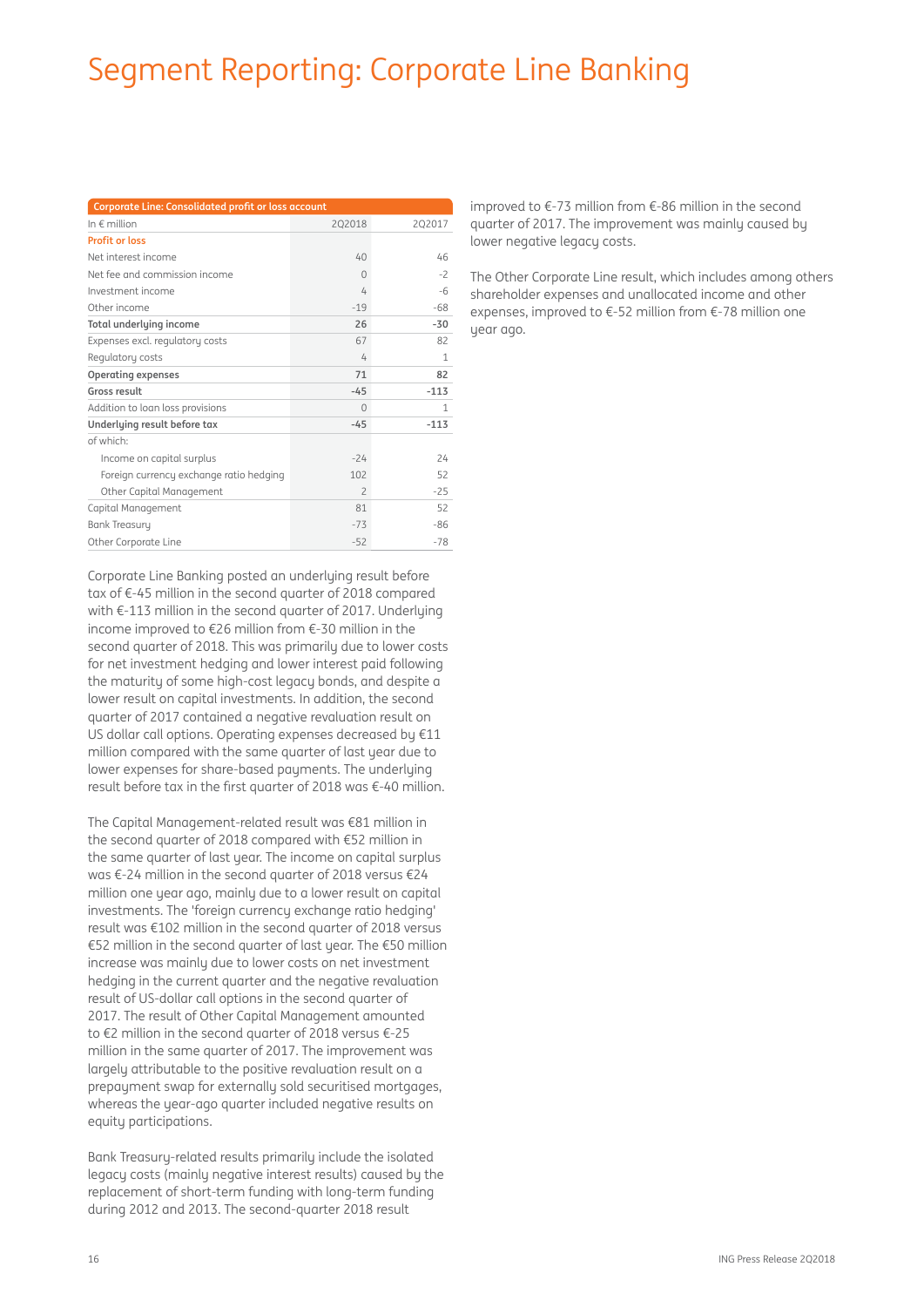## Segment Reporting: Corporate Line Banking

| <b>Corporate Line: Consolidated profit or loss account</b> |                |        |  |  |  |  |  |  |
|------------------------------------------------------------|----------------|--------|--|--|--|--|--|--|
| In $\notin$ million                                        | 202018         | 202017 |  |  |  |  |  |  |
| <b>Profit or loss</b>                                      |                |        |  |  |  |  |  |  |
| Net interest income                                        | 40             | 46     |  |  |  |  |  |  |
| Net fee and commission income                              | 0              | $-2$   |  |  |  |  |  |  |
| Investment income                                          | 4              | $-6$   |  |  |  |  |  |  |
| Other income                                               | $-19$          | $-68$  |  |  |  |  |  |  |
| Total underlying income                                    | 26             | $-30$  |  |  |  |  |  |  |
| Expenses excl. regulatory costs                            | 67             | 82     |  |  |  |  |  |  |
| Regulatory costs                                           | 4              | 1      |  |  |  |  |  |  |
| Operating expenses                                         | 71             | 82     |  |  |  |  |  |  |
| Gross result                                               | $-45$          | $-113$ |  |  |  |  |  |  |
| Addition to loan loss provisions                           | $\Omega$       | 1      |  |  |  |  |  |  |
| Underlying result before tax                               | $-45$          | $-113$ |  |  |  |  |  |  |
| of which:                                                  |                |        |  |  |  |  |  |  |
| Income on capital surplus                                  | $-24$          | 74     |  |  |  |  |  |  |
| Foreign currency exchange ratio hedging                    | 102            | 52     |  |  |  |  |  |  |
| Other Capital Management                                   | $\overline{c}$ | $-25$  |  |  |  |  |  |  |
| Capital Management                                         | 81             | 52     |  |  |  |  |  |  |
| <b>Bank Treasury</b>                                       | $-73$          | $-86$  |  |  |  |  |  |  |
| Other Corporate Line                                       | $-52$          | $-78$  |  |  |  |  |  |  |

Corporate Line Banking posted an underlying result before tax of €-45 million in the second quarter of 2018 compared with €-113 million in the second quarter of 2017. Underlying income improved to €26 million from €-30 million in the second quarter of 2018. This was primarily due to lower costs for net investment hedging and lower interest paid following the maturity of some high-cost legacy bonds, and despite a lower result on capital investments. In addition, the second quarter of 2017 contained a negative revaluation result on US dollar call options. Operating expenses decreased by €11 million compared with the same quarter of last year due to lower expenses for share-based payments. The underlying result before tax in the first quarter of 2018 was  $\epsilon$ -40 million.

The Capital Management-related result was €81 million in the second quarter of 2018 compared with €52 million in the same quarter of last year. The income on capital surplus was €-24 million in the second quarter of 2018 versus €24 million one year ago, mainly due to a lower result on capital investments. The 'foreign currency exchange ratio hedging' result was €102 million in the second quarter of 2018 versus €52 million in the second quarter of last year. The €50 million increase was mainly due to lower costs on net investment hedging in the current quarter and the negative revaluation result of US-dollar call options in the second quarter of 2017. The result of Other Capital Management amounted to €2 million in the second quarter of 2018 versus €-25 million in the same quarter of 2017. The improvement was largely attributable to the positive revaluation result on a prepayment swap for externally sold securitised mortgages, whereas the year-ago quarter included negative results on equity participations.

Bank Treasury-related results primarily include the isolated legacy costs (mainly negative interest results) caused by the replacement of short-term funding with long-term funding during 2012 and 2013. The second-quarter 2018 result

improved to €-73 million from €-86 million in the second quarter of 2017. The improvement was mainly caused by lower negative legacy costs.

The Other Corporate Line result, which includes among others shareholder expenses and unallocated income and other expenses, improved to €-52 million from €-78 million one year ago.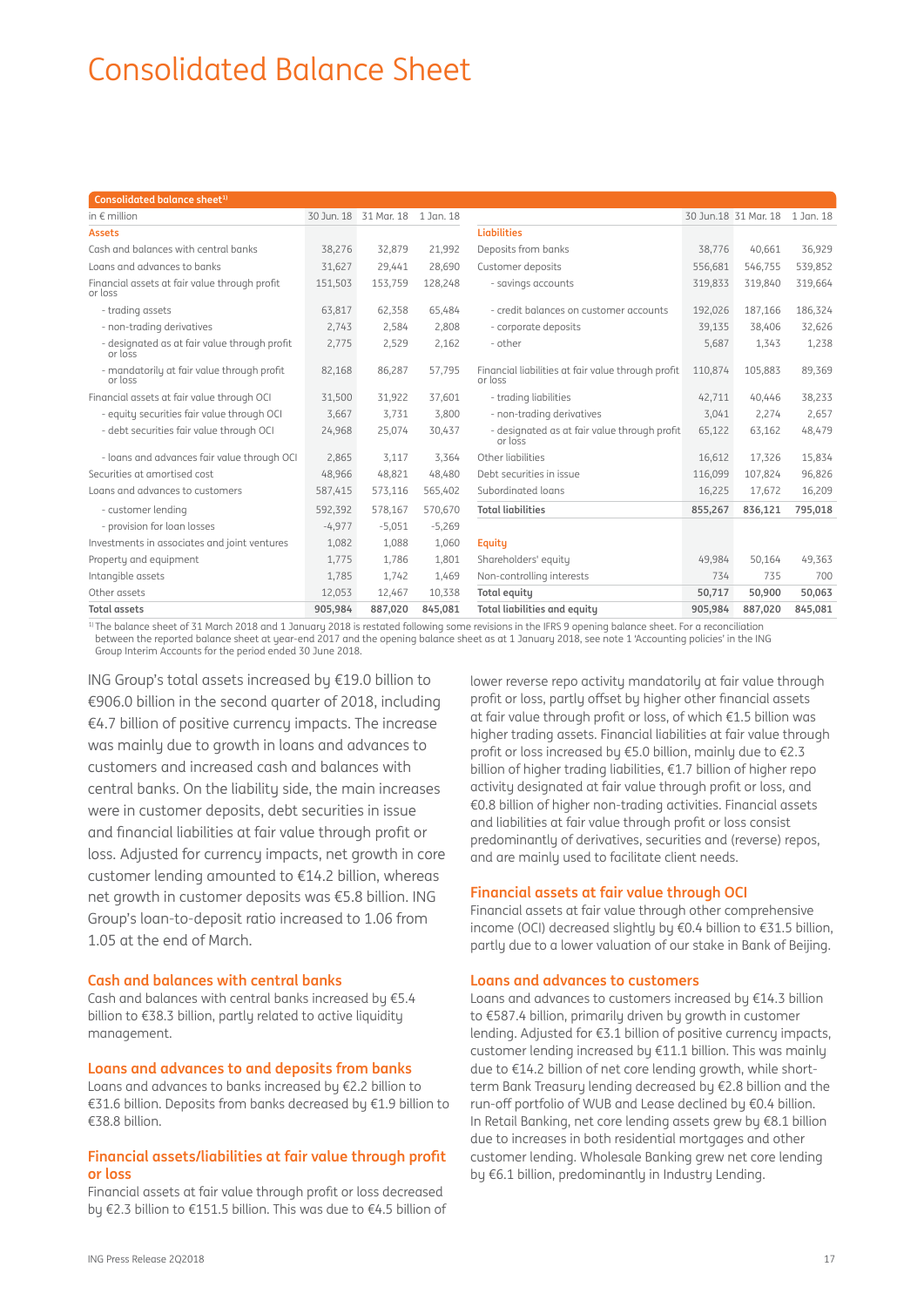## Consolidated Balance Sheet

| Consolidated balance sheet <sup>1)</sup>                 |          |                       |           |                                                               |         |                                |         |
|----------------------------------------------------------|----------|-----------------------|-----------|---------------------------------------------------------------|---------|--------------------------------|---------|
| in $\notin$ million                                      |          | 30 Jun. 18 31 Mar. 18 | 1 Jan. 18 |                                                               |         | 30 Jun.18 31 Mar. 18 1 Jan. 18 |         |
| <b>Assets</b>                                            |          |                       |           | <b>Liabilities</b>                                            |         |                                |         |
| Cash and balances with central banks                     | 38,276   | 32.879                | 21.992    | Deposits from banks                                           | 38.776  | 40.661                         | 36,929  |
| Loans and advances to banks                              | 31,627   | 29,441                | 28,690    | Customer deposits                                             | 556,681 | 546,755                        | 539,852 |
| Financial assets at fair value through profit<br>or loss | 151,503  | 153.759               | 128,248   | - savings accounts                                            | 319.833 | 319.840                        | 319,664 |
| - trading assets                                         | 63,817   | 62,358                | 65,484    | - credit balances on customer accounts                        | 192,026 | 187,166                        | 186,324 |
| - non-trading derivatives                                | 2,743    | 2,584                 | 2.808     | - corporate deposits                                          | 39,135  | 38,406                         | 32,626  |
| - designated as at fair value through profit<br>or loss  | 2,775    | 2,529                 | 2.162     | - other                                                       | 5,687   | 1.343                          | 1,238   |
| - mandatorily at fair value through profit<br>or loss    | 82,168   | 86,287                | 57,795    | Financial liabilities at fair value through profit<br>or loss | 110,874 | 105.883                        | 89,369  |
| Financial assets at fair value through OCI               | 31,500   | 31,922                | 37.601    | - trading liabilities                                         | 42.711  | 40.446                         | 38,233  |
| - equity securities fair value through OCI               | 3,667    | 3,731                 | 3.800     | - non-trading derivatives                                     | 3,041   | 2.274                          | 2,657   |
| - debt securities fair value through OCI                 | 24,968   | 25,074                | 30,437    | - designated as at fair value through profit<br>or loss       | 65,122  | 63,162                         | 48,479  |
| - loans and advances fair value through OCI              | 2,865    | 3,117                 | 3.364     | Other liabilities                                             | 16,612  | 17.326                         | 15,834  |
| Securities at amortised cost                             | 48,966   | 48,821                | 48.480    | Debt securities in issue                                      | 116,099 | 107,824                        | 96,826  |
| Loans and advances to customers                          | 587,415  | 573,116               | 565,402   | Subordinated loans                                            | 16,225  | 17,672                         | 16,209  |
| - customer lending                                       | 592,392  | 578,167               | 570,670   | <b>Total liabilities</b>                                      | 855,267 | 836,121                        | 795,018 |
| - provision for loan losses                              | $-4,977$ | $-5,051$              | $-5,269$  |                                                               |         |                                |         |
| Investments in associates and joint ventures             | 1,082    | 1,088                 | 1,060     | Equity                                                        |         |                                |         |
| Property and equipment                                   | 1,775    | 1,786                 | 1,801     | Shareholders' equity                                          | 49,984  | 50.164                         | 49,363  |
| Intangible assets                                        | 1,785    | 1,742                 | 1.469     | Non-controlling interests                                     | 734     | 735                            | 700     |
| Other assets                                             | 12,053   | 12,467                | 10,338    | Total equity                                                  | 50,717  | 50,900                         | 50,063  |
| <b>Total assets</b>                                      | 905,984  | 887,020               | 845,081   | Total liabilities and equity                                  | 905,984 | 887.020                        | 845,081 |

1) The balance sheet of 31 March 2018 and 1 January 2018 is restated following some revisions in the IFRS 9 opening balance sheet. For a reconciliation between the reported balance sheet at year-end 2017 and the opening balance sheet as at 1 January 2018, see note 1 'Accounting policies' in the ING Group Interim Accounts for the period ended 30 June 2018.

ING Group's total assets increased by €19.0 billion to €906.0 billion in the second quarter of 2018, including €4.7 billion of positive currency impacts. The increase was mainly due to growth in loans and advances to customers and increased cash and balances with central banks. On the liability side, the main increases were in customer deposits, debt securities in issue and financial liabilities at fair value through profit or loss. Adjusted for currency impacts, net growth in core customer lending amounted to €14.2 billion, whereas net growth in customer deposits was €5.8 billion. ING Group's loan-to-deposit ratio increased to 1.06 from 1.05 at the end of March.

### **Cash and balances with central banks**

Cash and balances with central banks increased by €5.4 billion to €38.3 billion, partly related to active liquidity management.

## **Loans and advances to and deposits from banks**

Loans and advances to banks increased by €2.2 billion to €31.6 billion. Deposits from banks decreased by €1.9 billion to €38.8 billion.

## **Financial assets/liabilities at fair value through profit or loss**

Financial assets at fair value through profit or loss decreased by €2.3 billion to €151.5 billion. This was due to €4.5 billion of lower reverse repo activity mandatorily at fair value through profit or loss, partly offset by higher other financial assets at fair value through profit or loss, of which €1.5 billion was higher trading assets. Financial liabilities at fair value through profit or loss increased by  $E$ 5.0 billion, mainly due to  $E$ 2.3 billion of higher trading liabilities, €1.7 billion of higher repo activity designated at fair value through profit or loss, and €0.8 billion of higher non-trading activities. Financial assets and liabilities at fair value through profit or loss consist predominantly of derivatives, securities and (reverse) repos, and are mainly used to facilitate client needs.

#### **Financial assets at fair value through OCI**

Financial assets at fair value through other comprehensive income (OCI) decreased slightly by €0.4 billion to €31.5 billion, partly due to a lower valuation of our stake in Bank of Beijing.

### **Loans and advances to customers**

Loans and advances to customers increased by €14.3 billion to €587.4 billion, primarily driven by growth in customer lending. Adjusted for €3.1 billion of positive currency impacts, customer lending increased by €11.1 billion. This was mainly due to €14.2 billion of net core lending growth, while shortterm Bank Treasury lending decreased by €2.8 billion and the run-off portfolio of WUB and Lease declined by €0.4 billion. In Retail Banking, net core lending assets grew by €8.1 billion due to increases in both residential mortgages and other customer lending. Wholesale Banking grew net core lending by €6.1 billion, predominantly in Industry Lending.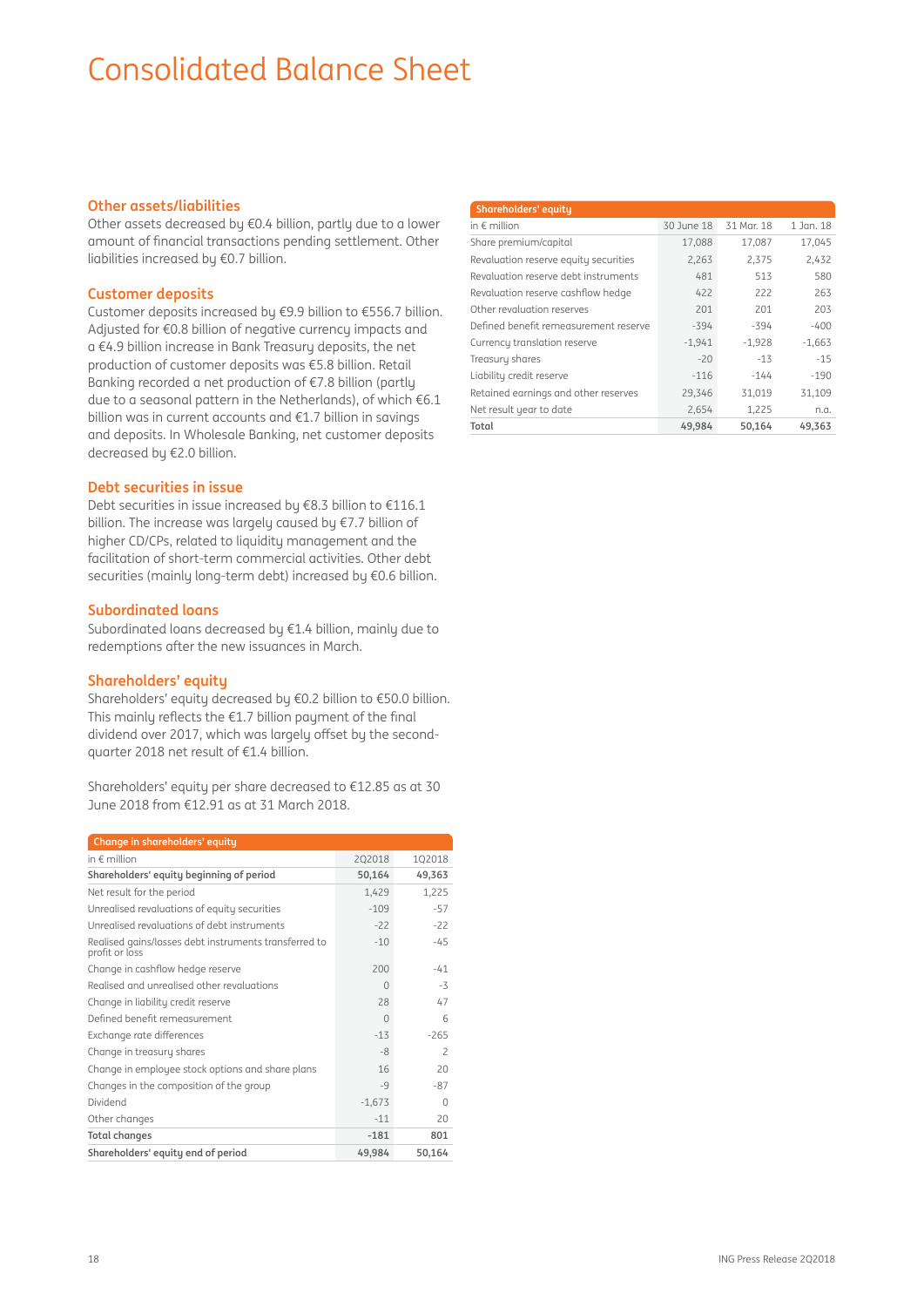## **Consolidated Balance Sheet**

### **Other assets/liabilities**

Other assets decreased by €0.4 billion, partly due to a lower amount of financial transactions pending settlement. Other liabilities increased by €0.7 billion.

### **Customer deposits**

Customer deposits increased by €9.9 billion to €556.7 billion. Adjusted for €0.8 billion of negative currency impacts and a €4.9 billion increase in Bank Treasury deposits, the net production of customer deposits was €5.8 billion. Retail Banking recorded a net production of €7.8 billion (partly due to a seasonal pattern in the Netherlands), of which €6.1 billion was in current accounts and €1.7 billion in savings and deposits. In Wholesale Banking, net customer deposits decreased by €2.0 billion.

#### **Debt securities in issue**

Debt securities in issue increased by €8.3 billion to €116.1 billion. The increase was largely caused by €7.7 billion of higher CD/CPs, related to liquidity management and the facilitation of short-term commercial activities. Other debt securities (mainly long-term debt) increased by €0.6 billion.

### **Subordinated loans**

Subordinated loans decreased by €1.4 billion, mainly due to redemptions after the new issuances in March.

### **Shareholders' equity**

Shareholders' equity decreased by €0.2 billion to €50.0 billion. This mainly reflects the  $E1.7$  billion payment of the final dividend over 2017, which was largely offset by the secondquarter 2018 net result of €1.4 billion.

Shareholders' equity per share decreased to €12.85 as at 30 June 2018 from €12.91 as at 31 March 2018.

| Change in shareholders' equity                                          |          |                          |
|-------------------------------------------------------------------------|----------|--------------------------|
| in $\notin$ million                                                     | 2Q2018   | 102018                   |
| Shareholders' equity beginning of period                                | 50,164   | 49,363                   |
| Net result for the period                                               | 1,429    | 1,225                    |
| Unrealised revaluations of equity securities                            | $-109$   | $-57$                    |
| Unrealised revaluations of debt instruments                             | $-22$    | $-22$                    |
| Realised gains/losses debt instruments transferred to<br>profit or loss | $-10$    | $-45$                    |
| Change in cashflow hedge reserve                                        | 200      | $-41$                    |
| Realised and unrealised other revaluations                              | $\Omega$ | $-3$                     |
| Change in liability credit reserve                                      | 28       | 47                       |
| Defined benefit remeasurement                                           | $\Omega$ | 6                        |
| Exchange rate differences                                               | $-13$    | $-265$                   |
| Change in treasury shares                                               | $-8$     | $\overline{\phantom{a}}$ |
| Change in employee stock options and share plans                        | 16       | 20                       |
| Changes in the composition of the group                                 | $-9$     | $-87$                    |
| Dividend                                                                | $-1,673$ | O                        |
| Other changes                                                           | $-11$    | 20                       |
| <b>Total changes</b>                                                    | $-181$   | 801                      |
| Shareholders' equity end of period                                      | 49,984   | 50,164                   |

| Shareholders' equity                  |            |            |           |
|---------------------------------------|------------|------------|-----------|
| in $\epsilon$ million                 | 30 June 18 | 31 Mar. 18 | 1 Jan. 18 |
| Share premium/capital                 | 17,088     | 17,087     | 17,045    |
| Revaluation reserve equity securities | 2,263      | 2,375      | 2,432     |
| Revaluation reserve debt instruments  | 481        | 513        | 580       |
| Revaluation reserve cashflow hedge    | 422        | 222        | 263       |
| Other revaluation reserves            | 201        | 201        | 203       |
| Defined benefit remeasurement reserve | $-394$     | $-394$     | $-400$    |
| Currency translation reserve          | $-1,941$   | $-1,928$   | $-1,663$  |
| Treasury shares                       | $-20$      | $-1.3$     | $-15$     |
| Liability credit reserve              | $-116$     | $-144$     | $-190$    |
| Retained earnings and other reserves  | 29,346     | 31,019     | 31,109    |
| Net result year to date               | 2,654      | 1,225      | n.a.      |
| Total                                 | 49.984     | 50.164     | 49.363    |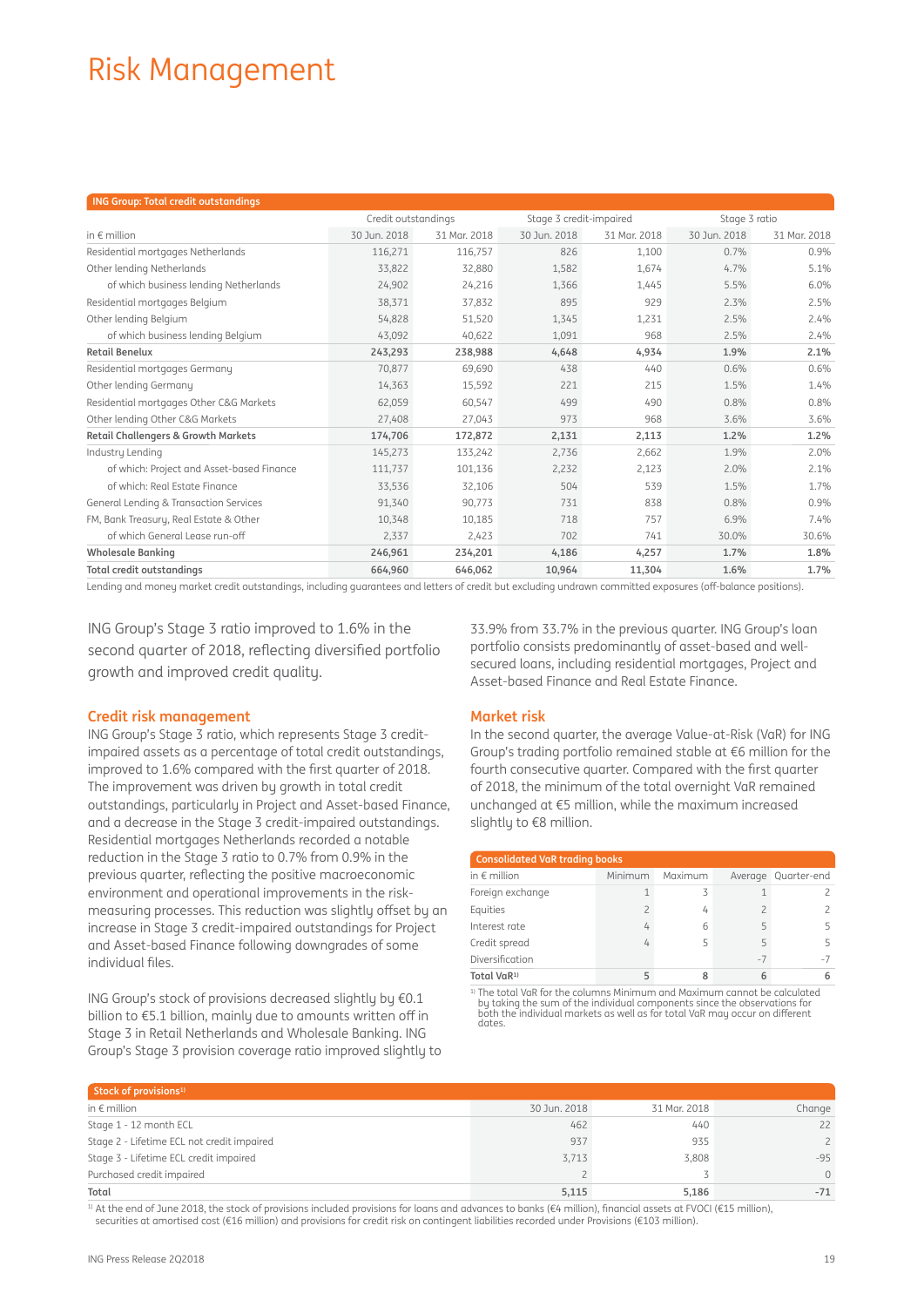## Risk Management

| <b>ING Group: Total credit outstandings</b>    |                     |              |                         |              |               |              |  |
|------------------------------------------------|---------------------|--------------|-------------------------|--------------|---------------|--------------|--|
|                                                | Credit outstandings |              | Stage 3 credit-impaired |              | Stage 3 ratio |              |  |
| in $\notin$ million                            | 30 Jun. 2018        | 31 Mar. 2018 | 30 Jun. 2018            | 31 Mar. 2018 | 30 Jun. 2018  | 31 Mar. 2018 |  |
| Residential mortgages Netherlands              | 116,271             | 116,757      | 826                     | 1,100        | 0.7%          | 0.9%         |  |
| Other lending Netherlands                      | 33,822              | 32,880       | 1,582                   | 1,674        | 4.7%          | 5.1%         |  |
| of which business lending Netherlands          | 24,902              | 24,216       | 1,366                   | 1,445        | 5.5%          | 6.0%         |  |
| Residential mortgages Belgium                  | 38,371              | 37,832       | 895                     | 929          | 2.3%          | 2.5%         |  |
| Other lending Belgium                          | 54,828              | 51,520       | 1,345                   | 1,231        | 2.5%          | 2.4%         |  |
| of which business lending Belgium              | 43,092              | 40,622       | 1,091                   | 968          | 2.5%          | 2.4%         |  |
| <b>Retail Benelux</b>                          | 243,293             | 238,988      | 4,648                   | 4,934        | 1.9%          | 2.1%         |  |
| Residential mortgages Germany                  | 70.877              | 69.690       | 438                     | 440          | 0.6%          | 0.6%         |  |
| Other lending Germany                          | 14,363              | 15,592       | 221                     | 215          | 1.5%          | 1.4%         |  |
| Residential mortgages Other C&G Markets        | 62,059              | 60,547       | 499                     | 490          | 0.8%          | 0.8%         |  |
| Other lending Other C&G Markets                | 27,408              | 27,043       | 973                     | 968          | 3.6%          | 3.6%         |  |
| <b>Retail Challengers &amp; Growth Markets</b> | 174,706             | 172,872      | 2,131                   | 2,113        | 1.2%          | 1.2%         |  |
| Industry Lending                               | 145,273             | 133,242      | 2,736                   | 2,662        | 1.9%          | 2.0%         |  |
| of which: Project and Asset-based Finance      | 111,737             | 101,136      | 2,232                   | 2,123        | 2.0%          | 2.1%         |  |
| of which: Real Estate Finance                  | 33,536              | 32,106       | 504                     | 539          | 1.5%          | 1.7%         |  |
| General Lending & Transaction Services         | 91,340              | 90,773       | 731                     | 838          | 0.8%          | 0.9%         |  |
| FM, Bank Treasury, Real Estate & Other         | 10,348              | 10,185       | 718                     | 757          | 6.9%          | 7.4%         |  |
| of which General Lease run-off                 | 2,337               | 2,423        | 702                     | 741          | 30.0%         | 30.6%        |  |
| <b>Wholesale Banking</b>                       | 246,961             | 234,201      | 4,186                   | 4,257        | 1.7%          | 1.8%         |  |
| <b>Total credit outstandings</b>               | 664,960             | 646,062      | 10,964                  | 11,304       | 1.6%          | 1.7%         |  |

Lending and money market credit outstandings, including guarantees and letters of credit but excluding undrawn committed exposures (off -balance positions).

ING Group's Stage 3 ratio improved to 1.6% in the second quarter of 2018, reflecting diversified portfolio growth and improved credit quality.

#### **Credit risk management**

ING Group's Stage 3 ratio, which represents Stage 3 creditimpaired assets as a percentage of total credit outstandings, improved to 1.6% compared with the first quarter of 2018. The improvement was driven by growth in total credit outstandings, particularly in Project and Asset-based Finance, and a decrease in the Stage 3 credit-impaired outstandings. Residential mortgages Netherlands recorded a notable reduction in the Stage 3 ratio to 0.7% from 0.9% in the previous quarter, reflecting the positive macroeconomic environment and operational improvements in the riskmeasuring processes. This reduction was slightly offset by an increase in Stage 3 credit-impaired outstandings for Project and Asset-based Finance following downgrades of some individual files.

ING Group's stock of provisions decreased slightly by €0.1 billion to €5.1 billion, mainly due to amounts written off in Stage 3 in Retail Netherlands and Wholesale Banking. ING Group's Stage 3 provision coverage ratio improved slightly to 33.9% from 33.7% in the previous quarter. ING Group's loan portfolio consists predominantly of asset-based and wellsecured loans, including residential mortgages, Project and Asset-based Finance and Real Estate Finance.

#### **Market risk**

In the second quarter, the average Value-at-Risk (VaR) for ING Group's trading portfolio remained stable at €6 million for the fourth consecutive quarter. Compared with the first quarter of 2018, the minimum of the total overnight VaR remained unchanged at €5 million, while the maximum increased slightly to €8 million.

| <b>Consolidated VaR trading books</b> |                |         |      |                     |  |  |  |  |  |  |  |  |
|---------------------------------------|----------------|---------|------|---------------------|--|--|--|--|--|--|--|--|
|                                       |                |         |      |                     |  |  |  |  |  |  |  |  |
| in $\epsilon$ million                 | Minimum        | Maximum |      | Average Quarter-end |  |  |  |  |  |  |  |  |
| Foreign exchange                      |                | ζ       |      |                     |  |  |  |  |  |  |  |  |
| Equities                              | $\overline{c}$ | 4       |      |                     |  |  |  |  |  |  |  |  |
| Interest rate                         | 4              | 6       |      | 5                   |  |  |  |  |  |  |  |  |
| Credit spread                         | 4              | 5       | 5    | 5                   |  |  |  |  |  |  |  |  |
| Diversification                       |                |         | $-7$ | -7                  |  |  |  |  |  |  |  |  |
| Total VaR <sup>1)</sup>               |                | 8       | 6    | 6                   |  |  |  |  |  |  |  |  |

<sup>1)</sup> The total VaR for the columns Minimum and Maximum cannot be calculated<br>by taking the sum of the individual components since the observations for<br>both the individual markets as well as for total VaR may occur on differ

| Stock of provisions <sup>1)</sup>          |              |              |                |  |  |  |  |  |  |  |
|--------------------------------------------|--------------|--------------|----------------|--|--|--|--|--|--|--|
| in $\epsilon$ million                      | 30 Jun. 2018 | 31 Mar. 2018 | Change         |  |  |  |  |  |  |  |
| Stage 1 - 12 month ECL                     | 462          | 440          | 22             |  |  |  |  |  |  |  |
| Stage 2 - Lifetime ECL not credit impaired | 937          | 935          | $\overline{2}$ |  |  |  |  |  |  |  |
| Stage 3 - Lifetime ECL credit impaired     | 3,713        | 3,808        | $-95$          |  |  |  |  |  |  |  |
| Purchased credit impaired                  |              |              | $\Omega$       |  |  |  |  |  |  |  |
| Total                                      | 5,115        | 5.186        | $-71$          |  |  |  |  |  |  |  |

1) At the end of June 2018, the stock of provisions included provisions for loans and advances to banks (€4 million), financial assets at FVOCI (€15 million), securities at amortised cost (€16 million) and provisions for credit risk on contingent liabilities recorded under Provisions (€103 million).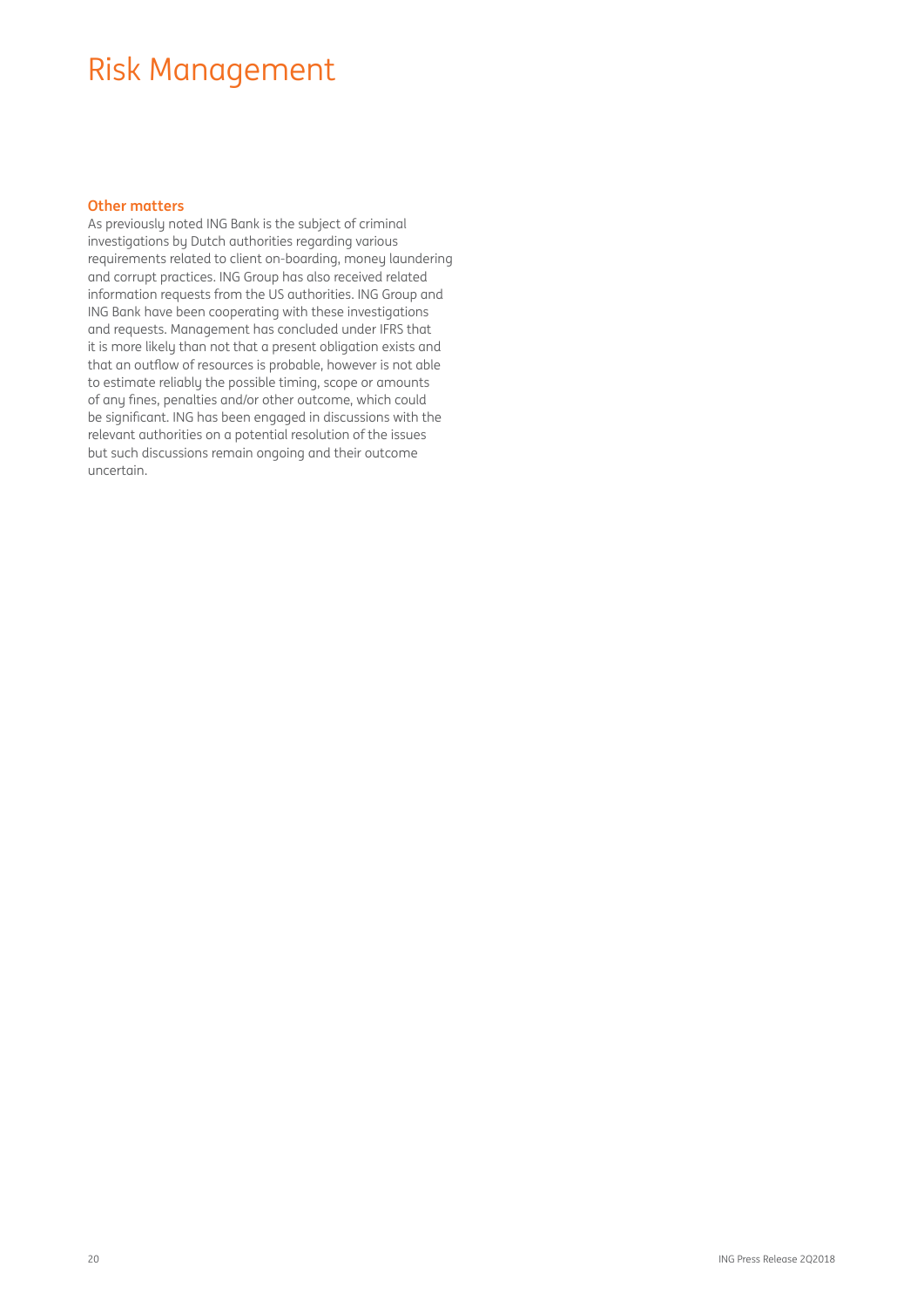## Risk Management

## **Other matters**

As previously noted ING Bank is the subject of criminal investigations by Dutch authorities regarding various requirements related to client on-boarding, money laundering and corrupt practices. ING Group has also received related information requests from the US authorities. ING Group and ING Bank have been cooperating with these investigations and requests. Management has concluded under IFRS that it is more likely than not that a present obligation exists and that an outflow of resources is probable, however is not able to estimate reliably the possible timing, scope or amounts of any fines, penalties and/or other outcome, which could be significant. ING has been engaged in discussions with the relevant authorities on a potential resolution of the issues but such discussions remain ongoing and their outcome uncertain.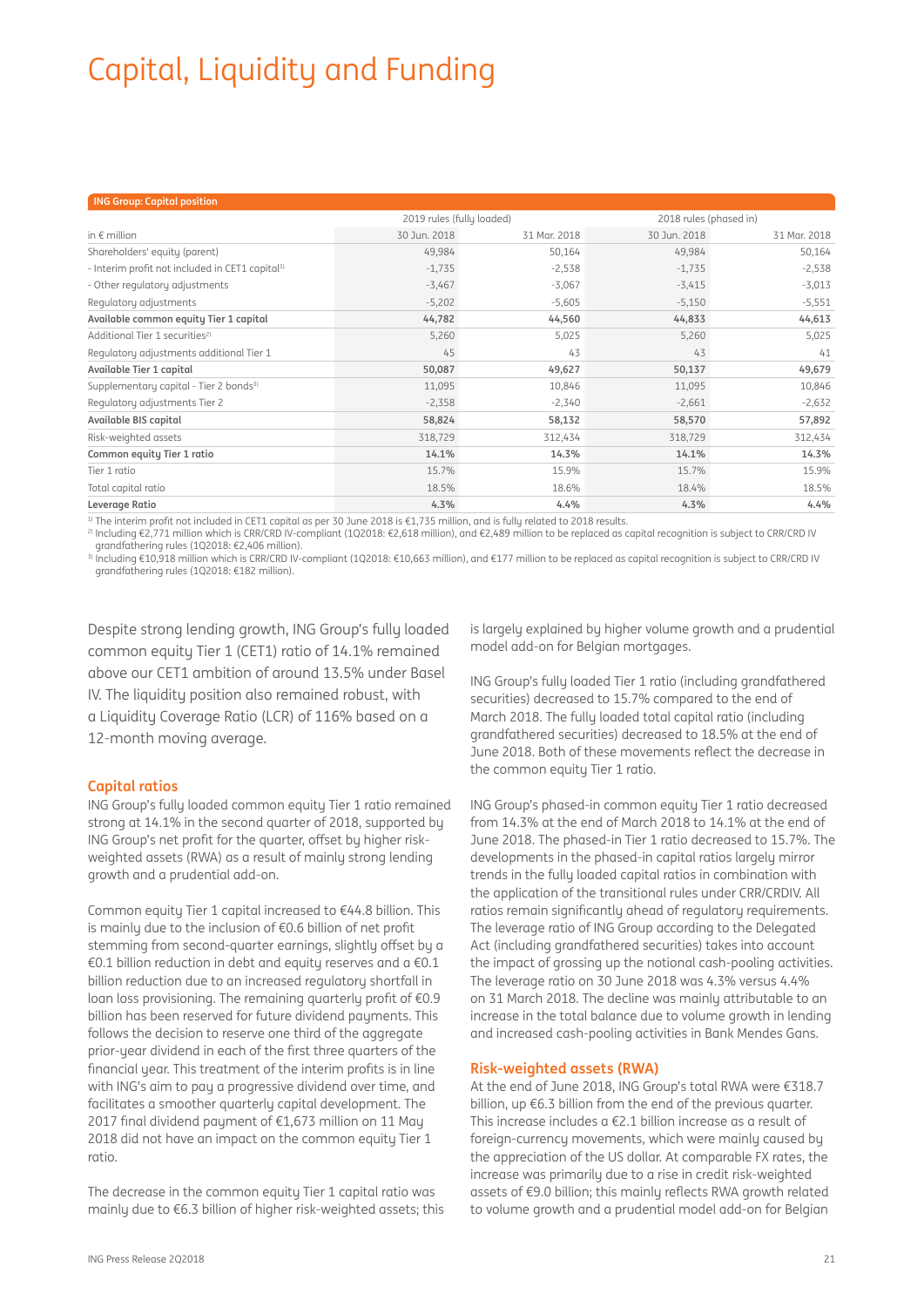# Capital, Liquidity and Funding

| <b>ING Group: Capital position</b>                          |                           |              |                        |              |
|-------------------------------------------------------------|---------------------------|--------------|------------------------|--------------|
|                                                             | 2019 rules (fully loaded) |              | 2018 rules (phased in) |              |
| in $\epsilon$ million                                       | 30 Jun. 2018              | 31 Mar. 2018 | 30 Jun. 2018           | 31 Mar. 2018 |
| Shareholders' equity (parent)                               | 49,984                    | 50,164       | 49,984                 | 50,164       |
| - Interim profit not included in CET1 capital <sup>1)</sup> | $-1,735$                  | $-2,538$     | $-1,735$               | $-2,538$     |
| - Other regulatory adjustments                              | $-3,467$                  | $-3,067$     | $-3,415$               | $-3,013$     |
| Regulatory adjustments                                      | $-5,202$                  | $-5,605$     | $-5,150$               | $-5,551$     |
| Available common equity Tier 1 capital                      | 44,782                    | 44,560       | 44,833                 | 44,613       |
| Additional Tier 1 securities <sup>2)</sup>                  | 5,260                     | 5,025        | 5,260                  | 5,025        |
| Regulatory adjustments additional Tier 1                    | 45                        | 43           | 43                     | 41           |
| Available Tier 1 capital                                    | 50,087                    | 49,627       | 50,137                 | 49,679       |
| Supplementary capital - Tier 2 bonds <sup>3)</sup>          | 11,095                    | 10,846       | 11,095                 | 10,846       |
| Regulatory adjustments Tier 2                               | $-2,358$                  | $-2,340$     | $-2,661$               | $-2,632$     |
| Available BIS capital                                       | 58,824                    | 58,132       | 58,570                 | 57,892       |
| Risk-weighted assets                                        | 318,729                   | 312,434      | 318,729                | 312,434      |
| Common equity Tier 1 ratio                                  | 14.1%                     | 14.3%        | 14.1%                  | 14.3%        |
| Tier 1 ratio                                                | 15.7%                     | 15.9%        | 15.7%                  | 15.9%        |
| Total capital ratio                                         | 18.5%                     | 18.6%        | 18.4%                  | 18.5%        |
| Leverage Ratio                                              | 4.3%                      | 4.4%         | 4.3%                   | 4.4%         |

<sup>1)</sup> The interim profit not included in CET1 capital as per 30 June 2018 is €1,735 million, and is fully related to 2018 results.

2) Including €2,771 million which is CRR/CRD IV-compliant (1Q2018: €2,618 million), and €2,489 million to be replaced as capital recognition is subject to CRR/CRD IV grandfathering rules (1Q2018: €2,406 million).

3) Including €10,918 million which is CRR/CRD IV-compliant (1Q2018: €10,663 million), and €177 million to be replaced as capital recognition is subject to CRR/CRD IV grandfathering rules (1Q2018: €182 million).

Despite strong lending growth, ING Group's fully loaded common equity Tier 1 (CET1) ratio of 14.1% remained above our CET1 ambition of around 13.5% under Basel IV. The liquidity position also remained robust, with a Liquidity Coverage Ratio (LCR) of 116% based on a 12-month moving average.

## **Capital ratios**

ING Group's fully loaded common equity Tier 1 ratio remained strong at 14.1% in the second quarter of 2018, supported by ING Group's net profit for the quarter, offset by higher riskweighted assets (RWA) as a result of mainly strong lending growth and a prudential add-on.

Common equity Tier 1 capital increased to €44.8 billion. This is mainlu due to the inclusion of €0.6 billion of net profit stemming from second-quarter earnings, slightly offset by a €0.1 billion reduction in debt and equity reserves and a €0.1 billion reduction due to an increased regulatory shortfall in loan loss provisioning. The remaining quarterly profit of  $\epsilon$ 0.9 billion has been reserved for future dividend payments. This follows the decision to reserve one third of the aggregate prior-year dividend in each of the first three quarters of the financial year. This treatment of the interim profits is in line with ING's aim to pay a progressive dividend over time, and facilitates a smoother quarterly capital development. The 2017 final dividend payment of  $E1,673$  million on 11 May 2018 did not have an impact on the common equity Tier 1 ratio.

The decrease in the common equity Tier 1 capital ratio was mainly due to €6.3 billion of higher risk-weighted assets; this is largely explained by higher volume growth and a prudential model add-on for Belgian mortgages.

ING Group's fully loaded Tier 1 ratio (including grandfathered securities) decreased to 15.7% compared to the end of March 2018. The fully loaded total capital ratio (including grandfathered securities) decreased to 18.5% at the end of June 2018. Both of these movements reflect the decrease in the common equity Tier 1 ratio.

ING Group's phased-in common equity Tier 1 ratio decreased from 14.3% at the end of March 2018 to 14.1% at the end of June 2018. The phased-in Tier 1 ratio decreased to 15.7%. The developments in the phased-in capital ratios largely mirror trends in the fully loaded capital ratios in combination with the application of the transitional rules under CRR/CRDIV. All ratios remain significantly ahead of regulatory requirements. The leverage ratio of ING Group according to the Delegated Act (including grandfathered securities) takes into account the impact of grossing up the notional cash-pooling activities. The leverage ratio on 30 June 2018 was 4.3% versus 4.4% on 31 March 2018. The decline was mainly attributable to an increase in the total balance due to volume growth in lending and increased cash-pooling activities in Bank Mendes Gans.

## **Risk-weighted assets (RWA)**

At the end of June 2018, ING Group's total RWA were €318.7 billion, up €6.3 billion from the end of the previous quarter. This increase includes a €2.1 billion increase as a result of foreign-currency movements, which were mainly caused by the appreciation of the US dollar. At comparable FX rates, the increase was primarily due to a rise in credit risk-weighted assets of €9.0 billion; this mainly reflects RWA growth related to volume growth and a prudential model add-on for Belgian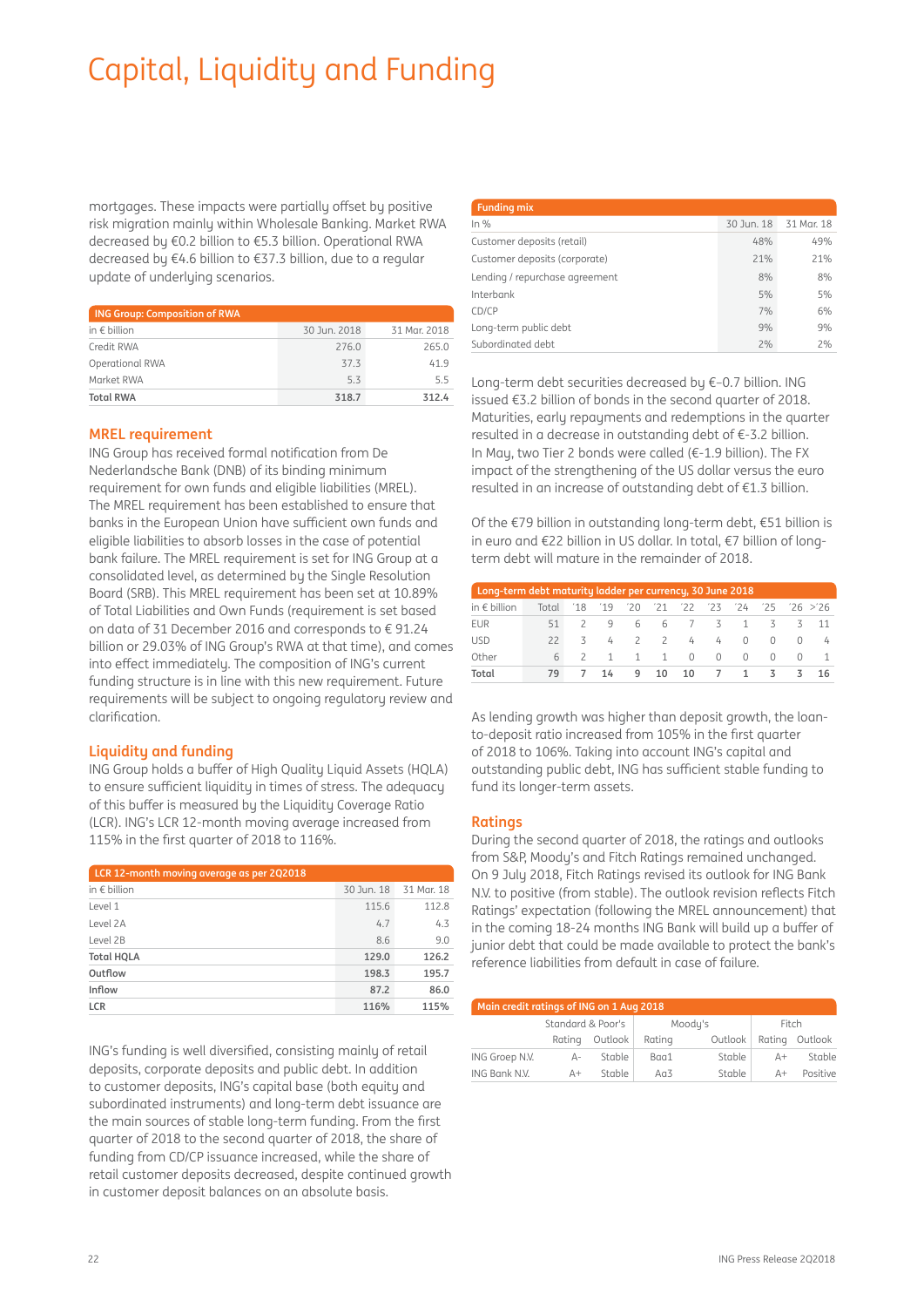# Capital, Liquidity and Funding

mortgages. These impacts were partially offset by positive risk migration mainly within Wholesale Banking. Market RWA decreased by €0.2 billion to €5.3 billion. Operational RWA decreased by €4.6 billion to €37.3 billion, due to a regular update of underlying scenarios.

| <b>ING Group: Composition of RWA</b> |              |              |
|--------------------------------------|--------------|--------------|
| in $\epsilon$ billion                | 30 Jun. 2018 | 31 Mar. 2018 |
| Credit RWA                           | 276.0        | 265.0        |
| <b>Operational RWA</b>               | 37.3         | 419          |
| Market RWA                           | 5.3          | 55           |
| <b>Total RWA</b>                     | 318.7        | 312.4        |

### **MREL requirement**

ING Group has received formal notification from De Nederlandsche Bank (DNB) of its binding minimum requirement for own funds and eligible liabilities (MREL). The MREL requirement has been established to ensure that banks in the European Union have sufficient own funds and eligible liabilities to absorb losses in the case of potential bank failure. The MREL requirement is set for ING Group at a consolidated level, as determined by the Single Resolution Board (SRB). This MREL requirement has been set at 10.89% of Total Liabilities and Own Funds (requirement is set based on data of 31 December 2016 and corresponds to € 91.24 billion or 29.03% of ING Group's RWA at that time), and comes into effect immediately. The composition of ING's current funding structure is in line with this new requirement. Future requirements will be subject to ongoing regulatory review and clarification.

## **Liquidity and funding**

ING Group holds a buffer of High Quality Liquid Assets (HQLA) to ensure sufficient liquidity in times of stress. The adequacy of this buffer is measured by the Liquidity Coverage Ratio (LCR). ING's LCR 12-month moving average increased from 115% in the first quarter of 2018 to 116%.

| LCR 12-month moving average as per 2Q2018 |            |            |
|-------------------------------------------|------------|------------|
| in $\notin$ billion                       | 30 Jun. 18 | 31 Mar. 18 |
| Level 1                                   | 115.6      | 112.8      |
| Level 2A                                  | 4.7        | 4.3        |
| Level 2B                                  | 8.6        | 9.0        |
| <b>Total HQLA</b>                         | 129.0      | 126.2      |
| Outflow                                   | 198.3      | 195.7      |
| Inflow                                    | 87.2       | 86.0       |
| LCR                                       | 116%       | 115%       |

ING's funding is well diversified, consisting mainly of retail deposits, corporate deposits and public debt. In addition to customer deposits, ING's capital base (both equity and subordinated instruments) and long-term debt issuance are the main sources of stable long-term funding. From the first quarter of 2018 to the second quarter of 2018, the share of funding from CD/CP issuance increased, while the share of retail customer deposits decreased, despite continued growth in customer deposit balances on an absolute basis.

| <b>Funding mix</b>             |            |            |
|--------------------------------|------------|------------|
| In $%$                         | 30 Jun. 18 | 31 Mar. 18 |
| Customer deposits (retail)     | 48%        | 49%        |
| Customer deposits (corporate)  | 21%        | 21%        |
| Lending / repurchase agreement | 8%         | 8%         |
| Interbank                      | 5%         | 5%         |
| CD/CP                          | 7%         | 6%         |
| Long-term public debt          | 9%         | 9%         |
| Subordinated debt              | 2%         | 2%         |

Long-term debt securities decreased by €–0.7 billion. ING issued €3.2 billion of bonds in the second quarter of 2018. Maturities, early repayments and redemptions in the quarter resulted in a decrease in outstanding debt of €-3.2 billion. In May, two Tier 2 bonds were called (€-1.9 billion). The FX impact of the strengthening of the US dollar versus the euro resulted in an increase of outstanding debt of €1.3 billion.

Of the €79 billion in outstanding long-term debt, €51 billion is in euro and €22 billion in US dollar. In total, €7 billion of longterm debt will mature in the remainder of 2018.

| Long-term debt maturity ladder per currency, 30 June 2018 |       |                |                |                |                |                |                |                |          |          |                   |
|-----------------------------------------------------------|-------|----------------|----------------|----------------|----------------|----------------|----------------|----------------|----------|----------|-------------------|
| in $\epsilon$ billion                                     | Total | $^{\prime}18$  | 19             | '20            |                | $'21$ $'22$    |                | $'23$ $'24$    |          |          | $'25$ $'26$ $>26$ |
| <b>EUR</b>                                                | 51    | $\mathcal{L}$  | 9              | 6              | - 6            | $\overline{7}$ | - 3            | $\overline{1}$ | 3        | ス        |                   |
| <b>USD</b>                                                | 22    | 3              | 4              | $\overline{z}$ | $\overline{2}$ | 4              | $\frac{1}{2}$  | $\Omega$       | $\Omega$ | $\cap$   | 4                 |
| Other                                                     | 6.    | $\overline{z}$ | $\overline{1}$ | $\overline{1}$ | $\overline{1}$ | $\Omega$       | $\Omega$       | $\Omega$       | $\Omega$ | $\Omega$ |                   |
| Total                                                     | 79    |                | 14             | 9              | 10             | 10             | $\overline{7}$ | -1             | 3        | 3        | -16               |

As lending growth was higher than deposit growth, the loanto-deposit ratio increased from 105% in the first quarter of 2018 to 106%. Taking into account ING's capital and outstanding public debt, ING has sufficient stable funding to fund its longer-term assets.

### **Ratings**

During the second quarter of 2018, the ratings and outlooks from S&P, Moody's and Fitch Ratings remained unchanged. On 9 July 2018, Fitch Ratings revised its outlook for ING Bank N.V. to positive (from stable). The outlook revision reflects Fitch Ratings' expectation (following the MREL announcement) that in the coming 18-24 months ING Bank will build up a buffer of junior debt that could be made available to protect the bank's reference liabilities from default in case of failure.

| Main credit ratings of ING on 1 Aug 2018 |                   |               |        |         |            |          |  |  |  |  |  |  |  |
|------------------------------------------|-------------------|---------------|--------|---------|------------|----------|--|--|--|--|--|--|--|
|                                          | Standard & Poor's |               |        | Moody's | Fitch      |          |  |  |  |  |  |  |  |
|                                          | Ratina            | Outlook       | Rating | Outlook | Rating     | Outlook  |  |  |  |  |  |  |  |
| ING Groep N.V.                           | Д-                | Stable        | Baa1   | Stable  | $\Delta +$ | Stable   |  |  |  |  |  |  |  |
| ING Bank N.V.                            | $\Delta +$        | <b>Aldnt?</b> | Aa3    | Stable  | $\Delta +$ | Positive |  |  |  |  |  |  |  |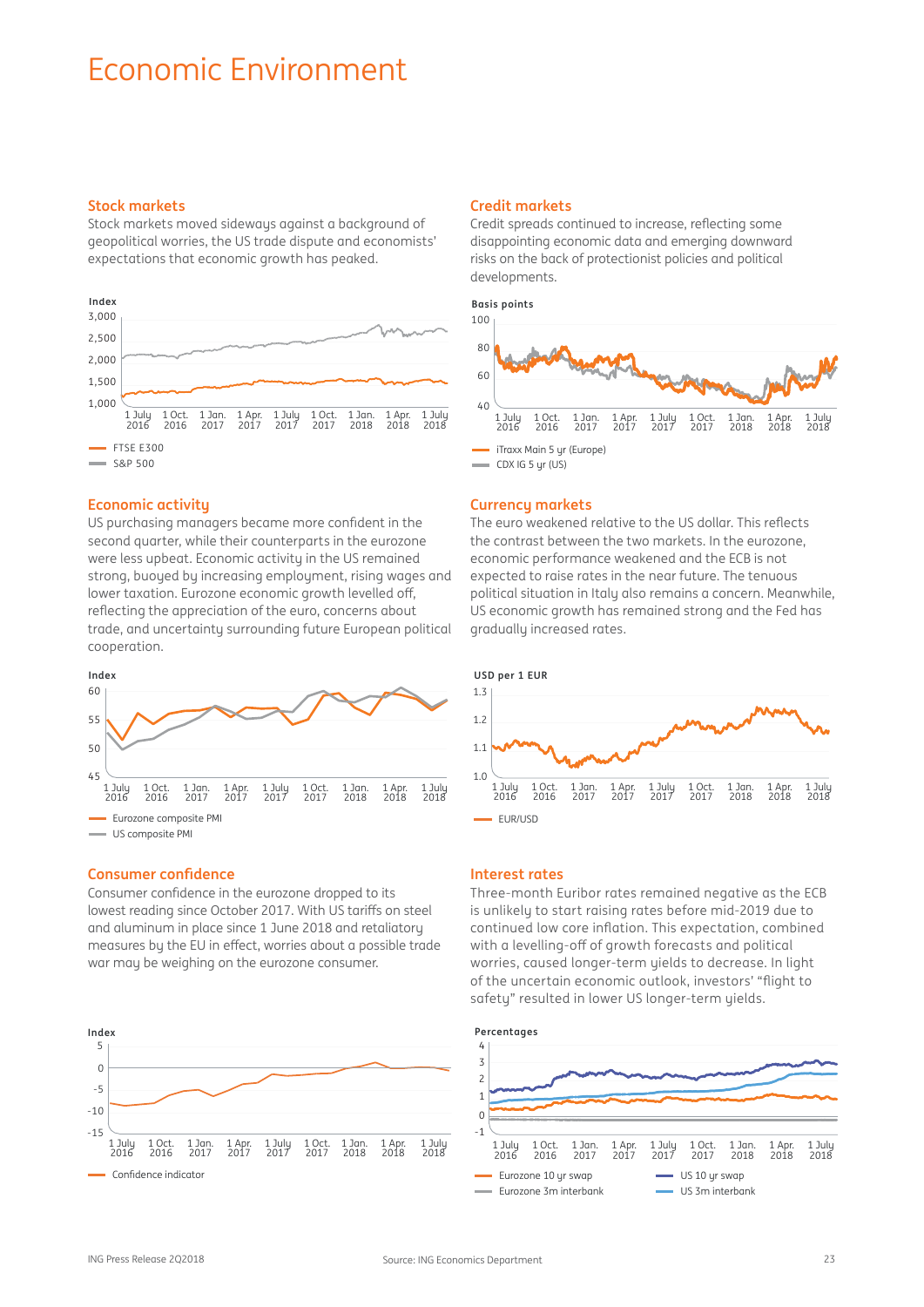## Economic Environment

## **Stock markets**

Stock markets moved sideways against a background of geopolitical worries, the US trade dispute and economists' expectations that economic growth has peaked.



## **Economic activity**

US purchasing managers became more confident in the second quarter, while their counterparts in the eurozone were less upbeat. Economic activity in the US remained strong, buoyed by increasing employment, rising wages and lower taxation. Eurozone economic growth levelled off, reflecting the appreciation of the euro, concerns about trade, and uncertainty surrounding future European political cooperation.



### **Consumer confidence**

Consumer confidence in the eurozone dropped to its lowest reading since October 2017. With US tariffs on steel and aluminum in place since 1 June 2018 and retaliatory measures bu the EU in effect, worries about a possible trade war may be weighing on the eurozone consumer.



## **Credit markets**

Credit spreads continued to increase, reflecting some disappointing economic data and emerging downward risks on the back of protectionist policies and political developments.



## **Currency markets**

The euro weakened relative to the US dollar. This reflects the contrast between the two markets. In the eurozone, economic performance weakened and the ECB is not expected to raise rates in the near future. The tenuous political situation in Italy also remains a concern. Meanwhile, US economic growth has remained strong and the Fed has gradually increased rates.



## **Interest rates**

Three-month Euribor rates remained negative as the ECB is unlikely to start raising rates before mid-2019 due to continued low core inflation. This expectation, combined with a levelling-off of growth forecasts and political worries, caused longer-term yields to decrease. In light of the uncertain economic outlook, investors' "flight to safety" resulted in lower US longer-term yields.

**Percentages**

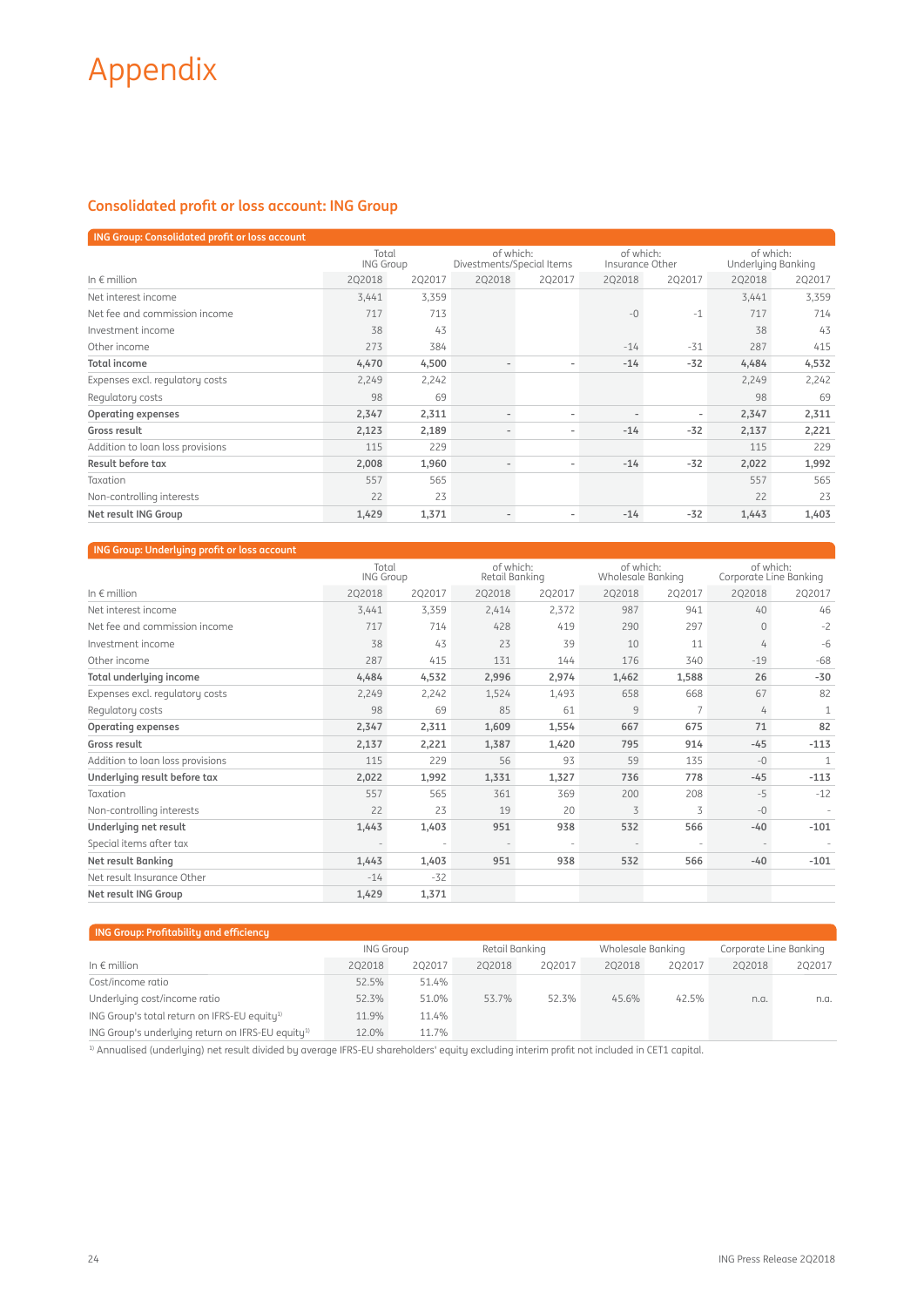## **Consolidated profit or loss account: ING Group**

| ING Group: Consolidated profit or loss account |                           |        |                                        |        |                              |        |                                 |        |
|------------------------------------------------|---------------------------|--------|----------------------------------------|--------|------------------------------|--------|---------------------------------|--------|
|                                                | Total<br><b>ING Group</b> |        | of which:<br>Divestments/Special Items |        | of which:<br>Insurance Other |        | of which:<br>Underlying Banking |        |
| In $\epsilon$ million                          | 202018                    | 202017 | 202018                                 | 202017 | 202018                       | 2Q2017 | 202018                          | 202017 |
| Net interest income                            | 3,441                     | 3,359  |                                        |        |                              |        | 3,441                           | 3,359  |
| Net fee and commission income                  | 717                       | 713    |                                        |        | $-0$                         | $-1$   | 717                             | 714    |
| Investment income                              | 38                        | 43     |                                        |        |                              |        | 38                              | 43     |
| Other income                                   | 273                       | 384    |                                        |        | $-14$                        | $-31$  | 287                             | 415    |
| <b>Total income</b>                            | 4,470                     | 4,500  |                                        |        | $-14$                        | $-32$  | 4,484                           | 4,532  |
| Expenses excl. regulatory costs                | 2,249                     | 2,242  |                                        |        |                              |        | 2,249                           | 2,242  |
| Regulatory costs                               | 98                        | 69     |                                        |        |                              |        | 98                              | 69     |
| Operating expenses                             | 2,347                     | 2,311  | $\overline{\phantom{a}}$               | ۰      |                              |        | 2,347                           | 2,311  |
| Gross result                                   | 2,123                     | 2,189  | $\overline{\phantom{a}}$               | ۰      | $-14$                        | $-32$  | 2,137                           | 2,221  |
| Addition to loan loss provisions               | 115                       | 229    |                                        |        |                              |        | 115                             | 229    |
| Result before tax                              | 2,008                     | 1,960  | $\overline{\phantom{a}}$               | ۰      | $-14$                        | $-32$  | 2,022                           | 1,992  |
| Taxation                                       | 557                       | 565    |                                        |        |                              |        | 557                             | 565    |
| Non-controlling interests                      | 22                        | 23     |                                        |        |                              |        | 22                              | 23     |
| Net result ING Group                           | 1,429                     | 1,371  | $\overline{\phantom{a}}$               | ٠      | $-14$                        | $-32$  | 1,443                           | 1,403  |

## **ING Group: Underlying profit or loss account**

|                                  | Total<br><b>ING Group</b> |        | of which:<br>Retail Banking |        | of which:<br>Wholesale Banking |        | of which:<br>Corporate Line Banking |              |
|----------------------------------|---------------------------|--------|-----------------------------|--------|--------------------------------|--------|-------------------------------------|--------------|
| In $\notin$ million              | 2Q2018                    | 202017 | 2Q2018                      | 2Q2017 | 2Q2018                         | 202017 | 2Q2018                              | 202017       |
| Net interest income              | 3,441                     | 3,359  | 2,414                       | 2,372  | 987                            | 941    | $40^{1}$                            | 46           |
| Net fee and commission income    | 717                       | 714    | 428                         | 419    | 290                            | 297    | $\Omega$                            | $-2$         |
| Investment income                | 38                        | 43     | 23                          | 39     | 10                             | 11     | 4                                   | $-6$         |
| Other income                     | 287                       | 415    | 131                         | 144    | 176                            | 340    | $-19$                               | $-68$        |
| Total underlying income          | 4,484                     | 4,532  | 2,996                       | 2,974  | 1,462                          | 1,588  | 26                                  | $-30$        |
| Expenses excl. regulatory costs  | 2,249                     | 2,242  | 1,524                       | 1,493  | 658                            | 668    | 67                                  | 82           |
| Regulatory costs                 | 98                        | 69     | 85                          | 61     | 9                              | 7      | 4                                   |              |
| <b>Operating expenses</b>        | 2,347                     | 2,311  | 1,609                       | 1,554  | 667                            | 675    | 71                                  | 82           |
| Gross result                     | 2,137                     | 2,221  | 1,387                       | 1,420  | 795                            | 914    | $-45$                               | $-113$       |
| Addition to loan loss provisions | 115                       | 229    | 56                          | 93     | 59                             | 135    | $-0$                                | $\mathbf{1}$ |
| Underlying result before tax     | 2,022                     | 1,992  | 1,331                       | 1,327  | 736                            | 778    | $-45$                               | $-113$       |
| Taxation                         | 557                       | 565    | 361                         | 369    | 200                            | 208    | $-5$                                | $-12$        |
| Non-controlling interests        | 22                        | 23     | 19                          | 20     | 3                              | 3      | $-0$                                |              |
| Underlying net result            | 1,443                     | 1,403  | 951                         | 938    | 532                            | 566    | $-40$                               | $-101$       |
| Special items after tax          |                           |        |                             |        |                                |        |                                     |              |
| Net result Banking               | 1,443                     | 1,403  | 951                         | 938    | 532                            | 566    | $-40$                               | $-101$       |
| Net result Insurance Other       | $-14$                     | $-32$  |                             |        |                                |        |                                     |              |
| Net result ING Group             | 1,429                     | 1,371  |                             |        |                                |        |                                     |              |

| <b>ING Group: Profitability and efficiency</b>                |                  |        |                |        |                   |        |                        |        |
|---------------------------------------------------------------|------------------|--------|----------------|--------|-------------------|--------|------------------------|--------|
|                                                               | <b>ING Group</b> |        | Retail Banking |        | Wholesale Banking |        | Corporate Line Banking |        |
| In $\epsilon$ million                                         | 202018           | 202017 | 202018         | 202017 | 202018            | 202017 | 202018                 | 2Q2017 |
| Cost/income ratio                                             | 52.5%            | 51.4%  |                |        |                   |        |                        |        |
| Underlying cost/income ratio                                  | 52.3%            | 51.0%  | 53.7%          | 52.3%  | 45.6%             | 42.5%  | n.a.                   | n.a.   |
| ING Group's total return on IFRS-EU equity <sup>1)</sup>      | 11.9%            | 11.4%  |                |        |                   |        |                        |        |
| ING Group's underlying return on IFRS-EU equity <sup>1)</sup> | 12.0%            | 11.7%  |                |        |                   |        |                        |        |

1) Annualised (underlying) net result divided by average IFRS-EU shareholders' equity excluding interim profit not included in CET1 capital.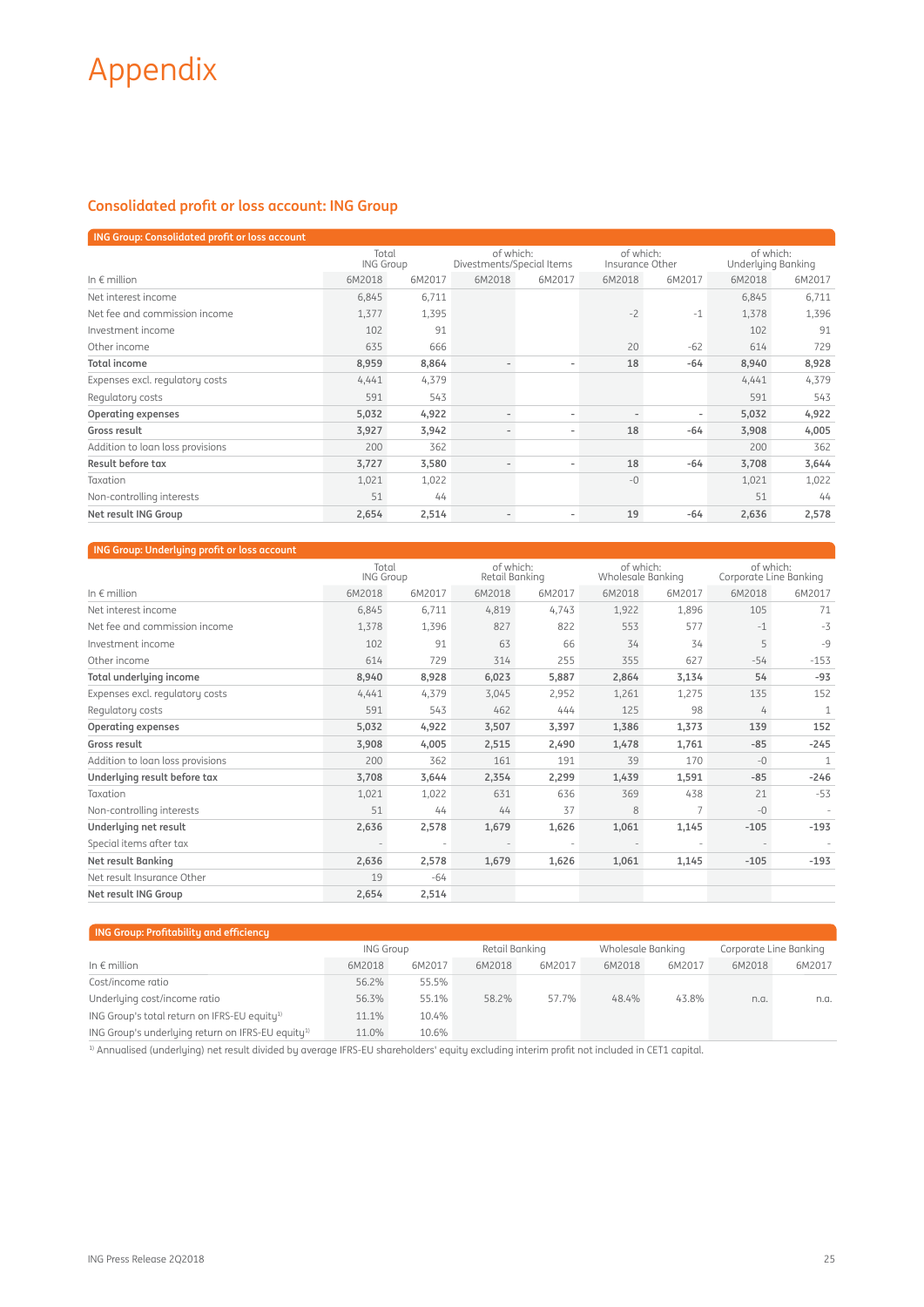## **Consolidated profit or loss account: ING Group**

| <b>ING Group: Consolidated profit or loss account</b> |                           |        |                                        |        |                              |        |                                 |        |
|-------------------------------------------------------|---------------------------|--------|----------------------------------------|--------|------------------------------|--------|---------------------------------|--------|
|                                                       | Total<br><b>ING Group</b> |        | of which:<br>Divestments/Special Items |        | of which:<br>Insurance Other |        | of which:<br>Underlying Banking |        |
| In $\epsilon$ million                                 | 6M2018                    | 6M2017 | 6M2018                                 | 6M2017 | 6M2018                       | 6M2017 | 6M2018                          | 6M2017 |
| Net interest income                                   | 6,845                     | 6,711  |                                        |        |                              |        | 6,845                           | 6,711  |
| Net fee and commission income                         | 1,377                     | 1,395  |                                        |        | $-2$                         | $-1$   | 1,378                           | 1,396  |
| Investment income                                     | 102                       | 91     |                                        |        |                              |        | 102                             | 91     |
| Other income                                          | 635                       | 666    |                                        |        | 20                           | $-62$  | 614                             | 729    |
| <b>Total income</b>                                   | 8,959                     | 8,864  |                                        |        | 18                           | $-64$  | 8,940                           | 8,928  |
| Expenses excl. regulatory costs                       | 4,441                     | 4,379  |                                        |        |                              |        | 4,441                           | 4,379  |
| Regulatory costs                                      | 591                       | 543    |                                        |        |                              |        | 591                             | 543    |
| Operating expenses                                    | 5,032                     | 4,922  | $\overline{\phantom{a}}$               | ۰      |                              |        | 5,032                           | 4,922  |
| Gross result                                          | 3,927                     | 3,942  | $\overline{\phantom{a}}$               | ۰      | 18                           | $-64$  | 3,908                           | 4,005  |
| Addition to loan loss provisions                      | 200                       | 362    |                                        |        |                              |        | 200                             | 362    |
| Result before tax                                     | 3,727                     | 3,580  | $\overline{\phantom{a}}$               | ۰      | 18                           | $-64$  | 3,708                           | 3,644  |
| Taxation                                              | 1,021                     | 1,022  |                                        |        | $-0$                         |        | 1,021                           | 1,022  |
| Non-controlling interests                             | 51                        | 44     |                                        |        |                              |        | 51                              | 44     |
| Net result ING Group                                  | 2,654                     | 2,514  | $\overline{\phantom{a}}$               | ۰      | 19                           | $-64$  | 2,636                           | 2,578  |

#### **ING Group: Underlying profit or loss account**

|                                  | Total<br><b>ING Group</b> |        | of which:<br>Retail Banking |        | of which:<br>Wholesale Banking |        | of which:<br>Corporate Line Banking |        |
|----------------------------------|---------------------------|--------|-----------------------------|--------|--------------------------------|--------|-------------------------------------|--------|
| In $\epsilon$ million            | 6M2018                    | 6M2017 | 6M2018                      | 6M2017 | 6M2018                         | 6M2017 | 6M2018                              | 6M2017 |
| Net interest income              | 6,845                     | 6,711  | 4,819                       | 4,743  | 1,922                          | 1,896  | 105                                 | 71     |
| Net fee and commission income    | 1,378                     | 1,396  | 827                         | 822    | 553                            | 577    | $-1$                                | $-3$   |
| Investment income                | 102                       | 91     | 63                          | 66     | 34                             | 34     | 5                                   | $-9$   |
| Other income                     | 614                       | 729    | 314                         | 255    | 355                            | 627    | $-54$                               | $-153$ |
| Total underlying income          | 8,940                     | 8,928  | 6,023                       | 5,887  | 2,864                          | 3,134  | 54                                  | $-93$  |
| Expenses excl. regulatory costs  | 4,441                     | 4,379  | 3,045                       | 2,952  | 1,261                          | 1,275  | 135                                 | 152    |
| Regulatory costs                 | 591                       | 543    | 462                         | 444    | 125                            | 98     | 4                                   |        |
| <b>Operating expenses</b>        | 5,032                     | 4,922  | 3,507                       | 3,397  | 1,386                          | 1,373  | 139                                 | 152    |
| Gross result                     | 3,908                     | 4,005  | 2,515                       | 2,490  | 1,478                          | 1,761  | $-85$                               | $-245$ |
| Addition to loan loss provisions | 200                       | 362    | 161                         | 191    | 39                             | 170    | $-0$                                |        |
| Underlying result before tax     | 3,708                     | 3,644  | 2,354                       | 2,299  | 1,439                          | 1,591  | $-85$                               | $-246$ |
| Taxation                         | 1,021                     | 1,022  | 631                         | 636    | 369                            | 438    | 21                                  | $-53$  |
| Non-controlling interests        | 51                        | 44     | 44                          | 37     | 8                              | 7      | $-0$                                |        |
| Underlying net result            | 2,636                     | 2,578  | 1,679                       | 1,626  | 1,061                          | 1,145  | $-105$                              | $-193$ |
| Special items after tax          |                           |        |                             |        |                                |        |                                     |        |
| Net result Banking               | 2,636                     | 2,578  | 1,679                       | 1,626  | 1,061                          | 1,145  | $-105$                              | $-193$ |
| Net result Insurance Other       | 19                        | $-64$  |                             |        |                                |        |                                     |        |
| Net result ING Group             | 2,654                     | 2,514  |                             |        |                                |        |                                     |        |

| <b>ING Group: Profitability and efficiency</b>                |                  |        |                |        |                   |        |                        |        |
|---------------------------------------------------------------|------------------|--------|----------------|--------|-------------------|--------|------------------------|--------|
|                                                               | <b>ING Group</b> |        | Retail Banking |        | Wholesale Banking |        | Corporate Line Banking |        |
| In $\epsilon$ million                                         | 6M2018           | 6M2017 | 6M2018         | 6M2017 | 6M2018            | 6M2017 | 6M2018                 | 6M2017 |
| Cost/income ratio                                             | 56.2%            | 55.5%  |                |        |                   |        |                        |        |
| Underlying cost/income ratio                                  | 56.3%            | 55.1%  | 58.2%          | 57.7%  | 48.4%             | 43.8%  | n.a.                   | n.a.   |
| ING Group's total return on IFRS-EU equity <sup>1)</sup>      | 11.1%            | 10.4%  |                |        |                   |        |                        |        |
| ING Group's underlying return on IFRS-EU equity <sup>1)</sup> | 11.0%            | 10.6%  |                |        |                   |        |                        |        |

1) Annualised (underlying) net result divided by average IFRS-EU shareholders' equity excluding interim profit not included in CET1 capital.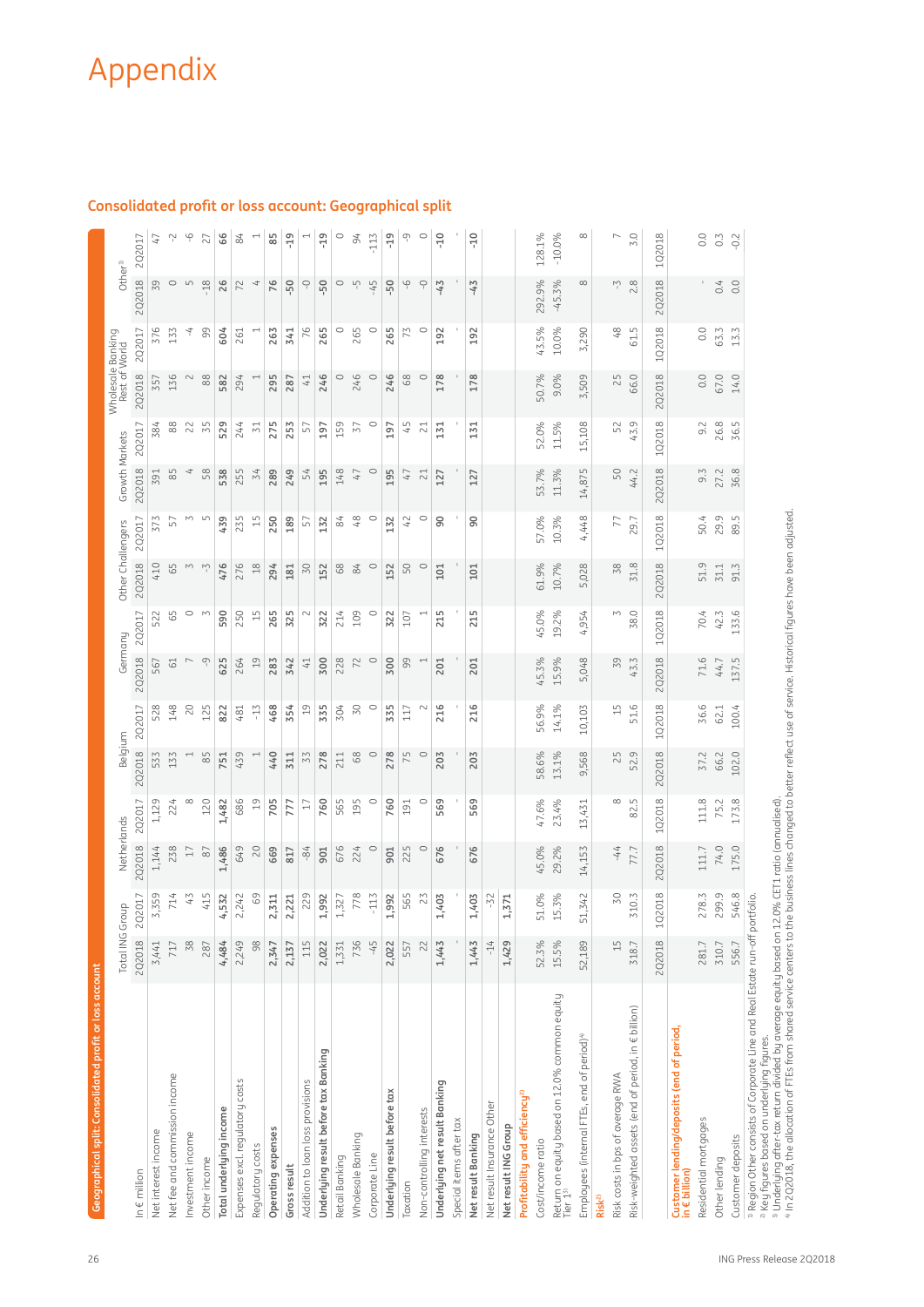|   | J       |
|---|---------|
|   |         |
|   |         |
|   | i       |
|   |         |
|   | I       |
|   |         |
|   | I       |
|   |         |
|   | J       |
|   |         |
|   |         |
|   |         |
|   | ı<br>I  |
|   |         |
|   | I       |
|   |         |
|   |         |
|   |         |
|   | l       |
|   |         |
|   | ι<br>f, |
|   |         |
|   |         |
|   |         |
| í |         |
|   |         |
|   |         |
|   |         |
|   |         |
|   |         |
|   |         |
|   |         |
|   | ׇ֚֓֡    |
|   | I       |
|   |         |
|   | J       |
|   | I       |
|   |         |
|   |         |
|   |         |
|   |         |
|   |         |
|   | I       |
|   |         |
|   |         |
|   |         |
|   |         |
|   | I       |
|   |         |
| ľ | I       |
|   |         |
|   |         |
|   | I       |
|   |         |
|   |         |
|   |         |
|   |         |
|   | ۱       |
|   |         |
|   |         |
|   | l       |
|   |         |
|   |         |
|   |         |
|   |         |
|   |         |
|   |         |
|   |         |
|   |         |
|   |         |
|   |         |
|   |         |
|   |         |

| <b>Consolidated profit or loss account: Geographical split</b> |  |  |  |
|----------------------------------------------------------------|--|--|--|
|                                                                |  |  |  |

| Geographical split: Consolidated profit or loss account                                                                                                                                                                                                                                                                                                                                                         |                        |        |                              |                |         |               |                          |               |                   |                |                |         |                                    |         |                      |                          |
|-----------------------------------------------------------------------------------------------------------------------------------------------------------------------------------------------------------------------------------------------------------------------------------------------------------------------------------------------------------------------------------------------------------------|------------------------|--------|------------------------------|----------------|---------|---------------|--------------------------|---------------|-------------------|----------------|----------------|---------|------------------------------------|---------|----------------------|--------------------------|
|                                                                                                                                                                                                                                                                                                                                                                                                                 | <b>Total ING Group</b> |        | Netherlands                  |                | Belgium |               | Germany                  |               | Other Challengers |                | Growth Markets |         | Wholesale Banking<br>Rest of World |         | Other <sup>1</sup>   |                          |
| In $\notin$ million                                                                                                                                                                                                                                                                                                                                                                                             | 2Q2018                 | 2Q2017 | 2Q2018                       | <b>2Q2017</b>  | 2Q2018  | 202017        | 202018                   | 202017        | 2Q2018            | 202017         | 2Q2018         | 2Q2017  | 2Q2018                             | 202017  | 2Q2018               | 202017                   |
| Net interest income                                                                                                                                                                                                                                                                                                                                                                                             | 3,441                  | 3,359  | 1,144                        | 1,129          | 533     | 528           | 567                      | 522           | 410               | 373            | 391            | 384     | 357                                | 376     | 59                   | 47                       |
| Net fee and commission income                                                                                                                                                                                                                                                                                                                                                                                   | 717                    | 714    | 238                          | 224            | 133     | 148           | 61                       | 65            | 65                | 57             | 85             | 88      | 136                                | 133     | $\circ$              | $\sim$                   |
| Investment income                                                                                                                                                                                                                                                                                                                                                                                               | $\overline{58}$        | 43     | 17                           | ∞              |         | 20            | $\overline{ }$           | $\circ$       | $\sim$            | Z              | 4              | 22      | $\sim$                             | ₹       | $\Box$               | $\frac{1}{\sqrt{2}}$     |
| Other income                                                                                                                                                                                                                                                                                                                                                                                                    | 287                    | 415    | $\approx$                    | 120            | 85      | 125           | $\bigcirc$               |               | $\sum_{i=1}^{n}$  | $\sqrt{2}$     | 58             | 55      | 88                                 | 99      | $-18$                | 27                       |
| Total underlying income                                                                                                                                                                                                                                                                                                                                                                                         | 4,484                  | 4,532  | 1,486                        | 1,482          | 751     | 822           | 625                      | 590           | 476               | 439            | 538            | 529     | 582                                | 604     | 26                   | 66                       |
| Expenses excl. regulatory costs                                                                                                                                                                                                                                                                                                                                                                                 | 2,249                  | 2,242  | 649                          | 686            | 439     | 481           | 264                      | 250           | 276               | 235            | 255            | 244     | 294                                | 261     | 72                   | 84                       |
| Regulatory costs                                                                                                                                                                                                                                                                                                                                                                                                | 98                     | 69     | 20                           | $\overline{c}$ |         | $-13$         | 19                       | $\frac{1}{1}$ | $\frac{8}{1}$     | $\frac{1}{1}$  | 34             | 51      | $\overline{ }$                     |         | $\overline{4}$       | $\overline{ }$           |
| Operating expenses                                                                                                                                                                                                                                                                                                                                                                                              | 2,347                  | 2,311  | 669                          | 705            | 440     | 468           | 283                      | 265           | 294               | 250            | 289            | 275     | 295                                | 263     | 76                   | 58                       |
| Gross result                                                                                                                                                                                                                                                                                                                                                                                                    | 2,137                  | 2,221  | 817                          | 777            | 311     | 354           | 342                      | 325           | 181               | 189            | 249            | 253     | 287                                | 341     | -50                  | $-19$                    |
| Addition to loan loss provisions                                                                                                                                                                                                                                                                                                                                                                                | 115                    | 229    | $-84$                        | 17             | 53      | $\frac{1}{2}$ | 41                       | $\sim$        | 30                | 57             | 54             | 57      | $\overline{1}$                     | 76      | $\bigcap$            |                          |
| Underlying result before tax Banking                                                                                                                                                                                                                                                                                                                                                                            | 2,022                  | 1,992  | 901                          | 760            | 278     | 335           | 300                      | 322           | 152               | 132            | 195            | 197     | 246                                | 265     | $-50$                | $-19$                    |
| Retail Banking                                                                                                                                                                                                                                                                                                                                                                                                  | 1,331                  | 1,327  | 676                          | 565            | 211     | 304           | 228                      | 214           | 68                | 84             | 148            | 159     | $\circ$                            | $\circ$ | $\circ$              | $\circ$                  |
| Wholesale Banking                                                                                                                                                                                                                                                                                                                                                                                               | 736                    | 778    | 224                          | 195            | 68      | 30            | 72                       | 109           | 84                | 48             | 7              | 57      | 246                                | 265     | டி                   | 94                       |
| Corporate Line                                                                                                                                                                                                                                                                                                                                                                                                  | $-45$                  | $-113$ | $\circ$                      | $\circ$        | $\circ$ | $\circ$       | $\circ$                  | $\circ$       | $\circ$           | $\circ$        | $\circ$        | $\circ$ | $\circ$                            | $\circ$ | $-45$                | $-113$                   |
| Underlying result before tax                                                                                                                                                                                                                                                                                                                                                                                    | 2,022                  | 1,992  | 901                          | 760            | 278     | 335           | 300                      | 322           | 152               | 132            | 195            | 197     | 246                                | 265     | -50                  | $-19$                    |
| Taxation                                                                                                                                                                                                                                                                                                                                                                                                        | 557                    | 565    | 225                          | 191            | 75      | 117           | 99                       | 107           | 50                | 42             | 17             | 45      | 68                                 | 73      | $\frac{1}{\sqrt{2}}$ | ግ                        |
| Non-controlling interests                                                                                                                                                                                                                                                                                                                                                                                       | 22                     | 23     | $\circ$                      | $\circ$        | $\circ$ | 2             | $\overline{\phantom{0}}$ |               | $\circ$           | $\circ$        | 21             | 21      | $\circ$                            | $\circ$ | P                    | $\circ$                  |
| Underlying net result Banking                                                                                                                                                                                                                                                                                                                                                                                   | 1,443                  | 1,403  | 676                          | 569            | 203     | 216           | 201                      | 215           | 101               | $\overline{0}$ | 127            | 131     | 178                                | 192     | $-43$                | $-10$                    |
| Special items after tax                                                                                                                                                                                                                                                                                                                                                                                         |                        |        |                              |                |         |               |                          |               |                   |                |                |         |                                    |         |                      |                          |
| Net result Banking                                                                                                                                                                                                                                                                                                                                                                                              | 1,443                  | 1,403  | 676                          | 569            | 203     | 216           | 201                      | 215           | 101               | 90             | 127            | 131     | 178                                | 192     | $-43$                | $-10$                    |
| Net result Insurance Other                                                                                                                                                                                                                                                                                                                                                                                      | $-14$                  | $-32$  |                              |                |         |               |                          |               |                   |                |                |         |                                    |         |                      |                          |
| Net result ING Group                                                                                                                                                                                                                                                                                                                                                                                            | 1,429                  | 1,371  |                              |                |         |               |                          |               |                   |                |                |         |                                    |         |                      |                          |
| Profitability and efficiency <sup>2)</sup>                                                                                                                                                                                                                                                                                                                                                                      |                        |        |                              |                |         |               |                          |               |                   |                |                |         |                                    |         |                      |                          |
| Cost/income ratio                                                                                                                                                                                                                                                                                                                                                                                               | 52.3%                  | 51.0%  | 45.0%                        | 47.6%          | 58.6%   | 56.9%         | 45.3%                    | 45.0%         | 61.9%             | 57.0%          | 53.7%          | 52.0%   | 50.7%                              | 43.5%   | 292.9%               | 128.1%                   |
| Return on equity based on 12.0% common equity<br>Tier 1 <sup>3)</sup>                                                                                                                                                                                                                                                                                                                                           | 15.5%                  | 15.3%  | 29.2%                        | 23.4%          | 13.1%   | 14.1%         | 15.9%                    | 19.2%         | 10.7%             | 10.3%          | 11.3%          | 11.5%   | 9.0%                               | 10.0%   | $-45.3%$             | $-10.0%$                 |
| Employees (internal FTEs, end of period) <sup>4)</sup>                                                                                                                                                                                                                                                                                                                                                          | 52,189                 | 51,342 | 14,153                       | 13,431         | 9,568   | 10,103        | 5,048                    | 4,954         | 5,028             | 4,448          | 14,875         | 15,108  | 3,509                              | 3,290   | $\infty$             | $\infty$                 |
| Risk <sup>2)</sup>                                                                                                                                                                                                                                                                                                                                                                                              |                        |        |                              |                |         |               |                          |               |                   |                |                |         |                                    |         |                      |                          |
| Risk costs in bps of average RWA                                                                                                                                                                                                                                                                                                                                                                                | 15                     | 30     | $-44$                        | $\infty$       | 25      | 15            | 39                       | M             | 38                | 77             | 50             | 52      | 25                                 | 48      | Ņ                    | $\overline{\phantom{0}}$ |
| Risk-weighted assets (end of period, in € billion)                                                                                                                                                                                                                                                                                                                                                              | 318.7                  | 310.3  | 77.7                         | 82.5           | 52.9    | 51.6          | 43.3                     | 38.0          | 31.8              | 29.7           | 44.2           | 43.9    | 66.0                               | 61.5    | 2.8                  | 3.0                      |
|                                                                                                                                                                                                                                                                                                                                                                                                                 | 2Q2018                 | 1Q2018 | 2Q2018                       | 1Q2018         | 2Q2018  | 1Q2018        | 2Q2018                   | 1Q2018        | 2Q2018            | 1Q2018         | 2Q2018         | 1Q2018  | 2Q2018                             | 1Q2018  | 2Q2018               | 1Q2018                   |
| Customer lending/deposits (end of period,<br>in $\epsilon$ billion)                                                                                                                                                                                                                                                                                                                                             |                        |        |                              |                |         |               |                          |               |                   |                |                |         |                                    |         |                      |                          |
| Residential mortgages                                                                                                                                                                                                                                                                                                                                                                                           | 281.7                  | 278.3  | 111.7                        | 111.8          | 37.2    | 36.6          | 71.6                     | 70.4          | 51.9              | 50.4           | 9.3            | 9.2     | 0.0                                | 0.0     |                      | 0.0                      |
| Other lending                                                                                                                                                                                                                                                                                                                                                                                                   | 310.7                  | 299.9  | 74.0                         | 75.2           | 66.2    | 62.1          | 44.7                     | 42.3          | 31.1              | 29.9           | 27.2           | 26.8    | 67.0                               | 63.3    | 0.4                  | $0.\overline{3}$         |
| Customer deposits                                                                                                                                                                                                                                                                                                                                                                                               | 556.7                  | 546.8  | 175.0                        | 173.8          | 102.0   | 100.4         | 137.5                    | 133.6         | 91.3              | 89.5           | 36.8           | 36.5    | 14.0                               | 13.3    | 0.0                  | $-0.2$                   |
| " In 202018, the allocation of FTEs from shared service centers to the business lines changed to better reflect use of service. Historical figures have been adjusted.<br><sup>1)</sup> Region Other consists of Corporate Line and Real Estate run-off portfolio.<br><sup>3)</sup> Underlying after-tax return divided by average equity based on 12<br><sup>2)</sup> Key figures based on underlying figures. |                        |        | .0% CET1 ratio (annualised). |                |         |               |                          |               |                   |                |                |         |                                    |         |                      |                          |

26 ING Press Release 2Q2018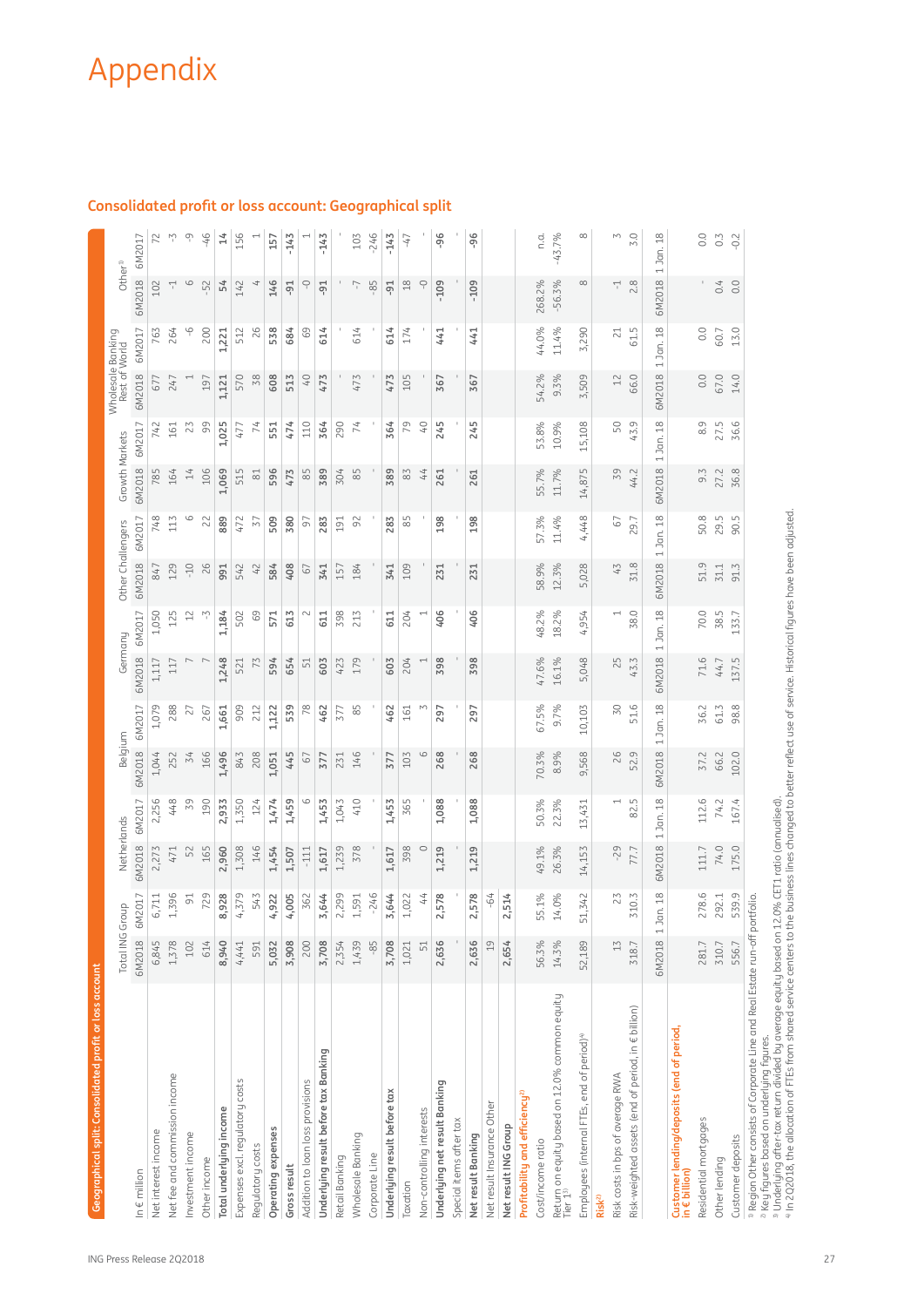| Consolidated profit or loss account: Geographical split |  |  |  |  |
|---------------------------------------------------------|--|--|--|--|
|---------------------------------------------------------|--|--|--|--|

| profit or loss account                                                                                                                                                                                                                                                                                                                                                                                                                      |                        |                                     |                  |                |                  |        |                  |                          |                   |           |                  |            |                                    |                |                     |                  |
|---------------------------------------------------------------------------------------------------------------------------------------------------------------------------------------------------------------------------------------------------------------------------------------------------------------------------------------------------------------------------------------------------------------------------------------------|------------------------|-------------------------------------|------------------|----------------|------------------|--------|------------------|--------------------------|-------------------|-----------|------------------|------------|------------------------------------|----------------|---------------------|------------------|
|                                                                                                                                                                                                                                                                                                                                                                                                                                             | <b>Total ING Group</b> |                                     | Netherlands      |                | Belgium          |        | Germany          |                          | Other Challengers |           | Growth Markets   |            | Wholesale Banking<br>Rest of World |                | Other <sup>1)</sup> |                  |
| In $\notin$ million                                                                                                                                                                                                                                                                                                                                                                                                                         | 6M2018                 | 6M2017                              | 6M2018           | 6M2017         | 6M2018           | 6M2017 | 6M2018           | 6M2017                   | 6M2018            | 6M2017    | 6M2018           | 6M2017     | 6M2018                             | 6M2017         | 6M2018              | 6M2017           |
| Net interest income                                                                                                                                                                                                                                                                                                                                                                                                                         | 6,845                  | 6,711                               | 2,273            | 2,256          | 1,044            | 1,079  | 1,117            | 1,050                    | 847               | 748       | 785              | 742        | 677                                | 763            | 102                 | 72               |
| Net fee and commission income                                                                                                                                                                                                                                                                                                                                                                                                               | 1,378                  | 1,396                               | 471              | 448            | 252              | 288    | 117              | 125                      | 129               | 113       | 164              | 161        | 247                                | 264            | 7                   | $\sum_{i}$       |
| Investment income                                                                                                                                                                                                                                                                                                                                                                                                                           | 102                    | $\overline{5}$                      | 52               | 39             | 34               | 27     |                  | $\Xi$                    | $-10$             | $\circ$   | $\pm$            | 23         | $\overline{a}$                     | φ              | $\circ$             | $\sum_{i}$       |
| Other income                                                                                                                                                                                                                                                                                                                                                                                                                                | 614                    | 729                                 | 165              | 190            | 166              | 267    |                  | Ņ                        | 26                | 22        | 106              | 99         | 197                                | 200            | 52                  | $-46$            |
| Total underlying income                                                                                                                                                                                                                                                                                                                                                                                                                     | 8,940                  | 8,928                               | 2,960            | 2,933          | 1,496            | 1,661  | 1,248            | 1,184                    | 991               | 889       | 1,069            | 1,025      | 1,121                              | 1,221          | 54                  | 14               |
| Expenses excl. regulatory costs                                                                                                                                                                                                                                                                                                                                                                                                             | 4,441                  | 4,379                               | 1,308            | 1,350          | 843              | 909    | 521              | 502                      | 542               | 472       | 515              | 477        | 570                                | 512            | 142                 | 156              |
| Regulatory costs                                                                                                                                                                                                                                                                                                                                                                                                                            | 591                    | 543                                 | 146              | 124            | 208              | 212    | 73               | 69                       | 42                | 57        | 81               | 74         | 38                                 | 26             | 4                   |                  |
| Operating expenses                                                                                                                                                                                                                                                                                                                                                                                                                          | 5,032                  | 4,922                               | 1,454            | 1,474          | 1,051            | 1,122  | 594              | 571                      | 584               | 509       | 596              | 551        | 608                                | 538            | 146                 | 157              |
| Gross result                                                                                                                                                                                                                                                                                                                                                                                                                                | 3,908                  | 4,005                               | 1,507            | 1,459          | 445              | 539    | 654              | 613                      | 408               | 380       | 473              | 474        | 513                                | 684            | $-91$               | $-143$           |
| Addition to loan loss provisions                                                                                                                                                                                                                                                                                                                                                                                                            | 200                    | 362                                 | $-111$           |                | 67               | 78     | 51               |                          | 67                | 57        | 85               | 110        | 94                                 | 69             | P                   |                  |
| Underlying result before tax Banking                                                                                                                                                                                                                                                                                                                                                                                                        | 3,708                  | 3,644                               | 1,617            | 1,453          | 377              | 462    | 603              | 611                      | 341               | 283       | 389              | 364        | 473                                | 614            | $-91$               | $-143$           |
| Retail Banking                                                                                                                                                                                                                                                                                                                                                                                                                              | 2,354                  | 2,299                               | 1,239            | 1,043          | 231              | 377    | 423              | 398                      | 157               | 191       | 304              | 290        |                                    |                |                     |                  |
| Wholesale Banking                                                                                                                                                                                                                                                                                                                                                                                                                           | 1,439                  | 1,591                               | 378              | 410            | 146              | 85     | 179              | 213                      | 184               | $\approx$ | 85               | 74         | 473                                | 614            | 7                   | 103              |
| Corporate Line                                                                                                                                                                                                                                                                                                                                                                                                                              | $-85$                  | $-246$                              |                  |                |                  |        |                  |                          |                   |           |                  |            |                                    |                | $\overline{85}$     | $-246$           |
| Underlying result before tax                                                                                                                                                                                                                                                                                                                                                                                                                | 3,708                  | 3,644                               | 1,617            | 1,453          | 377              | 462    | 603              | 611                      | 341               | 283       | 389              | 364        | 473                                | 614            | $-91$               | $-143$           |
| Taxation                                                                                                                                                                                                                                                                                                                                                                                                                                    | 1,021                  | 1,022                               | 398              | 365            | 103              | 161    | 204              | 204                      | 109               | 85        | 83               | 54         | 105                                | 174            | $\frac{8}{10}$      | -47              |
| Non-controlling interests                                                                                                                                                                                                                                                                                                                                                                                                                   | 51                     | 44                                  | $\circ$          |                | $\circ$          |        | $\overline{ }$   |                          |                   |           | 44               | $\sqrt{2}$ |                                    |                | $\bigcap$           |                  |
| Underlying net result Banking                                                                                                                                                                                                                                                                                                                                                                                                               | 2,636                  | 2,578                               | 1,219            | 1,088          | 268              | 297    | 398              | 406                      | 231               | 198       | 261              | 245        | 367                                | 441            | $-109$              | $-96$            |
| Special items after tax                                                                                                                                                                                                                                                                                                                                                                                                                     |                        |                                     |                  |                |                  |        |                  |                          |                   |           |                  |            |                                    |                |                     |                  |
| Net result Banking                                                                                                                                                                                                                                                                                                                                                                                                                          | 2,636                  | 2,578                               | 1,219            | 1,088          | 268              | 297    | 398              | 406                      | 231               | 198       | 261              | 245        | 367                                | 441            | $-109$              | -96              |
| Net result Insurance Other                                                                                                                                                                                                                                                                                                                                                                                                                  | 19                     | $-64$                               |                  |                |                  |        |                  |                          |                   |           |                  |            |                                    |                |                     |                  |
| Net result ING Group                                                                                                                                                                                                                                                                                                                                                                                                                        | 2,654                  | 2,514                               |                  |                |                  |        |                  |                          |                   |           |                  |            |                                    |                |                     |                  |
| Profitability and efficiency $^{2}$                                                                                                                                                                                                                                                                                                                                                                                                         |                        |                                     |                  |                |                  |        |                  |                          |                   |           |                  |            |                                    |                |                     |                  |
| Cost/income ratio                                                                                                                                                                                                                                                                                                                                                                                                                           | 56.3%                  | 55.1%                               | 49.1%            | 50.3%          | 70.3%            | 67.5%  | 47.6%            | 48.2%                    | 58.9%             | 57.3%     | 55.7%            | 53.8%      | 54.2%                              | 44.0%          | 268.2%              | n.a.             |
| Return on equity based on 12.0% common equity<br>Tier 1 <sup>3)</sup>                                                                                                                                                                                                                                                                                                                                                                       | 14.3%                  | 14.0%                               | 26.3%            | 22.3%          | 8.9%             | 9.7%   | 16.1%            | 18.2%                    | 12.3%             | 11.4%     | 11.7%            | 10.9%      | 9.3%                               | 11.4%          | $-56.3%$            | $-43.7%$         |
| Employees (internal FTEs, end of period) <sup>41</sup>                                                                                                                                                                                                                                                                                                                                                                                      | 52,189                 | 51,342                              | 14,153           | 13,431         | 9,568            | 10,103 | 5,048            | 4,954                    | 5,028             | 4,448     | 14,875           | 15,108     | 3,509                              | 3,290          | $\infty$            | $\infty$         |
| Risk <sup>2)</sup>                                                                                                                                                                                                                                                                                                                                                                                                                          |                        |                                     |                  |                |                  |        |                  |                          |                   |           |                  |            |                                    |                |                     |                  |
| Risk costs in bps of average RWA                                                                                                                                                                                                                                                                                                                                                                                                            | 13                     | 23                                  | $-29$            | $\overline{ }$ | 26               | 30     | 25               | $\overline{\phantom{0}}$ | 43                | 67        | 59               | S          | $\approx$                          | $\overline{c}$ | 7                   | $\sim$           |
| Risk-weighted assets (end of period, in € billion)                                                                                                                                                                                                                                                                                                                                                                                          | 318.7                  | 310.3                               | 77.7             | 82.5           | 52.9             | 51.6   | 43.3             | 38.0                     | 31.8              | 29.7      | 44.2             | 43.9       | 66.0                               | 61.5           | 2.8                 | 3.0              |
|                                                                                                                                                                                                                                                                                                                                                                                                                                             | 6M2018                 | Jan. 18<br>$\overline{\phantom{0}}$ | 6M2018 1 Jan. 18 |                | 6M2018 1 Jan. 18 |        | 6M2018 1 Jan. 18 |                          | 6M2018 1 Jan. 18  |           | 6M2018 1 Jan. 18 |            | 6M2018 1 Jan. 18                   |                | 6M2018 1 Jan. 18    |                  |
| Customer lending/deposits (end of period,<br>in € billion)                                                                                                                                                                                                                                                                                                                                                                                  |                        |                                     |                  |                |                  |        |                  |                          |                   |           |                  |            |                                    |                |                     |                  |
| Residential mortgages                                                                                                                                                                                                                                                                                                                                                                                                                       | 281.7                  | 278.6                               | 111.7            | 112.6          | 37.2             | 36.2   | 71.6             | 70.0                     | 51.9              | 50.8      | 9.3              | 8.9        | 0.0                                | 0.0            |                     | 0.0              |
| Other lending                                                                                                                                                                                                                                                                                                                                                                                                                               | 310.7                  | 292.1                               | 74.0             | 74.2           | 66.2             | 61.3   | 44.7             | 38.5                     | 31.1              | 29.5      | 27.2             | 27.5       | 67.0                               | 60.7           | 0.4                 | $0.\overline{3}$ |
| Customer deposits                                                                                                                                                                                                                                                                                                                                                                                                                           | 556.7                  | 539.9                               | 175.0            | 167.4          | 102.0            | 98.8   | 137.5            | 133.7                    | 91.3              | 90.5      | 36.8             | 36.6       | 14.0                               | 13.0           | 0.0                 | $-0.2$           |
| " In 202018, the allocation of FTEs from shared service centers to the business lines changed to better reflect use of service. Historical figures have been adjusted.<br><sup>33</sup> Underlying after-tax return divided by average equity based on 12.0% CET1 ratio (annualised).<br><sup>11</sup> Region Other consists of Corporate Line and Real Estate run-off portfolio.<br><sup>2)</sup> Key figures based on underlying figures. |                        |                                     |                  |                |                  |        |                  |                          |                   |           |                  |            |                                    |                |                     |                  |

ING Press Release 2Q2018 27